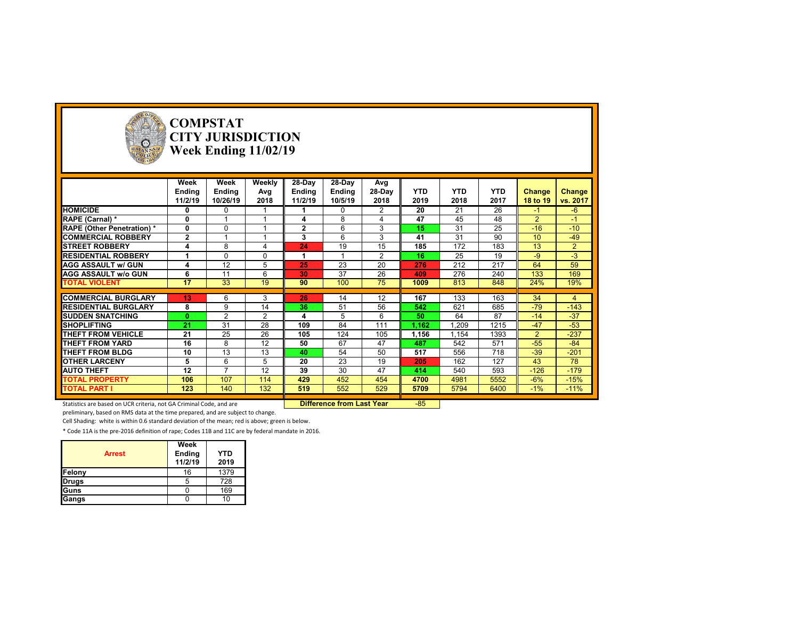

# **COMPSTAT CITY JURISDICTION Week Ending 11/02/19**

|                                  | Week            | Week           | Weekly   | 28-Day         | 28-Day   | Avg    |            |            |            |                  |                |
|----------------------------------|-----------------|----------------|----------|----------------|----------|--------|------------|------------|------------|------------------|----------------|
|                                  | Ending          | Ending         | Avg      | Ending         | Ending   | 28-Day | <b>YTD</b> | <b>YTD</b> | <b>YTD</b> | <b>Change</b>    | Change         |
|                                  | 11/2/19         | 10/26/19       | 2018     | 11/2/19        | 10/5/19  | 2018   | 2019       | 2018       | 2017       | 18 to 19         | vs. 2017       |
| <b>HOMICIDE</b>                  | 0               | 0              |          |                | $\Omega$ | 2      | 20         | 21         | 26         | $-1$             | $-6$           |
| RAPE (Carnal) *                  | 0               |                |          |                | 8        | 4      | 47         | 45         | 48         | $\overline{2}$   | $-1$           |
| <b>RAPE (Other Penetration)*</b> | 0               | $\Omega$       |          | $\overline{2}$ | 6        | 3      | 15         | 31         | 25         | $-16$            | $-10$          |
| <b>COMMERCIAL ROBBERY</b>        | $\mathbf{2}$    |                |          | 3              | 6        | 3      | 41         | 31         | 90         | 10 <sup>10</sup> | $-49$          |
| <b>STREET ROBBERY</b>            | 4               | 8              |          | 24             | 19       | 15     | 185        | 172        | 183        | 13               | $\overline{2}$ |
| <b>RESIDENTIAL ROBBERY</b>       |                 | $\Omega$       | $\Omega$ |                |          | 2      | 16         | 25         | 19         | -9               | $-3$           |
| <b>AGG ASSAULT w/ GUN</b>        |                 | 12             | 5        | 25             | 23       | 20     | 276        | 212        | 217        | 64               | 59             |
| <b>AGG ASSAULT w/o GUN</b>       | 6               | 11             | 6        | 30             | 37       | 26     | 409        | 276        | 240        | 133              | 169            |
| <b>TOTAL VIOLENT</b>             | 17              | 33             | 19       | 90             | 100      | 75     | 1009       | 813        | 848        | 24%              | 19%            |
|                                  |                 |                |          |                |          |        |            |            |            |                  |                |
| <b>COMMERCIAL BURGLARY</b>       | 13 <sub>1</sub> | 6              | 3        | 26             | 14       | 12     | 167        | 133        | 163        | 34               | 4              |
| <b>RESIDENTIAL BURGLARY</b>      | 8               | 9              | 14       | 36             | 51       | 56     | 542        | 621        | 685        | $-79$            | $-143$         |
| <b>ISUDDEN SNATCHING</b>         | $\mathbf{0}$    | 2              | 2        | 4              | 5        | 6      | 50         | 64         | 87         | $-14$            | $-37$          |
| <b>SHOPLIFTING</b>               | 21              | 31             | 28       | 109            | 84       | 111    | 1,162      | 1,209      | 1215       | $-47$            | $-53$          |
| THEFT FROM VEHICLE               | 21              | 25             | 26       | 105            | 124      | 105    | 1,156      | 1,154      | 1393       | $\overline{2}$   | $-237$         |
| THEFT FROM YARD                  | 16              | 8              | 12       | 50             | 67       | 47     | 487        | 542        | 571        | $-55$            | $-84$          |
| THEFT FROM BLDG                  | 10              | 13             | 13       | 40             | 54       | 50     | 517        | 556        | 718        | $-39$            | $-201$         |
| <b>OTHER LARCENY</b>             | 5               | 6              | 5        | 20             | 23       | 19     | 205        | 162        | 127        | 43               | 78             |
| <b>AUTO THEFT</b>                | 12              | $\overline{ }$ | 12       | 39             | 30       | 47     | 414        | 540        | 593        | $-126$           | $-179$         |
| <b>TOTAL PROPERTY</b>            | 106             | 107            | 114      | 429            | 452      | 454    | 4700       | 4981       | 5552       | $-6%$            | $-15%$         |
| <b>TOTAL PART I</b>              | 123             | 140            | 132      | 519            | 552      | 529    | 5709       | 5794       | 6400       | $-1\%$           | $-11%$         |

Statistics are based on UCR criteria, not GA Criminal Code, and are **Difference from Last Year** -85

preliminary, based on RMS data at the time prepared, and are subject to change.

Cell Shading: white is within 0.6 standard deviation of the mean; red is above; green is below.

| <b>Arrest</b> | Week<br><b>Ending</b><br>11/2/19 | <b>YTD</b><br>2019 |
|---------------|----------------------------------|--------------------|
| Felony        | 16                               | 1379               |
| <b>Drugs</b>  | 5                                | 728                |
| Guns          |                                  | 169                |
| Gangs         |                                  | 10                 |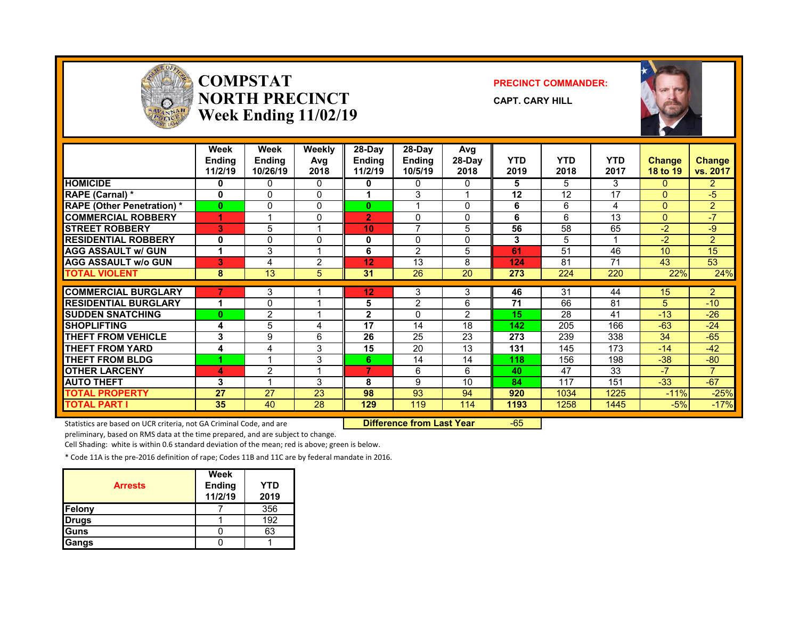

#### **COMPSTATNORTH PRECINCTWeek Ending 11/02/19**

#### **PRECINCT COMMANDER:**





|                                  | Week<br><b>Endina</b><br>11/2/19 | Week<br><b>Endina</b><br>10/26/19 | Weekly<br>Avg<br>2018 | 28-Dav<br><b>Ending</b><br>11/2/19 | 28-Dav<br><b>Endina</b><br>10/5/19 | Avg<br>28-Day<br>2018 | <b>YTD</b><br>2019 | <b>YTD</b><br>2018 | <b>YTD</b><br>2017 | <b>Change</b><br>18 to 19 | Change<br>vs. 2017 |
|----------------------------------|----------------------------------|-----------------------------------|-----------------------|------------------------------------|------------------------------------|-----------------------|--------------------|--------------------|--------------------|---------------------------|--------------------|
| <b>HOMICIDE</b>                  | 0                                | 0                                 | 0                     | 0                                  | 0                                  | 0                     | 5                  | 5                  | 3                  | $\Omega$                  | $\overline{2}$     |
| <b>RAPE (Carnal) *</b>           | 0                                | 0                                 | $\Omega$              |                                    | 3                                  |                       | 12                 | 12                 | 17                 | $\Omega$                  | $-5$               |
| <b>RAPE (Other Penetration)*</b> | $\bf{0}$                         | 0                                 | $\Omega$              | $\bf{0}$                           |                                    | $\Omega$              | 6                  | 6                  | 4                  | $\Omega$                  | $\overline{2}$     |
| <b>COMMERCIAL ROBBERY</b>        |                                  |                                   | $\Omega$              | $\overline{2}$                     | $\Omega$                           | $\Omega$              | 6                  | 6                  | 13                 | $\Omega$                  | $-7$               |
| <b>STREET ROBBERY</b>            | 3                                | 5                                 |                       | 10                                 | $\overline{ }$                     | 5                     | 56                 | 58                 | 65                 | $-2$                      | -9                 |
| <b>RESIDENTIAL ROBBERY</b>       | 0                                | 0                                 | $\Omega$              | 0                                  | $\Omega$                           | $\Omega$              | 3                  | 5                  |                    | -2                        | $\overline{2}$     |
| <b>AGG ASSAULT w/ GUN</b>        | 1                                | 3                                 |                       | 6                                  | $\overline{2}$                     | 5                     | 61                 | 51                 | 46                 | 10                        | 15                 |
| <b>AGG ASSAULT W/o GUN</b>       | 3                                | 4                                 | 2                     | 12                                 | 13                                 | 8                     | 124                | 81                 | 71                 | 43                        | 53                 |
| <b>TOTAL VIOLENT</b>             | 8                                | 13                                | 5                     | 31                                 | 26                                 | 20                    | 273                | 224                | 220                | 22%                       | 24%                |
|                                  |                                  |                                   |                       |                                    |                                    |                       |                    |                    |                    |                           |                    |
| <b>COMMERCIAL BURGLARY</b>       |                                  | 3                                 |                       | 12                                 | 3                                  | 3                     | 46                 | 31                 | 44                 | 15                        | $\overline{2}$     |
| <b>RESIDENTIAL BURGLARY</b>      | 1                                | 0                                 |                       | 5                                  | $\overline{2}$                     | 6                     | 71                 | 66                 | 81                 | 5                         | $-10$              |
| <b>ISUDDEN SNATCHING</b>         | $\bf{0}$                         | $\overline{2}$                    |                       | $\overline{2}$                     | $\Omega$                           | $\overline{2}$        | 15                 | 28                 | 41                 | $-13$                     | $-26$              |
| <b>SHOPLIFTING</b>               | 4                                | 5                                 | 4                     | 17                                 | 14                                 | 18                    | 142                | 205                | 166                | $-63$                     | $-24$              |
| <b>THEFT FROM VEHICLE</b>        | 3                                | 9                                 | 6                     | 26                                 | 25                                 | 23                    | 273                | 239                | 338                | 34                        | $-65$              |
| <b>THEFT FROM YARD</b>           | 4                                | 4                                 | 3                     | 15                                 | 20                                 | 13                    | 131                | 145                | 173                | $-14$                     | $-42$              |
| <b>THEFT FROM BLDG</b>           |                                  |                                   | 3                     | 6                                  | 14                                 | 14                    | 118                | 156                | 198                | $-38$                     | $-80$              |
| <b>OTHER LARCENY</b>             | 4                                | $\overline{2}$                    | и                     | 7                                  | 6                                  | 6                     | 40                 | 47                 | 33                 | $-7$                      | $\overline{7}$     |
| <b>AUTO THEFT</b>                | 3                                | ◢                                 | 3                     | 8                                  | 9                                  | 10                    | 84                 | 117                | 151                | $-33$                     | $-67$              |
| <b>TOTAL PROPERTY</b>            | 27                               | 27                                | 23                    | 98                                 | 93                                 | 94                    | 920                | 1034               | 1225               | $-11%$                    | $-25%$             |
| <b>TOTAL PART I</b>              | 35                               | 40                                | 28                    | 129                                | 119                                | 114                   | 1193               | 1258               | 1445               | $-5%$                     | $-17%$             |

Statistics are based on UCR criteria, not GA Criminal Code, and are **Difference from Last Year** -65

preliminary, based on RMS data at the time prepared, and are subject to change.

Cell Shading: white is within 0.6 standard deviation of the mean; red is above; green is below.

| <b>Arrests</b> | Week<br><b>Ending</b><br>11/2/19 | YTD<br>2019 |
|----------------|----------------------------------|-------------|
| Felony         |                                  | 356         |
| <b>Drugs</b>   |                                  | 192         |
| Guns           |                                  | 63          |
| Gangs          |                                  |             |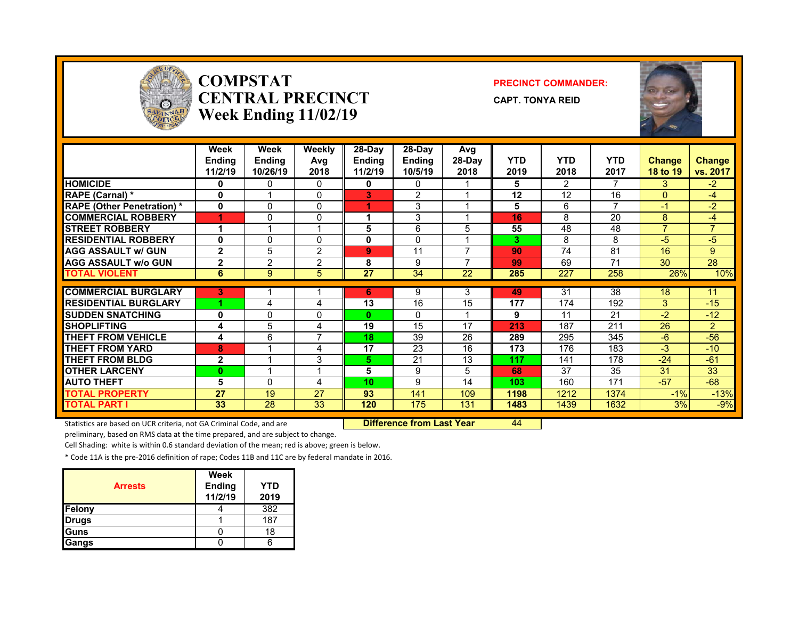

#### **COMPSTATCENTRAL PRECINCTWeek Ending 11/02/19**

#### **PRECINCT COMMANDER:**

**CAPT. TONYA REID**



|                                   | Week<br><b>Endina</b><br>11/2/19 | Week<br><b>Endina</b><br>10/26/19 | Weekly<br>Avg<br>2018 | 28-Day<br><b>Endina</b><br>11/2/19 | $28-Dav$<br><b>Endina</b><br>10/5/19 | Avg<br>28-Day<br>2018 | <b>YTD</b><br>2019 | <b>YTD</b><br>2018 | <b>YTD</b><br>2017       | <b>Change</b><br>18 to 19 | Change<br>vs. 2017 |
|-----------------------------------|----------------------------------|-----------------------------------|-----------------------|------------------------------------|--------------------------------------|-----------------------|--------------------|--------------------|--------------------------|---------------------------|--------------------|
| <b>HOMICIDE</b>                   | 0                                | 0                                 | 0                     | 0                                  | 0                                    |                       | 5                  | 2                  | 7                        | 3                         | $-2$               |
| RAPE (Carnal) *                   | 0                                |                                   | $\Omega$              | 3                                  | 2                                    |                       | 12                 | 12                 | 16                       | $\Omega$                  | $-4$               |
| <b>RAPE (Other Penetration) *</b> | $\mathbf{0}$                     | $\Omega$                          | $\Omega$              |                                    | 3                                    |                       | 5                  | 6                  | $\overline{\phantom{a}}$ | -1                        | $-2$               |
| <b>COMMERCIAL ROBBERY</b>         | 4                                | 0                                 | 0                     |                                    | 3                                    |                       | 16                 | 8                  | 20                       | 8                         | -4                 |
| <b>STREET ROBBERY</b>             | 1                                |                                   | 4                     | 5                                  | 6                                    | 5                     | 55                 | 48                 | 48                       | $\overline{7}$            | $\overline{ }$     |
| <b>RESIDENTIAL ROBBERY</b>        | 0                                | 0                                 | $\mathbf{0}$          | 0                                  | $\mathbf{0}$                         |                       | 3                  | 8                  | 8                        | -5                        | $-5$               |
| <b>AGG ASSAULT w/ GUN</b>         | $\mathbf{2}$                     | 5                                 | $\overline{2}$        | 9                                  | 11                                   | ⇁                     | 90                 | 74                 | 81                       | 16                        | 9                  |
| <b>AGG ASSAULT w/o GUN</b>        | $\overline{2}$                   | 2                                 | $\overline{2}$        | 8                                  | 9                                    |                       | 99                 | 69                 | 71                       | 30                        | 28                 |
| <b>TOTAL VIOLENT</b>              | 6                                | 9                                 | 5                     | 27                                 | 34                                   | 22                    | 285                | 227                | 258                      | 26%                       | 10%                |
|                                   |                                  |                                   |                       |                                    |                                      |                       |                    |                    |                          |                           |                    |
| <b>COMMERCIAL BURGLARY</b>        | 3                                |                                   |                       | 6                                  | 9                                    | 3                     | 49                 | 31                 | 38                       | 18                        | 11                 |
| <b>RESIDENTIAL BURGLARY</b>       |                                  | 4                                 | 4                     | 13                                 | 16                                   | 15                    | 177                | 174                | 192                      | 3                         | $-15$              |
| <b>ISUDDEN SNATCHING</b>          | 0                                | 0                                 | $\mathbf{0}$          | $\mathbf{0}$                       | $\mathbf{0}$                         |                       | 9                  | 11                 | 21                       | -2                        | $-12$              |
| <b>SHOPLIFTING</b>                | 4                                | 5                                 | 4                     | 19                                 | 15                                   | 17                    | 213                | 187                | 211                      | 26                        | $\overline{2}$     |
| <b>THEFT FROM VEHICLE</b>         | 4                                | 6                                 | 7                     | 18                                 | 39                                   | 26                    | 289                | 295                | 345                      | $-6$                      | $-56$              |
| <b>THEFT FROM YARD</b>            | 8                                |                                   | 4                     | 17                                 | 23                                   | 16                    | 173                | 176                | 183                      | -3                        | $-10$              |
| <b>THEFT FROM BLDG</b>            | $\mathbf{2}$                     |                                   | 3                     | 5.                                 | 21                                   | 13                    | 117                | 141                | 178                      | $-24$                     | $-61$              |
| <b>OTHER LARCENY</b>              | $\bf{0}$                         |                                   | 1                     | 5                                  | 9                                    | 5                     | 68                 | 37                 | 35                       | 31                        | 33                 |
| <b>AUTO THEFT</b>                 | 5                                | 0                                 | 4                     | 10                                 | 9                                    | 14                    | 103                | 160                | 171                      | $-57$                     | $-68$              |
| <b>TOTAL PROPERTY</b>             | 27                               | 19                                | 27                    | 93                                 | 141                                  | 109                   | 1198               | 1212               | 1374                     | $-1%$                     | $-13%$             |
| <b>TOTAL PART I</b>               | 33                               | 28                                | 33                    | 120                                | 175                                  | 131                   | 1483               | 1439               | 1632                     | 3%                        | $-9%$              |

Statistics are based on UCR criteria, not GA Criminal Code, and are **Difference from Last Year** 44

preliminary, based on RMS data at the time prepared, and are subject to change.

Cell Shading: white is within 0.6 standard deviation of the mean; red is above; green is below.

| <b>Arrests</b> | Week<br><b>Ending</b><br>11/2/19 | YTD<br>2019 |
|----------------|----------------------------------|-------------|
| Felony         |                                  | 382         |
| <b>Drugs</b>   |                                  | 187         |
| <b>IGuns</b>   |                                  | 18          |
| Gangs          |                                  |             |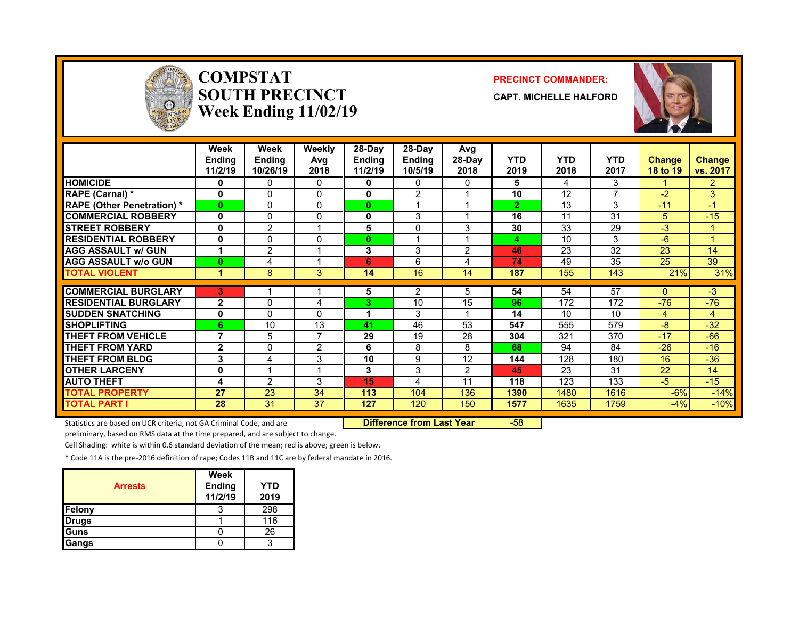

#### **COMPSTATSOUTH PRECINCTWeek Ending 11/02/19**

#### **PRECINCT COMMANDER:**

**CAPT. MICHELLE HALFORD**



|                                  | Week<br><b>Ending</b><br>11/2/19 | Week<br><b>Ending</b><br>10/26/19 | Weekly<br>Avg<br>2018 | 28-Day<br><b>Ending</b><br>11/2/19 | $28-Dav$<br><b>Ending</b><br>10/5/19 | Avg<br>28-Day<br>2018 | <b>YTD</b><br>2019 | <b>YTD</b><br>2018 | <b>YTD</b><br>2017 | <b>Change</b><br>18 to 19 | <b>Change</b><br>vs. 2017 |
|----------------------------------|----------------------------------|-----------------------------------|-----------------------|------------------------------------|--------------------------------------|-----------------------|--------------------|--------------------|--------------------|---------------------------|---------------------------|
| <b>HOMICIDE</b>                  | 0                                | 0                                 | $\Omega$              | 0                                  | 0                                    | 0                     | 5                  | 4                  | 3                  |                           | $\overline{2}$            |
| <b>RAPE (Carnal)</b> *           | 0                                | 0                                 | 0                     | 0                                  | $\overline{2}$                       |                       | 10                 | 12                 | 7                  | $-2$                      | 3                         |
| <b>RAPE (Other Penetration)*</b> | $\bf{0}$                         | 0                                 | $\mathbf{0}$          | 0                                  |                                      |                       | $\overline{2}$     | 13                 | 3                  | $-11$                     | $-1$                      |
| <b>COMMERCIAL ROBBERY</b>        | 0                                | 0                                 | $\mathbf{0}$          | 0                                  | 3                                    |                       | 16                 | 11                 | 31                 | 5.                        | $-15$                     |
| <b>STREET ROBBERY</b>            | 0                                | $\overline{2}$                    | 1                     | 5                                  | 0                                    | 3                     | 30                 | 33                 | 29                 | $-3$                      |                           |
| <b>RESIDENTIAL ROBBERY</b>       | 0                                | 0                                 | $\mathbf{0}$          | $\bf{0}$                           |                                      |                       | 4                  | 10                 | 3                  | $-6$                      |                           |
| <b>AGG ASSAULT w/ GUN</b>        |                                  | $\overline{2}$                    | 1                     | 3                                  | 3                                    | 2                     | 46                 | 23                 | 32                 | 23                        | 14                        |
| <b>AGG ASSAULT w/o GUN</b>       | $\bf{0}$                         | 4                                 | 4                     | 6                                  | 6                                    | 4                     | 74                 | 49                 | 35                 | 25                        | 39                        |
| <b>TOTAL VIOLENT</b>             | 1                                | 8                                 | 3                     | 14                                 | 16                                   | 14                    | 187                | 155                | 143                | 21%                       | 31%                       |
| <b>COMMERCIAL BURGLARY</b>       | 3                                |                                   |                       | 5                                  | 2                                    | 5.                    | 54                 | 54                 | 57                 | 0                         | $-3$                      |
| <b>RESIDENTIAL BURGLARY</b>      | $\mathbf{2}$                     | $\Omega$                          | 4                     | 3                                  | 10                                   | 15                    | 96                 | 172                | 172                | $-76$                     | $-76$                     |
| <b>ISUDDEN SNATCHING</b>         | 0                                | $\Omega$                          | $\Omega$              |                                    | 3                                    |                       | 14                 | 10                 | 10                 | 4                         | 4                         |
| <b>SHOPLIFTING</b>               | 6                                | 10                                | 13                    | 41                                 | 46                                   | 53                    | 547                | 555                | 579                | $-8$                      | $-32$                     |
| THEFT FROM VEHICLE               | $\overline{\phantom{a}}$         | 5                                 | 7                     | 29                                 | 19                                   | 28                    | 304                | 321                | 370                | $-17$                     | $-66$                     |
| <b>THEFT FROM YARD</b>           | $\mathbf{2}$                     | 0                                 | $\overline{2}$        | 6                                  | 8                                    | 8                     | 68                 | 94                 | 84                 | $-26$                     | $-16$                     |
| <b>THEFT FROM BLDG</b>           | 3                                | 4                                 | 3                     | 10                                 | 9                                    | 12                    | 144                | 128                | 180                | 16                        | $-36$                     |
| <b>OTHER LARCENY</b>             | $\bf{0}$                         |                                   | 1                     | 3                                  | 3                                    | 2                     | 45                 | 23                 | 31                 | 22                        | 14                        |
| <b>AUTO THEFT</b>                | 4                                | $\overline{2}$                    | 3                     | 15                                 | 4                                    | 11                    | 118                | 123                | 133                | $-5$                      | $-15$                     |
| <b>TOTAL PROPERTY</b>            | 27                               | 23                                | 34                    | 113                                | 104                                  | 136                   | 1390               | 1480               | 1616               | $-6%$                     | $-14%$                    |
| <b>TOTAL PART I</b>              | 28                               | 31                                | 37                    | 127                                | 120                                  | 150                   | 1577               | 1635               | 1759               | $-4%$                     | $-10%$                    |

Statistics are based on UCR criteria, not GA Criminal Code, and are **Difference from Last Year** -58

preliminary, based on RMS data at the time prepared, and are subject to change.

Cell Shading: white is within 0.6 standard deviation of the mean; red is above; green is below.

| <b>Arrests</b> | Week<br><b>Ending</b><br>11/2/19 | YTD<br>2019 |
|----------------|----------------------------------|-------------|
| Felony         |                                  | 298         |
| <b>Drugs</b>   |                                  | 116         |
| <b>IGuns</b>   |                                  | 26          |
| Gangs          |                                  |             |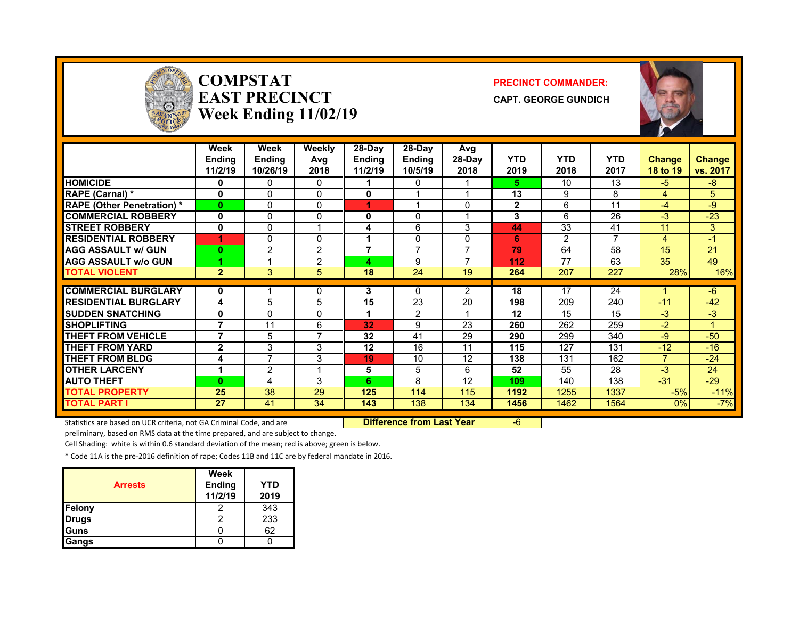

#### **COMPSTATEAST PRECINCTWeek Ending 11/02/19**

#### **PRECINCT COMMANDER:**

**CAPT. GEORGE GUNDICH**



|                                   | Week<br><b>Ending</b><br>11/2/19 | <b>Week</b><br><b>Ending</b><br>10/26/19 | Weekly<br>Avg<br>2018 | 28-Day<br><b>Ending</b><br>11/2/19 | 28-Day<br><b>Ending</b><br>10/5/19 | Avg<br>28-Day<br>2018    | <b>YTD</b><br>2019 | <b>YTD</b><br>2018 | <b>YTD</b><br>2017 | <b>Change</b><br>18 to 19 | <b>Change</b><br>vs. 2017 |
|-----------------------------------|----------------------------------|------------------------------------------|-----------------------|------------------------------------|------------------------------------|--------------------------|--------------------|--------------------|--------------------|---------------------------|---------------------------|
| <b>HOMICIDE</b>                   | 0                                | 0                                        | 0                     |                                    | $\Omega$                           |                          | 5.                 | 10                 | 13                 | $-5$                      | $-8$                      |
| RAPE (Carnal) *                   | $\bf{0}$                         | $\Omega$                                 | $\mathbf 0$           | 0                                  |                                    |                          | 13                 | 9                  | 8                  | 4                         | 5                         |
| <b>RAPE (Other Penetration) *</b> | $\bf{0}$                         | $\Omega$                                 | 0                     | 4                                  |                                    | 0                        | $\mathbf{2}$       | 6                  | 11                 | $-4$                      | -9                        |
| <b>COMMERCIAL ROBBERY</b>         | 0                                | $\Omega$                                 | 0                     | 0                                  | $\Omega$                           |                          | 3                  | 6                  | 26                 | $-3$                      | $-23$                     |
| <b>STREET ROBBERY</b>             | $\bf{0}$                         | $\Omega$                                 | 1                     | 4                                  | 6                                  | 3                        | 44                 | 33                 | 41                 | 11                        | 3                         |
| <b>RESIDENTIAL ROBBERY</b>        | 4                                | $\Omega$                                 | 0                     |                                    | 0                                  | 0                        | 6                  | 2                  | 7                  | 4                         | $-1$                      |
| <b>AGG ASSAULT w/ GUN</b>         | $\bf{0}$                         | $\overline{2}$                           | $\overline{2}$        | 7                                  | $\overline{ }$                     | $\overline{\phantom{a}}$ | 79                 | 64                 | 58                 | 15                        | 21                        |
| <b>AGG ASSAULT W/o GUN</b>        |                                  |                                          | $\overline{2}$        |                                    | 9                                  |                          | 112                | 77                 | 63                 | 35                        | 49                        |
| <b>TOTAL VIOLENT</b>              | $\overline{2}$                   | 3                                        | 5                     | 18                                 | 24                                 | 19                       | 264                | 207                | 227                | 28%                       | 16%                       |
|                                   |                                  |                                          |                       |                                    |                                    |                          |                    |                    |                    |                           |                           |
| <b>COMMERCIAL BURGLARY</b>        | 0                                |                                          | 0                     | 3                                  | $\Omega$                           | 2                        | 18                 | 17                 | 24                 |                           | $-6$                      |
| <b>RESIDENTIAL BURGLARY</b>       | 4                                | 5                                        | 5                     | 15                                 | 23                                 | 20                       | 198                | 209                | 240                | $-11$                     | $-42$                     |
| <b>ISUDDEN SNATCHING</b>          | 0                                | $\Omega$                                 | 0                     |                                    | $\overline{2}$                     |                          | 12                 | 15                 | 15                 | $-3$                      | $-3$                      |
| <b>SHOPLIFTING</b>                | 7                                | 11                                       | 6                     | 32                                 | 9                                  | 23                       | 260                | 262                | 259                | $-2$                      | 4                         |
| <b>THEFT FROM VEHICLE</b>         | 7                                | 5                                        | 7                     | 32                                 | 41                                 | 29                       | 290                | 299                | 340                | $-9$                      | $-50$                     |
| <b>THEFT FROM YARD</b>            | $\mathbf{2}$                     | 3                                        | 3                     | 12                                 | 16                                 | 11                       | 115                | 127                | 131                | $-12$                     | $-16$                     |
| <b>THEFT FROM BLDG</b>            | 4                                | $\overline{\phantom{a}}$                 | 3                     | 19                                 | 10                                 | 12                       | 138                | 131                | 162                | 7                         | $-24$                     |
| <b>OTHER LARCENY</b>              | 1                                | $\overline{2}$                           | 1                     | 5                                  | 5                                  | 6                        | 52                 | 55                 | 28                 | $-3$                      | 24                        |
| <b>AUTO THEFT</b>                 | $\bf{0}$                         | 4                                        | 3                     | 6                                  | 8                                  | 12                       | 109                | 140                | 138                | $-31$                     | $-29$                     |
| <b>TOTAL PROPERTY</b>             | 25                               | 38                                       | 29                    | 125                                | 114                                | 115                      | 1192               | 1255               | 1337               | $-5%$                     | $-11%$                    |
| <b>TOTAL PART I</b>               | 27                               | 41                                       | 34                    | 143                                | 138                                | 134                      | 1456               | 1462               | 1564               | 0%                        | $-7%$                     |

Statistics are based on UCR criteria, not GA Criminal Code, and are **Difference from Last Year** -6

preliminary, based on RMS data at the time prepared, and are subject to change.

Cell Shading: white is within 0.6 standard deviation of the mean; red is above; green is below.

| <b>Arrests</b> | <b>Week</b><br><b>Ending</b><br>11/2/19 | YTD<br>2019 |
|----------------|-----------------------------------------|-------------|
| <b>Felony</b>  |                                         | 343         |
| <b>Drugs</b>   |                                         | 233         |
| <b>Guns</b>    |                                         | 62          |
| Gangs          |                                         |             |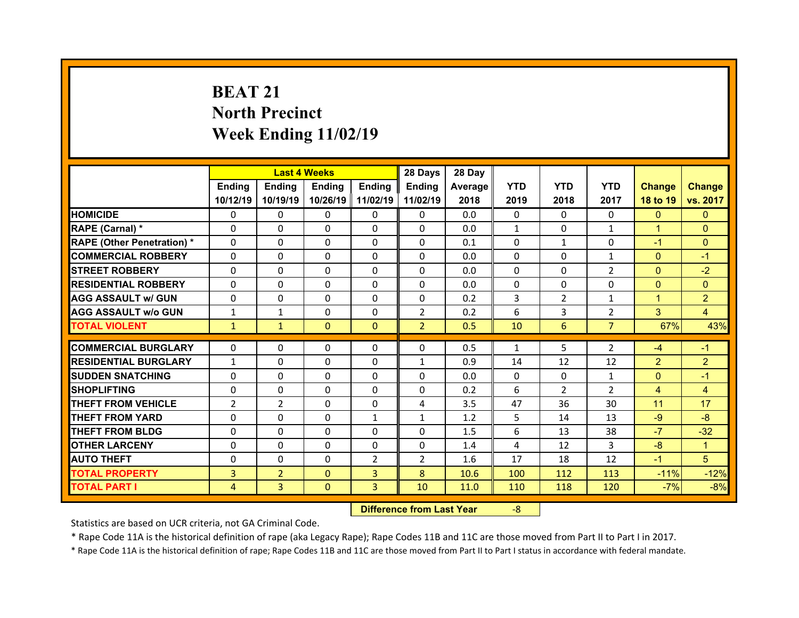# **BEAT 21North Precinct Week Ending 11/02/19**

|                                              |                              | <b>Last 4 Weeks</b> |                          |                     | 28 Days                  | 28 Day       |                |                |                    |                 |                 |
|----------------------------------------------|------------------------------|---------------------|--------------------------|---------------------|--------------------------|--------------|----------------|----------------|--------------------|-----------------|-----------------|
|                                              | Ending                       | <b>Ending</b>       | Ending                   | Ending              | <b>Ending</b>            | Average      | <b>YTD</b>     | <b>YTD</b>     | <b>YTD</b>         | <b>Change</b>   | <b>Change</b>   |
|                                              | 10/12/19                     | 10/19/19            | 10/26/19                 | 11/02/19            | 11/02/19                 | 2018         | 2019           | 2018           | 2017               | 18 to 19        | vs. 2017        |
| <b>HOMICIDE</b>                              | $\Omega$                     | 0                   | 0                        | $\Omega$            | $\Omega$                 | 0.0          | $\Omega$       | $\Omega$       | $\Omega$           | $\Omega$        | $\Omega$        |
| RAPE (Carnal) *                              | $\mathbf{0}$                 | 0                   | $\mathbf{0}$             | $\mathbf{0}$        | $\Omega$                 | 0.0          | $\mathbf{1}$   | $\Omega$       | $\mathbf{1}$       | $\mathbf{1}$    | $\Omega$        |
| <b>RAPE (Other Penetration) *</b>            | $\Omega$                     | $\Omega$            | $\Omega$                 | $\Omega$            | $\Omega$                 | 0.1          | $\Omega$       | $\mathbf{1}$   | $\Omega$           | $-1$            | $\Omega$        |
| <b>COMMERCIAL ROBBERY</b>                    | $\Omega$                     | $\Omega$            | $\mathbf{0}$             | $\Omega$            | $\Omega$                 | 0.0          | $\Omega$       | $\Omega$       | $\mathbf{1}$       | $\mathbf{0}$    | $-1$            |
| <b>STREET ROBBERY</b>                        | $\Omega$                     | 0                   | $\Omega$                 | $\Omega$            | $\Omega$                 | 0.0          | $\Omega$       | $\Omega$       | $\overline{2}$     | $\overline{0}$  | $-2$            |
| <b>RESIDENTIAL ROBBERY</b>                   | $\Omega$                     | 0                   | $\mathbf{0}$             | $\Omega$            | $\Omega$                 | 0.0          | $\Omega$       | $\Omega$       | $\Omega$           | $\overline{0}$  | $\Omega$        |
| <b>AGG ASSAULT w/ GUN</b>                    | $\Omega$                     | $\Omega$            | $\Omega$                 | $\Omega$            | $\Omega$                 | 0.2          | 3              | $\overline{2}$ | $\mathbf{1}$       | $\mathbf{1}$    | $\overline{2}$  |
| <b>AGG ASSAULT w/o GUN</b>                   | $\mathbf{1}$                 | $\mathbf{1}$        | $\mathbf{0}$             | $\Omega$            | $\overline{2}$           | 0.2          | 6              | 3              | $\overline{2}$     | 3               | $\overline{4}$  |
| <b>TOTAL VIOLENT</b>                         | $\mathbf{1}$                 | $\mathbf{1}$        | $\mathbf{0}$             | $\Omega$            | $\overline{2}$           | 0.5          | 10             | 6              | $\overline{7}$     | 67%             | 43%             |
| <b>COMMERCIAL BURGLARY</b>                   | $\Omega$                     | 0                   | 0                        | $\mathbf{0}$        | 0                        | 0.5          | 1              | 5              | $\overline{2}$     | $-4$            | $-1$            |
| <b>RESIDENTIAL BURGLARY</b>                  |                              | 0                   | 0                        | $\Omega$            |                          |              |                |                |                    | $\overline{2}$  | $\overline{2}$  |
| <b>SUDDEN SNATCHING</b>                      | $\mathbf{1}$<br>$\mathbf{0}$ | $\Omega$            | $\Omega$                 | $\Omega$            | $\mathbf{1}$<br>$\Omega$ | 0.9<br>0.0   | 14<br>$\Omega$ | 12<br>$\Omega$ | 12<br>$\mathbf{1}$ | $\mathbf{0}$    | $-1$            |
|                                              |                              |                     |                          |                     |                          |              |                |                |                    |                 |                 |
|                                              |                              |                     |                          |                     |                          |              |                |                |                    |                 |                 |
| <b>SHOPLIFTING</b>                           | 0                            | $\Omega$            | $\Omega$                 | $\Omega$            | 0                        | 0.2          | 6              | $\overline{2}$ | $\overline{2}$     | $\overline{4}$  | $\overline{4}$  |
| <b>THEFT FROM VEHICLE</b>                    | $\overline{2}$               | $\overline{2}$      | $\mathbf{0}$             | $\Omega$            | 4                        | 3.5          | 47             | 36             | 30                 | 11              | 17              |
| <b>THEFT FROM YARD</b>                       | $\Omega$                     | $\Omega$            | $\Omega$                 | 1                   | $\mathbf{1}$             | 1.2          | 5              | 14             | 13                 | $-9$            | $-8$            |
| <b>THEFT FROM BLDG</b>                       | $\Omega$                     | $\Omega$            | $\mathbf{0}$             | $\Omega$            | $\Omega$                 | 1.5          | 6              | 13             | 38                 | $-7$            | $-32$           |
| <b>OTHER LARCENY</b>                         | $\Omega$                     | $\Omega$            | $\Omega$                 | $\Omega$            | $\Omega$                 | 1.4          | 4              | 12             | 3                  | $-8$            | $\mathbf{1}$    |
| <b>AUTO THEFT</b>                            | $\mathbf{0}$                 | 0                   | $\mathbf{0}$             | $\overline{2}$      | $\overline{2}$           | 1.6          | 17             | 18             | 12                 | $-1$            | 5               |
| <b>TOTAL PROPERTY</b><br><b>TOTAL PART I</b> | 3<br>4                       | $\overline{2}$<br>3 | $\Omega$<br>$\mathbf{0}$ | $\overline{3}$<br>3 | 8<br>10                  | 10.6<br>11.0 | 100<br>110     | 112<br>118     | 113<br>120         | $-11%$<br>$-7%$ | $-12%$<br>$-8%$ |

 **Difference from Last Year**‐8

Statistics are based on UCR criteria, not GA Criminal Code.

\* Rape Code 11A is the historical definition of rape (aka Legacy Rape); Rape Codes 11B and 11C are those moved from Part II to Part I in 2017.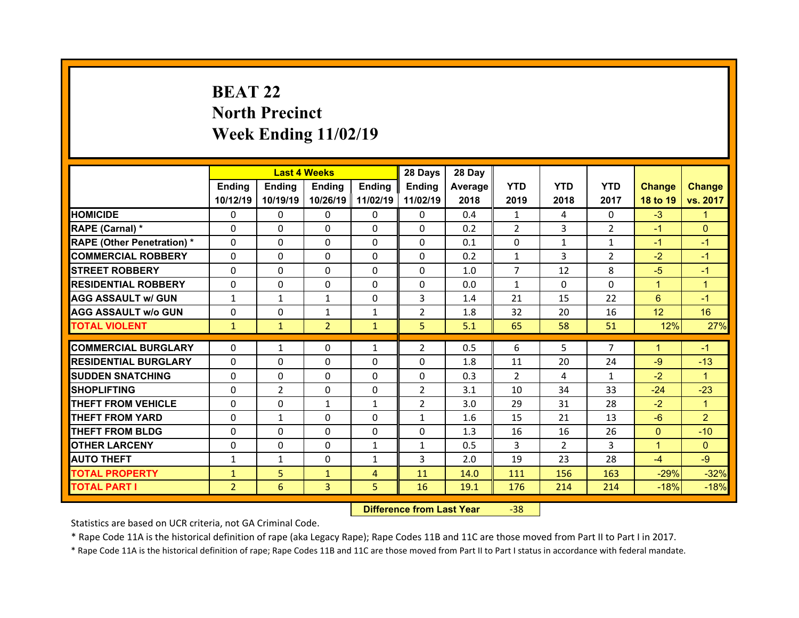# **BEAT 22North Precinct Week Ending 11/02/19**

|                                  |                | <b>Last 4 Weeks</b> |                |                | 28 Days        | 28 Day  |                |               |                |                 |                |
|----------------------------------|----------------|---------------------|----------------|----------------|----------------|---------|----------------|---------------|----------------|-----------------|----------------|
|                                  | Ending         | Ending              | Ending         | <b>Ending</b>  | Ending         | Average | <b>YTD</b>     | <b>YTD</b>    | <b>YTD</b>     | <b>Change</b>   | <b>Change</b>  |
|                                  | 10/12/19       | 10/19/19            | 10/26/19       | 11/02/19       | 11/02/19       | 2018    | 2019           | 2018          | 2017           | 18 to 19        | vs. 2017       |
| <b>HOMICIDE</b>                  | $\Omega$       | 0                   | $\Omega$       | $\Omega$       | 0              | 0.4     | 1              | 4             | $\Omega$       | $-3$            | 1.             |
| RAPE (Carnal) *                  | 0              | 0                   | $\mathbf{0}$   | $\Omega$       | 0              | 0.2     | 2              | 3             | $\overline{2}$ | $-1$            | $\Omega$       |
| <b>RAPE (Other Penetration)*</b> | 0              | $\Omega$            | $\Omega$       | $\Omega$       | 0              | 0.1     | 0              | $\mathbf{1}$  | $\mathbf{1}$   | $-1$            | $-1$           |
| <b>COMMERCIAL ROBBERY</b>        | $\Omega$       | 0                   | $\Omega$       | $\Omega$       | 0              | 0.2     | $\mathbf{1}$   | 3             | $\overline{2}$ | $-2$            | $-1$           |
| <b>STREET ROBBERY</b>            | $\Omega$       | $\Omega$            | $\mathbf{0}$   | $\Omega$       | $\Omega$       | 1.0     | $\overline{7}$ | 12            | 8              | $-5$            | $-1$           |
| <b>RESIDENTIAL ROBBERY</b>       | $\Omega$       | $\Omega$            | $\mathbf{0}$   | $\Omega$       | $\Omega$       | 0.0     | $\mathbf{1}$   | $\Omega$      | $\Omega$       | $\mathbf{1}$    | $\overline{1}$ |
| <b>AGG ASSAULT w/ GUN</b>        | $\mathbf{1}$   | $\mathbf{1}$        | $\mathbf{1}$   | $\Omega$       | 3              | 1.4     | 21             | 15            | 22             | 6               | $-1$           |
| <b>AGG ASSAULT w/o GUN</b>       | $\Omega$       | $\Omega$            | $\mathbf{1}$   | $\mathbf{1}$   | $\overline{2}$ | 1.8     | 32             | 20            | 16             | 12 <sup>2</sup> | 16             |
| <b>TOTAL VIOLENT</b>             | $\mathbf{1}$   | $\mathbf{1}$        | $\overline{2}$ | $\mathbf{1}$   | 5              | 5.1     | 65             | 58            | 51             | 12%             | 27%            |
|                                  |                |                     |                |                |                |         |                |               |                |                 |                |
| <b>COMMERCIAL BURGLARY</b>       | 0              | $\mathbf{1}$        | 0              | 1              | $\overline{2}$ | 0.5     | 6              | 5             | $\overline{7}$ | 1               | $-1$           |
|                                  |                |                     |                |                |                |         |                |               |                |                 | $-13$          |
| <b>RESIDENTIAL BURGLARY</b>      | $\Omega$       | 0                   | 0              | $\Omega$       | 0              | 1.8     | 11             | 20            | 24             | $-9$            |                |
| <b>SUDDEN SNATCHING</b>          | 0              | $\Omega$            | $\mathbf{0}$   | $\Omega$       | 0              | 0.3     | $\overline{2}$ | 4             | $\mathbf{1}$   | $-2$            | $\mathbf{1}$   |
| <b>SHOPLIFTING</b>               | 0              | $\overline{2}$      | 0              | $\Omega$       | $\overline{2}$ | 3.1     | 10             | 34            | 33             | $-24$           | $-23$          |
| <b>THEFT FROM VEHICLE</b>        | 0              | 0                   | $\mathbf{1}$   | $\mathbf{1}$   | $\overline{2}$ | 3.0     | 29             | 31            | 28             | $-2$            | $\mathbf{1}$   |
| <b>THEFT FROM YARD</b>           | 0              | $\mathbf{1}$        | 0              | $\Omega$       | $\mathbf{1}$   | 1.6     | 15             | 21            | 13             | $-6$            | $\overline{2}$ |
| <b>THEFT FROM BLDG</b>           | $\Omega$       | 0                   | $\mathbf{0}$   | $\Omega$       | 0              | 1.3     | 16             | 16            | 26             | $\mathbf{0}$    | $-10$          |
| <b>OTHER LARCENY</b>             | $\Omega$       | 0                   | $\Omega$       | $\mathbf{1}$   | $\mathbf{1}$   | 0.5     | 3              | $\mathcal{P}$ | 3              | $\mathbf{1}$    | $\Omega$       |
| <b>AUTO THEFT</b>                | $\mathbf{1}$   | $\mathbf{1}$        | $\mathbf{0}$   | 1              | 3              | 2.0     | 19             | 23            | 28             | $-4$            | $-9$           |
| <b>TOTAL PROPERTY</b>            | $\mathbf{1}$   | 5                   | $\mathbf{1}$   | $\overline{4}$ | 11             | 14.0    | 111            | 156           | 163            | $-29%$          | $-32%$         |
| <b>TOTAL PART I</b>              | $\overline{2}$ | 6                   | 3              | 5              | 16             | 19.1    | 176            | 214           | 214            | $-18%$          | $-18%$         |

 **Difference from Last Year**‐38

Statistics are based on UCR criteria, not GA Criminal Code.

\* Rape Code 11A is the historical definition of rape (aka Legacy Rape); Rape Codes 11B and 11C are those moved from Part II to Part I in 2017.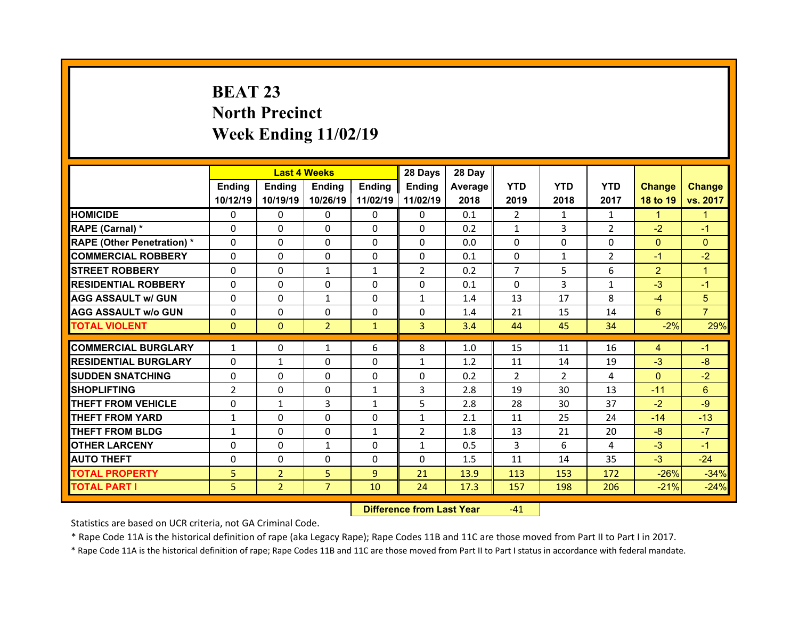# **BEAT 23 North Precinct Week Ending 11/02/19**

|                                   |                | <b>Last 4 Weeks</b> |                |                | 28 Days        | 28 Day  |                |                |                |                |                |
|-----------------------------------|----------------|---------------------|----------------|----------------|----------------|---------|----------------|----------------|----------------|----------------|----------------|
|                                   | Ending         | <b>Ending</b>       | Ending         | Ending         | <b>Ending</b>  | Average | <b>YTD</b>     | <b>YTD</b>     | <b>YTD</b>     | <b>Change</b>  | <b>Change</b>  |
|                                   | 10/12/19       | 10/19/19            | 10/26/19       | 11/02/19       | 11/02/19       | 2018    | 2019           | 2018           | 2017           | 18 to 19       | vs. 2017       |
| <b>HOMICIDE</b>                   | $\Omega$       | 0                   | 0              | $\Omega$       | $\Omega$       | 0.1     | 2              | $\mathbf{1}$   | $\mathbf{1}$   | $\mathbf{1}$   | 1              |
| RAPE (Carnal) *                   | $\mathbf{0}$   | 0                   | $\mathbf{0}$   | $\mathbf{0}$   | $\Omega$       | 0.2     | $\mathbf{1}$   | 3              | $\overline{2}$ | $-2$           | $-1$           |
| <b>RAPE (Other Penetration) *</b> | $\Omega$       | $\Omega$            | $\mathbf{0}$   | $\Omega$       | $\Omega$       | 0.0     | $\Omega$       | $\Omega$       | $\Omega$       | $\overline{0}$ | $\Omega$       |
| <b>COMMERCIAL ROBBERY</b>         | $\Omega$       | $\Omega$            | $\mathbf{0}$   | $\Omega$       | $\Omega$       | 0.1     | $\Omega$       | $\mathbf{1}$   | $\overline{2}$ | $-1$           | $-2$           |
| <b>STREET ROBBERY</b>             | $\Omega$       | 0                   | $\mathbf{1}$   | $\mathbf{1}$   | $\overline{2}$ | 0.2     | $\overline{7}$ | 5              | 6              | $\overline{2}$ | $\overline{1}$ |
| <b>RESIDENTIAL ROBBERY</b>        | $\Omega$       | 0                   | 0              | $\Omega$       | $\Omega$       | 0.1     | $\Omega$       | 3              | $\mathbf{1}$   | $-3$           | $-1$           |
| <b>AGG ASSAULT w/ GUN</b>         | $\Omega$       | $\Omega$            | $\mathbf{1}$   | $\Omega$       | $\mathbf{1}$   | 1.4     | 13             | 17             | 8              | $-4$           | 5              |
| <b>AGG ASSAULT w/o GUN</b>        | 0              | 0                   | $\mathbf 0$    | $\Omega$       | 0              | 1.4     | 21             | 15             | 14             | $6^{\circ}$    | $\overline{7}$ |
| <b>TOTAL VIOLENT</b>              | $\mathbf{0}$   | $\mathbf{0}$        | $\overline{2}$ | $\mathbf{1}$   | 3              | 3.4     | 44             | 45             | 34             | $-2%$          | 29%            |
| <b>COMMERCIAL BURGLARY</b>        | $\mathbf{1}$   | 0                   | $\mathbf{1}$   | 6              | 8              | 1.0     | 15             | 11             | 16             | $\overline{4}$ | $-1$           |
|                                   |                |                     |                |                |                |         |                |                |                |                |                |
| <b>RESIDENTIAL BURGLARY</b>       | 0              | $\mathbf{1}$        | 0              | $\Omega$       | $\mathbf{1}$   | 1.2     | 11             | 14             | 19             | $-3$           | $-8$           |
| <b>SUDDEN SNATCHING</b>           | $\Omega$       | $\Omega$            | $\Omega$       | $\Omega$       | $\Omega$       | 0.2     | 2              | $\overline{2}$ | 4              | $\Omega$       | $-2$           |
| <b>SHOPLIFTING</b>                | $\overline{2}$ | $\Omega$            | $\Omega$       | 1              | 3              | 2.8     | 19             | 30             | 13             | $-11$          | $6\phantom{1}$ |
| <b>THEFT FROM VEHICLE</b>         | 0              | $\mathbf{1}$        | 3              | $\mathbf{1}$   | 5              | 2.8     | 28             | 30             | 37             | $-2$           | $-9$           |
|                                   |                |                     |                |                |                |         |                |                |                |                |                |
| <b>THEFT FROM YARD</b>            | $\mathbf{1}$   | 0                   | $\Omega$       | $\Omega$       | $\mathbf{1}$   | 2.1     | 11             | 25             | 24             | $-14$          | $-13$          |
| <b>THEFT FROM BLDG</b>            | $\mathbf{1}$   | $\Omega$            | $\mathbf{0}$   | $\mathbf{1}$   | $\overline{2}$ | 1.8     | 13             | 21             | 20             | $-8$           | $-7$           |
| <b>OTHER LARCENY</b>              | $\Omega$       | $\Omega$            | $\mathbf{1}$   | $\Omega$       | $\mathbf{1}$   | 0.5     | 3              | 6              | 4              | $-3$           | $-1$           |
| <b>AUTO THEFT</b>                 | $\mathbf{0}$   | 0                   | $\mathbf{0}$   | $\mathbf{0}$   | $\Omega$       | 1.5     | 11             | 14             | 35             | $-3$           | $-24$          |
| <b>TOTAL PROPERTY</b>             | 5              | $\overline{2}$      | 5              | $\overline{9}$ | 21             | 13.9    | 113            | 153            | 172            | $-26%$         | $-34%$         |
| <b>TOTAL PART I</b>               | 5              | $\overline{2}$      | $\overline{7}$ | 10             | 24             | 17.3    | 157            | 198            | 206            | $-21%$         | $-24%$         |

 **Difference from Last Year**r -41

Statistics are based on UCR criteria, not GA Criminal Code.

\* Rape Code 11A is the historical definition of rape (aka Legacy Rape); Rape Codes 11B and 11C are those moved from Part II to Part I in 2017.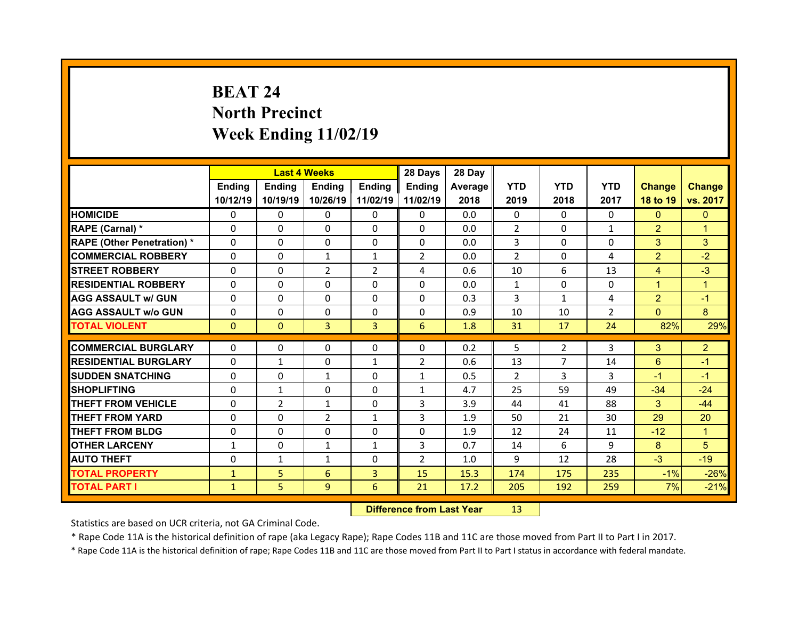# **BEAT 24North Precinct Week Ending 11/02/19**

|                                   |              | <b>Last 4 Weeks</b> |                |                | 28 Days        | 28 Day  |              |                |                |                |                |
|-----------------------------------|--------------|---------------------|----------------|----------------|----------------|---------|--------------|----------------|----------------|----------------|----------------|
|                                   | Ending       | <b>Ending</b>       | <b>Ending</b>  | Ending         | Ending         | Average | <b>YTD</b>   | <b>YTD</b>     | <b>YTD</b>     | <b>Change</b>  | <b>Change</b>  |
|                                   | 10/12/19     | 10/19/19            | 10/26/19       | 11/02/19       | 11/02/19       | 2018    | 2019         | 2018           | 2017           | 18 to 19       | vs. 2017       |
| <b>HOMICIDE</b>                   | $\Omega$     | 0                   | $\Omega$       | $\Omega$       | 0              | 0.0     | $\Omega$     | $\Omega$       | $\Omega$       | $\mathbf{0}$   | $\mathbf{0}$   |
| RAPE (Carnal) *                   | $\Omega$     | $\Omega$            | $\mathbf{0}$   | $\Omega$       | 0              | 0.0     | 2            | $\Omega$       | $\mathbf{1}$   | $\overline{2}$ | 1              |
| <b>RAPE (Other Penetration) *</b> | $\Omega$     | $\Omega$            | $\Omega$       | $\Omega$       | $\Omega$       | 0.0     | 3            | $\Omega$       | $\Omega$       | 3              | 3              |
| <b>COMMERCIAL ROBBERY</b>         | $\Omega$     | $\Omega$            | $\mathbf{1}$   | $\mathbf{1}$   | $\overline{2}$ | 0.0     | 2            | $\Omega$       | 4              | $\overline{2}$ | $-2$           |
| <b>STREET ROBBERY</b>             | $\Omega$     | $\Omega$            | 2              | $\overline{2}$ | 4              | 0.6     | 10           | 6              | 13             | $\overline{4}$ | $-3$           |
| <b>RESIDENTIAL ROBBERY</b>        | $\Omega$     | $\Omega$            | $\mathbf{0}$   | $\Omega$       | $\Omega$       | 0.0     | $\mathbf{1}$ | $\Omega$       | $\Omega$       | $\mathbf{1}$   | $\mathbf{1}$   |
| <b>AGG ASSAULT w/ GUN</b>         | $\Omega$     | $\Omega$            | $\Omega$       | $\Omega$       | $\Omega$       | 0.3     | 3            | $\mathbf{1}$   | 4              | $\overline{2}$ | $-1$           |
| <b>AGG ASSAULT w/o GUN</b>        | 0            | 0                   | 0              | $\Omega$       | $\Omega$       | 0.9     | 10           | 10             | $\overline{2}$ | $\overline{0}$ | 8              |
| <b>TOTAL VIOLENT</b>              | $\mathbf{0}$ | $\mathbf{0}$        | 3              | $\overline{3}$ | 6              | 1.8     | 31           | 17             | 24             | 82%            | 29%            |
|                                   |              |                     |                |                |                |         |              |                |                |                |                |
| <b>COMMERCIAL BURGLARY</b>        | 0            | 0                   | 0              | $\mathbf{0}$   | 0              | 0.2     | 5            | $\overline{2}$ | 3              | 3              | $\overline{2}$ |
|                                   |              |                     |                |                |                |         |              |                |                |                |                |
| <b>RESIDENTIAL BURGLARY</b>       | 0            | $\mathbf{1}$        | 0              | 1              | $\overline{2}$ | 0.6     | 13           | $\overline{7}$ | 14             | 6              | $-1$           |
| <b>SUDDEN SNATCHING</b>           | 0            | 0                   | $\mathbf{1}$   | $\Omega$       | $\mathbf{1}$   | 0.5     | 2            | 3              | 3              | $-1$           | $-1$           |
| <b>SHOPLIFTING</b>                | 0            | $\mathbf{1}$        | $\Omega$       | $\Omega$       | $\mathbf{1}$   | 4.7     | 25           | 59             | 49             | $-34$          | $-24$          |
| <b>THEFT FROM VEHICLE</b>         | 0            | 2                   | $\mathbf{1}$   | $\Omega$       | 3              | 3.9     | 44           | 41             | 88             | 3              | $-44$          |
| <b>THEFT FROM YARD</b>            | 0            | $\Omega$            | $\overline{2}$ | 1              | 3              | 1.9     | 50           | 21             | 30             | 29             | 20             |
| <b>THEFT FROM BLDG</b>            | $\mathbf{0}$ | 0                   | $\mathbf{0}$   | $\Omega$       | 0              | 1.9     | 12           | 24             | 11             | $-12$          | $\mathbf{1}$   |
| <b>OTHER LARCENY</b>              | $\mathbf{1}$ | $\Omega$            | $\mathbf{1}$   | 1              | 3              | 0.7     | 14           | 6              | 9              | 8              | 5              |
| <b>AUTO THEFT</b>                 | $\mathbf{0}$ | $\mathbf{1}$        | $\mathbf{1}$   | $\Omega$       | $\overline{2}$ | 1.0     | 9            | 12             | 28             | $-3$           | $-19$          |
| <b>TOTAL PROPERTY</b>             | $\mathbf{1}$ | 5                   | 6              | $\overline{3}$ | 15             | 15.3    | 174          | 175            | 235            | $-1%$          | $-26%$         |
| TOTAL PART I                      | $\mathbf{1}$ | 5                   | 9              | 6              | 21             | 17.2    | 205          | 192            | 259            | 7%             | $-21%$         |

 **Difference from Last Year**r 13

Statistics are based on UCR criteria, not GA Criminal Code.

\* Rape Code 11A is the historical definition of rape (aka Legacy Rape); Rape Codes 11B and 11C are those moved from Part II to Part I in 2017.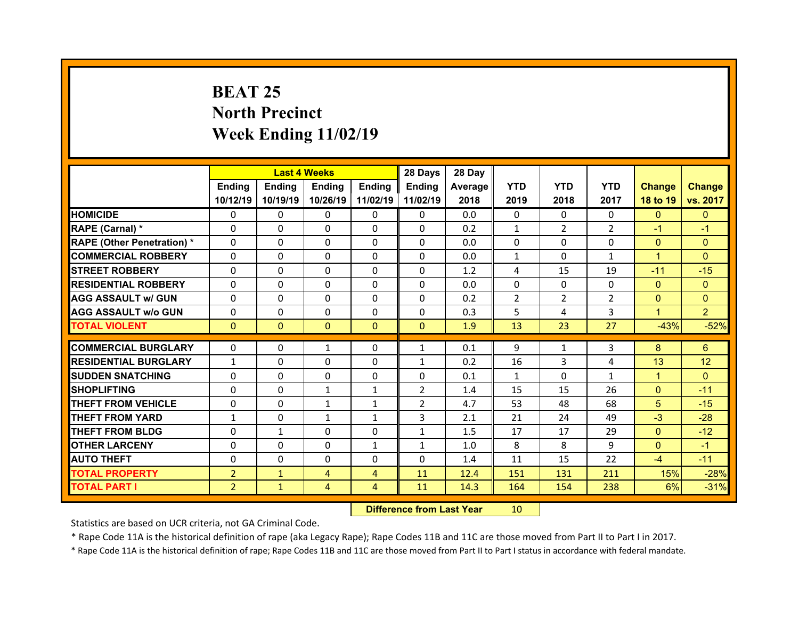# **BEAT 25 North Precinct Week Ending 11/02/19**

|                                   |                | <b>Last 4 Weeks</b> |              |                | 28 Days        | 28 Day  |                |                |                |                |                |
|-----------------------------------|----------------|---------------------|--------------|----------------|----------------|---------|----------------|----------------|----------------|----------------|----------------|
|                                   | Ending         | <b>Ending</b>       | Ending       | Ending         | <b>Ending</b>  | Average | <b>YTD</b>     | <b>YTD</b>     | <b>YTD</b>     | <b>Change</b>  | <b>Change</b>  |
|                                   | 10/12/19       | 10/19/19            | 10/26/19     | 11/02/19       | 11/02/19       | 2018    | 2019           | 2018           | 2017           | 18 to 19       | vs. 2017       |
| <b>HOMICIDE</b>                   | $\Omega$       | 0                   | 0            | $\Omega$       | $\Omega$       | 0.0     | $\Omega$       | $\Omega$       | $\Omega$       | $\Omega$       | $\mathbf{0}$   |
| RAPE (Carnal) *                   | $\mathbf{0}$   | 0                   | $\mathbf{0}$ | $\mathbf{0}$   | $\Omega$       | 0.2     | $\mathbf{1}$   | $\overline{2}$ | $\overline{2}$ | $-1$           | $-1$           |
| <b>RAPE (Other Penetration) *</b> | $\Omega$       | $\Omega$            | $\Omega$     | $\Omega$       | $\Omega$       | 0.0     | $\Omega$       | $\Omega$       | $\Omega$       | $\overline{0}$ | $\Omega$       |
| <b>COMMERCIAL ROBBERY</b>         | $\Omega$       | $\Omega$            | $\mathbf{0}$ | $\Omega$       | $\Omega$       | 0.0     | $\mathbf{1}$   | $\Omega$       | $\mathbf{1}$   | $\mathbf{1}$   | $\Omega$       |
| <b>STREET ROBBERY</b>             | $\Omega$       | 0                   | $\Omega$     | $\Omega$       | 0              | 1.2     | 4              | 15             | 19             | $-11$          | $-15$          |
| <b>RESIDENTIAL ROBBERY</b>        | $\Omega$       | 0                   | $\mathbf{0}$ | $\Omega$       | $\Omega$       | 0.0     | $\Omega$       | $\Omega$       | $\Omega$       | $\mathbf{0}$   | $\mathbf{0}$   |
| <b>AGG ASSAULT w/ GUN</b>         | $\Omega$       | $\Omega$            | $\Omega$     | $\Omega$       | $\Omega$       | 0.2     | $\overline{2}$ | $\overline{2}$ | $\overline{2}$ | $\overline{0}$ | $\Omega$       |
| <b>AGG ASSAULT w/o GUN</b>        | 0              | 0                   | $\mathbf{0}$ | $\Omega$       | $\Omega$       | 0.3     | 5              | 4              | 3              | $\mathbf{1}$   | $\overline{2}$ |
| <b>TOTAL VIOLENT</b>              | $\mathbf{0}$   | $\mathbf{0}$        | $\mathbf{0}$ | $\Omega$       | $\Omega$       | 1.9     | 13             | 23             | 27             | $-43%$         | $-52%$         |
| <b>COMMERCIAL BURGLARY</b>        | 0              |                     |              |                |                | 0.1     | 9              |                | 3              | 8              | 6              |
|                                   |                | 0                   | $\mathbf{1}$ | $\mathbf{0}$   | $\mathbf{1}$   |         |                | 1              |                |                |                |
| <b>RESIDENTIAL BURGLARY</b>       | $\mathbf{1}$   | 0                   | 0            | $\Omega$       | $\mathbf{1}$   | 0.2     | 16             | 3              | 4              | 13             | 12             |
| <b>SUDDEN SNATCHING</b>           | $\mathbf{0}$   | $\Omega$            | $\mathbf{0}$ | $\Omega$       | $\Omega$       |         | $\mathbf{1}$   | $\Omega$       | $\mathbf{1}$   |                | $\Omega$       |
|                                   |                |                     |              |                |                | 0.1     |                |                |                | $\mathbf{1}$   |                |
| <b>SHOPLIFTING</b>                | 0              | $\Omega$            | $\mathbf{1}$ | 1              | $\overline{2}$ | 1.4     | 15             | 15             | 26             | $\overline{0}$ | $-11$          |
| <b>THEFT FROM VEHICLE</b>         | 0              | $\Omega$            | $\mathbf{1}$ | $\mathbf{1}$   | $\overline{2}$ | 4.7     | 53             | 48             | 68             | 5              | $-15$          |
| <b>THEFT FROM YARD</b>            | $\mathbf{1}$   | 0                   | $\mathbf{1}$ | 1              | 3              | 2.1     | 21             | 24             | 49             | $-3$           | $-28$          |
| <b>THEFT FROM BLDG</b>            | $\Omega$       | $\mathbf{1}$        | $\mathbf{0}$ | $\Omega$       | $\mathbf{1}$   | 1.5     | 17             | 17             | 29             | $\overline{0}$ | $-12$          |
| <b>OTHER LARCENY</b>              | $\Omega$       | $\Omega$            | $\mathbf{0}$ | $\mathbf{1}$   | $\mathbf{1}$   | 1.0     | 8              | 8              | 9              | $\mathbf{0}$   | $-1$           |
| <b>AUTO THEFT</b>                 | $\mathbf{0}$   | 0                   | $\mathbf{0}$ | $\Omega$       | $\Omega$       | 1.4     | 11             | 15             | 22             | $-4$           | $-11$          |
| <b>TOTAL PROPERTY</b>             | $\overline{2}$ | $\mathbf{1}$        | 4            | $\overline{4}$ | 11             | 12.4    | 151            | 131            | 211            | 15%            | $-28%$         |
|                                   |                |                     |              |                |                |         |                |                |                |                |                |

 **Difference from Last Year**r 10

Statistics are based on UCR criteria, not GA Criminal Code.

\* Rape Code 11A is the historical definition of rape (aka Legacy Rape); Rape Codes 11B and 11C are those moved from Part II to Part I in 2017.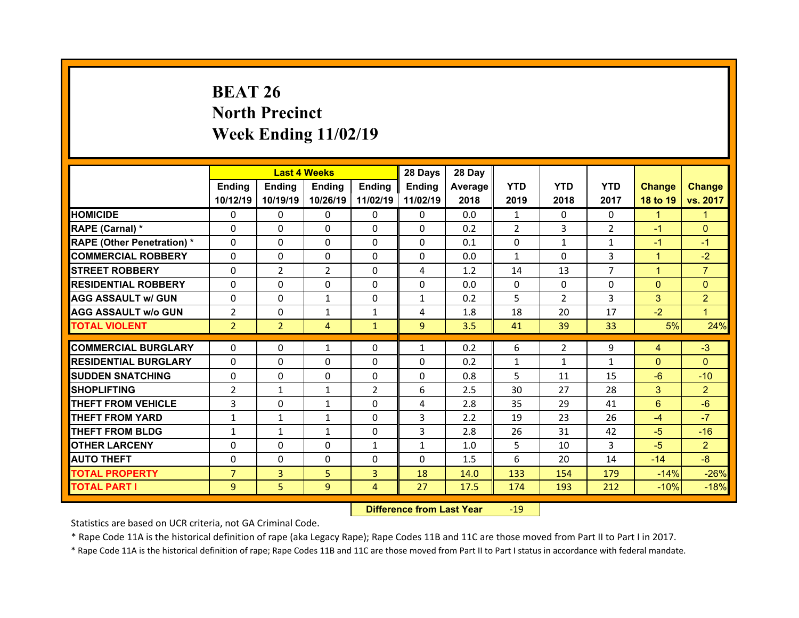# **BEAT 26 North Precinct Week Ending 11/02/19**

|                                   |                | <b>Last 4 Weeks</b> |                |                | 28 Days        | 28 Day  |                |                |                |               |                |
|-----------------------------------|----------------|---------------------|----------------|----------------|----------------|---------|----------------|----------------|----------------|---------------|----------------|
|                                   | Ending         | <b>Ending</b>       | <b>Ending</b>  | Ending         | Ending         | Average | <b>YTD</b>     | <b>YTD</b>     | <b>YTD</b>     | <b>Change</b> | <b>Change</b>  |
|                                   | 10/12/19       | 10/19/19            | 10/26/19       | 11/02/19       | 11/02/19       | 2018    | 2019           | 2018           | 2017           | 18 to 19      | vs. 2017       |
| <b>HOMICIDE</b>                   | $\Omega$       | 0                   | $\Omega$       | $\Omega$       | $\Omega$       | 0.0     | $\mathbf{1}$   | $\Omega$       | 0              | $\mathbf{1}$  | 1              |
| RAPE (Carnal) *                   | $\Omega$       | $\Omega$            | $\Omega$       | $\Omega$       | $\Omega$       | 0.2     | $\overline{2}$ | 3              | $\overline{2}$ | $-1$          | $\Omega$       |
| <b>RAPE (Other Penetration) *</b> | $\Omega$       | $\Omega$            | $\Omega$       | $\Omega$       | $\Omega$       | 0.1     | $\Omega$       | $\mathbf{1}$   | $\mathbf{1}$   | $-1$          | $-1$           |
| <b>COMMERCIAL ROBBERY</b>         | $\Omega$       | $\Omega$            | $\Omega$       | $\Omega$       | $\Omega$       | 0.0     | $\mathbf{1}$   | $\Omega$       | 3              | $\mathbf{1}$  | $-2$           |
| <b>STREET ROBBERY</b>             | $\Omega$       | $\overline{2}$      | 2              | $\Omega$       | 4              | 1.2     | 14             | 13             | $\overline{7}$ | $\mathbf{1}$  | $\overline{7}$ |
| <b>RESIDENTIAL ROBBERY</b>        | $\Omega$       | $\Omega$            | $\Omega$       | $\Omega$       | $\Omega$       | 0.0     | $\mathbf{0}$   | $\Omega$       | $\Omega$       | $\mathbf{0}$  | $\Omega$       |
| <b>AGG ASSAULT w/ GUN</b>         | $\Omega$       | 0                   | $\mathbf{1}$   | $\Omega$       | $\mathbf{1}$   | 0.2     | 5              | $\overline{2}$ | 3              | 3             | $\overline{2}$ |
| <b>AGG ASSAULT w/o GUN</b>        | $\overline{2}$ | $\Omega$            | $\mathbf{1}$   | $\mathbf{1}$   | 4              | 1.8     | 18             | 20             | 17             | $-2$          | $\mathbf{1}$   |
| <b>TOTAL VIOLENT</b>              | $\overline{2}$ | $\overline{2}$      | $\overline{4}$ | $\mathbf{1}$   | 9 <sup>°</sup> | 3.5     | 41             | 39             | 33             | 5%            | 24%            |
|                                   |                |                     |                |                |                |         |                |                |                |               |                |
| <b>COMMERCIAL BURGLARY</b>        | 0              | 0                   | 1              | 0              | $\mathbf{1}$   | 0.2     | 6              | $\overline{2}$ | 9              | 4             | $-3$           |
| <b>RESIDENTIAL BURGLARY</b>       | 0              | $\Omega$            | $\Omega$       | $\Omega$       | $\Omega$       | 0.2     | $\mathbf{1}$   | $\mathbf{1}$   | $\mathbf{1}$   | $\mathbf{0}$  | $\Omega$       |
|                                   |                |                     |                |                |                |         |                |                |                |               |                |
| <b>SUDDEN SNATCHING</b>           | $\Omega$       | 0                   | 0              | $\Omega$       | $\Omega$       | 0.8     | 5              | 11             | 15             | $-6$          | $-10$          |
| <b>SHOPLIFTING</b>                | $\overline{2}$ | $\mathbf{1}$        | $\mathbf{1}$   | 2              | 6              | 2.5     | 30             | 27             | 28             | 3             | $\overline{2}$ |
| <b>THEFT FROM VEHICLE</b>         | 3              | $\Omega$            | $\mathbf{1}$   | 0              | 4              | 2.8     | 35             | 29             | 41             | 6             | $-6$           |
| <b>THEFT FROM YARD</b>            | $\mathbf{1}$   | $\mathbf{1}$        | $\mathbf{1}$   | $\Omega$       | 3              | 2.2     | 19             | 23             | 26             | $-4$          | $-7$           |
| <b>THEFT FROM BLDG</b>            | $\mathbf{1}$   | $\mathbf{1}$        | $\mathbf{1}$   | 0              | 3              | 2.8     | 26             | 31             | 42             | $-5$          | $-16$          |
| <b>OTHER LARCENY</b>              | $\Omega$       | $\Omega$            | $\Omega$       | $\mathbf{1}$   | $\mathbf{1}$   | 1.0     | 5              | 10             | 3              | $-5$          | $\overline{2}$ |
| <b>AUTO THEFT</b>                 | $\Omega$       | 0                   | $\Omega$       | 0              | $\Omega$       | 1.5     | 6              | 20             | 14             | $-14$         | $-8$           |
| <b>TOTAL PROPERTY</b>             | $\overline{7}$ | $\overline{3}$      | 5              | $\overline{3}$ | 18             | 14.0    | 133            | 154            | 179            | $-14%$        | $-26%$         |
| <b>TOTAL PART I</b>               | 9              | 5                   | 9              | $\overline{4}$ | 27             | 17.5    | 174            | 193            | 212            | $-10%$        | $-18%$         |

 **Difference from Last Year**r - 19

Statistics are based on UCR criteria, not GA Criminal Code.

\* Rape Code 11A is the historical definition of rape (aka Legacy Rape); Rape Codes 11B and 11C are those moved from Part II to Part I in 2017.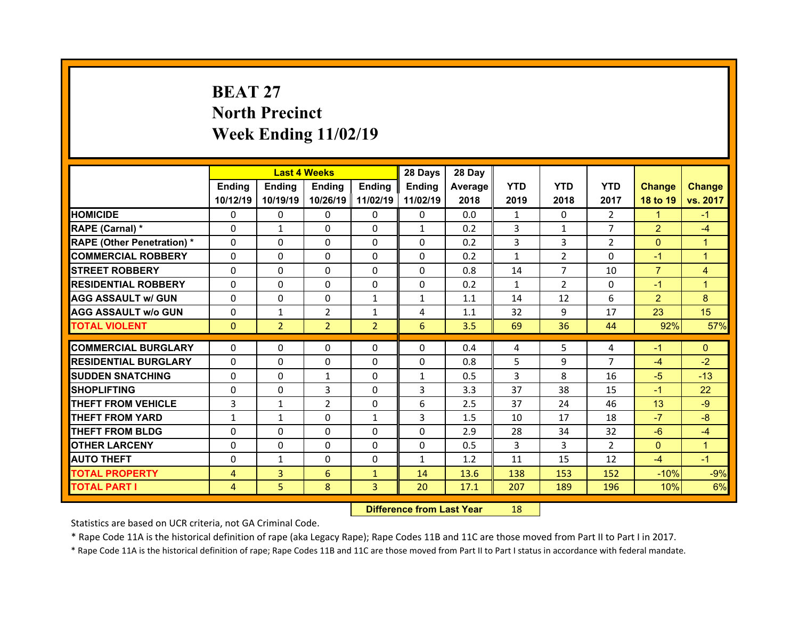# **BEAT 27North Precinct Week Ending 11/02/19**

|                                   |              | <b>Last 4 Weeks</b> |                |                | 28 Days       | 28 Day  |                |                |                |                |                |
|-----------------------------------|--------------|---------------------|----------------|----------------|---------------|---------|----------------|----------------|----------------|----------------|----------------|
|                                   | Ending       | <b>Ending</b>       | Ending         | Ending         | <b>Ending</b> | Average | <b>YTD</b>     | <b>YTD</b>     | <b>YTD</b>     | <b>Change</b>  | <b>Change</b>  |
|                                   | 10/12/19     | 10/19/19            | 10/26/19       | 11/02/19       | 11/02/19      | 2018    | 2019           | 2018           | 2017           | 18 to 19       | vs. 2017       |
| <b>HOMICIDE</b>                   | $\Omega$     | 0                   | 0              | $\Omega$       | $\Omega$      | 0.0     | $\mathbf{1}$   | $\Omega$       | $\mathcal{P}$  | $\mathbf{1}$   | $-1$           |
| RAPE (Carnal) *                   | $\mathbf{0}$ | $\mathbf{1}$        | $\mathbf{0}$   | $\mathbf{0}$   | $\mathbf{1}$  | 0.2     | $\overline{3}$ | $\mathbf{1}$   | $\overline{7}$ | $\overline{2}$ | $-4$           |
| <b>RAPE (Other Penetration) *</b> | $\Omega$     | $\Omega$            | $\Omega$       | $\Omega$       | $\Omega$      | 0.2     | 3              | 3              | $\overline{2}$ | $\mathbf{0}$   | $\mathbf{1}$   |
| <b>COMMERCIAL ROBBERY</b>         | $\Omega$     | $\Omega$            | $\mathbf{0}$   | $\Omega$       | $\Omega$      | 0.2     | $\mathbf{1}$   | $\overline{2}$ | $\Omega$       | $-1$           | $\mathbf{1}$   |
| <b>STREET ROBBERY</b>             | $\Omega$     | 0                   | $\Omega$       | $\Omega$       | $\Omega$      | 0.8     | 14             | $\overline{7}$ | 10             | $\overline{7}$ | 4              |
| <b>RESIDENTIAL ROBBERY</b>        | $\Omega$     | 0                   | $\mathbf{0}$   | $\Omega$       | $\Omega$      | 0.2     | $\mathbf{1}$   | $\overline{2}$ | $\Omega$       | $-1$           | $\mathbf{1}$   |
| <b>AGG ASSAULT w/ GUN</b>         | $\Omega$     | $\Omega$            | $\Omega$       | $\mathbf{1}$   | $\mathbf{1}$  | 1.1     | 14             | 12             | 6              | $\overline{2}$ | 8              |
| <b>AGG ASSAULT w/o GUN</b>        | 0            | $\mathbf{1}$        | $\overline{2}$ | $\mathbf{1}$   | 4             | 1.1     | 32             | 9              | 17             | 23             | 15             |
| <b>TOTAL VIOLENT</b>              | $\mathbf{0}$ | $\overline{2}$      | $\overline{2}$ | $\overline{2}$ | 6             | 3.5     | 69             | 36             | 44             | 92%            | 57%            |
|                                   |              |                     |                |                |               |         |                |                |                |                |                |
|                                   |              |                     |                |                |               |         |                |                |                |                |                |
| <b>COMMERCIAL BURGLARY</b>        | 0            | 0                   | 0              | $\mathbf{0}$   | 0             | 0.4     | 4              | 5              | 4              | $-1$           | $\mathbf{0}$   |
| <b>RESIDENTIAL BURGLARY</b>       | 0            | 0                   | 0              | $\Omega$       | 0             | 0.8     | 5              | 9              | $\overline{7}$ | $-4$           | $-2$           |
| <b>SUDDEN SNATCHING</b>           | $\Omega$     | $\Omega$            | $\mathbf{1}$   | $\Omega$       | $\mathbf{1}$  | 0.5     | 3              | 8              | 16             | $-5$           | $-13$          |
| <b>SHOPLIFTING</b>                | 0            | $\Omega$            | 3              | $\Omega$       | 3             | 3.3     | 37             | 38             | 15             | $-1$           | 22             |
| <b>THEFT FROM VEHICLE</b>         | 3            | $\mathbf{1}$        | 2              | $\Omega$       | 6             | 2.5     | 37             | 24             | 46             | 13             | $-9$           |
| <b>THEFT FROM YARD</b>            | $\mathbf{1}$ | $\mathbf{1}$        | $\Omega$       | $\mathbf{1}$   | 3             | 1.5     | 10             | 17             | 18             | $-7$           | $-8$           |
| <b>THEFT FROM BLDG</b>            | $\Omega$     | $\Omega$            | $\mathbf{0}$   | $\Omega$       | $\Omega$      | 2.9     | 28             | 34             | 32             | $-6$           | $-4$           |
| <b>OTHER LARCENY</b>              | $\Omega$     | $\Omega$            | $\Omega$       | $\Omega$       | $\Omega$      | 0.5     | 3              | 3              | $\overline{2}$ | $\overline{0}$ | $\overline{1}$ |
| <b>AUTO THEFT</b>                 | $\mathbf{0}$ | $\mathbf{1}$        | $\mathbf{0}$   | $\mathbf{0}$   | $\mathbf{1}$  | 1.2     | 11             | 15             | 12             | $-4$           | $-1$           |
| <b>TOTAL PROPERTY</b>             | 4            | 3                   | 6              | $\mathbf{1}$   | 14            | 13.6    | 138            | 153            | 152            | $-10%$         | $-9%$          |
| <b>TOTAL PART I</b>               | 4            | 5                   | 8              | 3              | 20            | 17.1    | 207            | 189            | 196            | 10%            | 6%             |

 **Difference from Last Year**r 18

Statistics are based on UCR criteria, not GA Criminal Code.

\* Rape Code 11A is the historical definition of rape (aka Legacy Rape); Rape Codes 11B and 11C are those moved from Part II to Part I in 2017.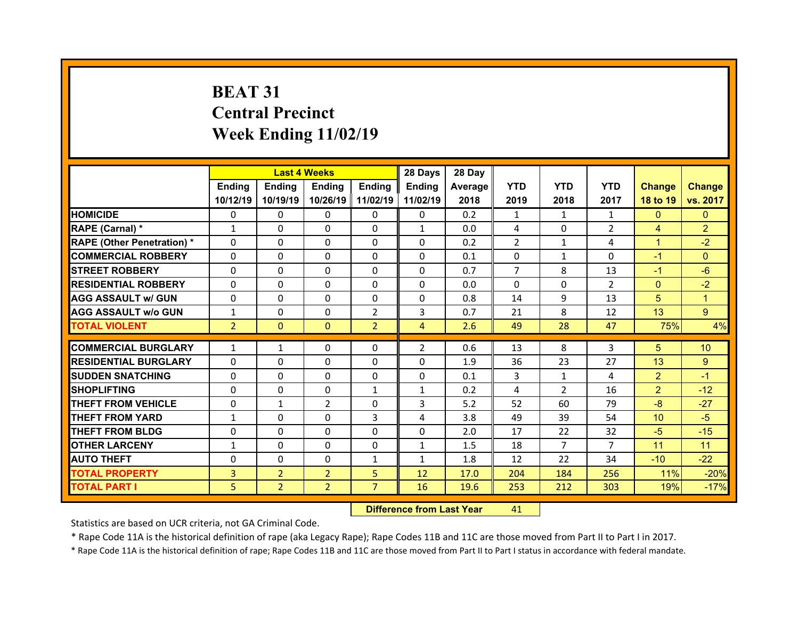# **BEAT 31Central Precinct Week Ending 11/02/19**

|                                   |                | <b>Last 4 Weeks</b> |                |                | 28 Days        | 28 Day  |                |                |                |                 |                |
|-----------------------------------|----------------|---------------------|----------------|----------------|----------------|---------|----------------|----------------|----------------|-----------------|----------------|
|                                   | Ending         | <b>Endina</b>       | <b>Ending</b>  | <b>Ending</b>  | <b>Ending</b>  | Average | <b>YTD</b>     | <b>YTD</b>     | <b>YTD</b>     | <b>Change</b>   | <b>Change</b>  |
|                                   | 10/12/19       | 10/19/19            | 10/26/19       | 11/02/19       | 11/02/19       | 2018    | 2019           | 2018           | 2017           | 18 to 19        | vs. 2017       |
| <b>HOMICIDE</b>                   | 0              | $\Omega$            | $\Omega$       | $\Omega$       | 0              | 0.2     | $\mathbf{1}$   | $\mathbf{1}$   | $\mathbf{1}$   | $\mathbf{0}$    | $\mathbf{0}$   |
| RAPE (Carnal) *                   | $\mathbf{1}$   | 0                   | 0              | $\Omega$       | $\mathbf{1}$   | 0.0     | 4              | $\Omega$       | $\overline{2}$ | $\overline{4}$  | $\overline{2}$ |
| <b>RAPE (Other Penetration) *</b> | $\Omega$       | 0                   | 0              | $\Omega$       | $\Omega$       | 0.2     | $\overline{2}$ | $\mathbf{1}$   | 4              | $\mathbf{1}$    | $-2$           |
| <b>COMMERCIAL ROBBERY</b>         | $\Omega$       | 0                   | $\Omega$       | $\Omega$       | $\Omega$       | 0.1     | $\Omega$       | $\mathbf{1}$   | $\Omega$       | $-1$            | $\Omega$       |
| <b>STREET ROBBERY</b>             | $\Omega$       | 0                   | $\Omega$       | $\Omega$       | $\Omega$       | 0.7     | $\overline{7}$ | 8              | 13             | $-1$            | $-6$           |
| <b>RESIDENTIAL ROBBERY</b>        | $\Omega$       | 0                   | 0              | $\Omega$       | $\Omega$       | 0.0     | $\Omega$       | $\Omega$       | $\mathcal{P}$  | $\Omega$        | $-2$           |
| <b>AGG ASSAULT w/ GUN</b>         | $\Omega$       | 0                   | $\Omega$       | $\Omega$       | $\Omega$       | 0.8     | 14             | 9              | 13             | 5               | 1              |
| <b>AGG ASSAULT w/o GUN</b>        | $\mathbf{1}$   | 0                   | $\Omega$       | $\overline{2}$ | 3              | 0.7     | 21             | 8              | 12             | 13              | 9 <sup>°</sup> |
| <b>TOTAL VIOLENT</b>              | $\overline{2}$ | $\mathbf{0}$        | $\mathbf{0}$   | $\overline{2}$ | $\overline{4}$ | 2.6     | 49             | 28             | 47             | 75%             | 4%             |
|                                   |                |                     |                |                |                |         |                |                |                |                 |                |
| <b>COMMERCIAL BURGLARY</b>        | $\mathbf{1}$   | $\mathbf{1}$        | 0              | 0              | $\overline{2}$ | 0.6     | 13             | 8              | 3              | 5               | 10             |
| <b>RESIDENTIAL BURGLARY</b>       | $\Omega$       | 0                   | 0              | 0              | $\Omega$       | 1.9     | 36             | 23             | 27             | 13              | 9              |
| <b>SUDDEN SNATCHING</b>           | $\Omega$       | 0                   | $\Omega$       | $\Omega$       | $\Omega$       | 0.1     | 3              | $\mathbf{1}$   | 4              | $\overline{2}$  | $-1$           |
| <b>SHOPLIFTING</b>                | $\Omega$       | 0                   | $\Omega$       | 1              | $\mathbf{1}$   | 0.2     | 4              | $\overline{2}$ | 16             | $\overline{2}$  | $-12$          |
|                                   |                |                     |                |                |                |         |                |                |                |                 |                |
| <b>THEFT FROM VEHICLE</b>         | 0              | $\mathbf{1}$        | $\overline{2}$ | $\mathbf{0}$   | 3              | 5.2     | 52             | 60             | 79             | $-8$            | $-27$          |
| <b>THEFT FROM YARD</b>            | $\mathbf{1}$   | 0                   | $\Omega$       | 3              | 4              | 3.8     | 49             | 39             | 54             | 10 <sup>°</sup> | $-5$           |
| <b>THEFT FROM BLDG</b>            | 0              | 0                   | 0              | $\Omega$       | $\Omega$       | 2.0     | 17             | 22             | 32             | $-5$            | $-15$          |
| <b>OTHER LARCENY</b>              | $\mathbf{1}$   | 0                   | $\Omega$       | $\Omega$       | $\mathbf{1}$   | 1.5     | 18             | $\overline{7}$ | $\overline{7}$ | 11              | 11             |
| <b>AUTO THEFT</b>                 | 0              | 0                   | 0              | 1              | $\mathbf{1}$   | 1.8     | 12             | 22             | 34             | $-10$           | $-22$          |
| <b>TOTAL PROPERTY</b>             | $\overline{3}$ | $\overline{2}$      | $\overline{2}$ | 5              | 12             | 17.0    | 204            | 184            | 256            | 11%             | $-20%$         |
| <b>TOTAL PART I</b>               | 5.             | $\overline{2}$      | $\overline{2}$ | $\overline{7}$ | 16             | 19.6    | 253            | 212            | 303            | 19%             | $-17%$         |

 **Difference from Last Year**r 41

Statistics are based on UCR criteria, not GA Criminal Code.

\* Rape Code 11A is the historical definition of rape (aka Legacy Rape); Rape Codes 11B and 11C are those moved from Part II to Part I in 2017.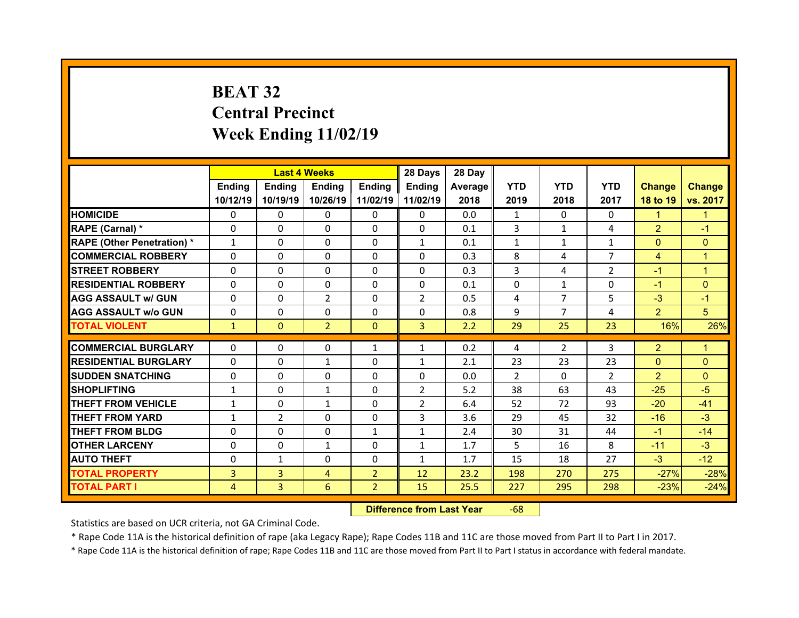# **BEAT 32 Central Precinct Week Ending 11/02/19**

|                                   |                | <b>Last 4 Weeks</b> |                |                | 28 Days        | 28 Day  |               |                |                |                |                |
|-----------------------------------|----------------|---------------------|----------------|----------------|----------------|---------|---------------|----------------|----------------|----------------|----------------|
|                                   | Ending         | <b>Ending</b>       | <b>Ending</b>  | Ending         | Ending         | Average | <b>YTD</b>    | <b>YTD</b>     | <b>YTD</b>     | <b>Change</b>  | <b>Change</b>  |
|                                   | 10/12/19       | 10/19/19            | 10/26/19       | 11/02/19       | 11/02/19       | 2018    | 2019          | 2018           | 2017           | 18 to 19       | vs. 2017       |
| <b>HOMICIDE</b>                   | $\Omega$       | $\Omega$            | 0              | $\Omega$       | 0              | 0.0     | $\mathbf{1}$  | $\Omega$       | $\Omega$       | $\mathbf{1}$   | 1              |
| RAPE (Carnal) *                   | $\Omega$       | 0                   | $\mathbf{0}$   | $\mathbf{0}$   | 0              | 0.1     | 3             | $\mathbf{1}$   | 4              | $\overline{2}$ | $-1$           |
| <b>RAPE (Other Penetration) *</b> | $\mathbf{1}$   | 0                   | $\Omega$       | $\Omega$       | $\mathbf{1}$   | 0.1     | $\mathbf{1}$  | $\mathbf{1}$   | $\mathbf{1}$   | $\mathbf{0}$   | $\Omega$       |
| <b>COMMERCIAL ROBBERY</b>         | $\Omega$       | $\Omega$            | $\Omega$       | $\Omega$       | $\Omega$       | 0.3     | 8             | 4              | $\overline{7}$ | $\overline{4}$ | 1              |
| <b>STREET ROBBERY</b>             | $\Omega$       | $\Omega$            | $\Omega$       | $\Omega$       | $\Omega$       | 0.3     | 3             | 4              | $\overline{2}$ | $-1$           | $\overline{1}$ |
| <b>RESIDENTIAL ROBBERY</b>        | $\Omega$       | $\Omega$            | $\mathbf{0}$   | $\Omega$       | $\Omega$       | 0.1     | $\Omega$      | $\mathbf{1}$   | $\Omega$       | $-1$           | $\Omega$       |
| <b>AGG ASSAULT w/ GUN</b>         | $\Omega$       | 0                   | $\overline{2}$ | $\Omega$       | $\overline{2}$ | 0.5     | 4             | $\overline{7}$ | 5              | $-3$           | $-1$           |
| <b>AGG ASSAULT w/o GUN</b>        | $\Omega$       | $\Omega$            | $\mathbf{0}$   | $\Omega$       | $\Omega$       | 0.8     | 9             | $\overline{7}$ | 4              | $\overline{2}$ | 5              |
| <b>TOTAL VIOLENT</b>              | $\mathbf{1}$   | $\mathbf{0}$        | $\overline{2}$ | $\mathbf{0}$   | $\overline{3}$ | 2.2     | 29            | 25             | 23             | 16%            | 26%            |
| <b>COMMERCIAL BURGLARY</b>        | $\Omega$       | $\Omega$            | 0              |                |                | 0.2     |               | $\overline{2}$ | 3              | $\overline{2}$ | 1.             |
|                                   |                |                     |                | $\mathbf{1}$   | $\mathbf{1}$   |         | 4             |                |                |                |                |
| <b>RESIDENTIAL BURGLARY</b>       | 0              | 0                   | $\mathbf{1}$   | $\Omega$       | $\mathbf{1}$   | 2.1     | 23            | 23             | 23             | $\mathbf{0}$   | $\Omega$       |
| <b>SUDDEN SNATCHING</b>           | $\mathbf{0}$   | 0                   | $\mathbf{0}$   | $\Omega$       | 0              | 0.0     | $\mathcal{P}$ | $\Omega$       | $\mathcal{P}$  | $\overline{2}$ | $\Omega$       |
| <b>SHOPLIFTING</b>                | $\mathbf{1}$   | $\Omega$            | $\mathbf{1}$   | $\Omega$       | $\overline{2}$ | 5.2     | 38            | 63             | 43             | $-25$          | $-5$           |
| <b>THEFT FROM VEHICLE</b>         | $\mathbf{1}$   | 0                   | $\mathbf{1}$   | $\Omega$       | $\overline{2}$ | 6.4     | 52            | 72             | 93             | $-20$          | $-41$          |
| <b>THEFT FROM YARD</b>            | $\mathbf{1}$   | $\overline{2}$      | $\mathbf{0}$   | $\Omega$       | 3              | 3.6     | 29            | 45             | 32             | $-16$          | $-3$           |
| <b>THEFT FROM BLDG</b>            | $\mathbf{0}$   | 0                   | 0              | $\mathbf{1}$   | $\mathbf{1}$   | 2.4     | 30            | 31             | 44             | $-1$           | $-14$          |
| <b>OTHER LARCENY</b>              | $\Omega$       | 0                   | $\mathbf{1}$   | $\Omega$       | $\mathbf{1}$   | 1.7     | 5             | 16             | 8              | $-11$          | $-3$           |
| <b>AUTO THEFT</b>                 | 0              | $\mathbf{1}$        | $\mathbf{0}$   | $\Omega$       | $\mathbf{1}$   | 1.7     | 15            | 18             | 27             | $-3$           | $-12$          |
| <b>TOTAL PROPERTY</b>             | $\overline{3}$ | $\overline{3}$      | 4              | $\overline{2}$ | 12             | 23.2    | 198           | 270            | 275            | $-27%$         | $-28%$         |
| <b>TOTAL PART I</b>               | 4              | 3                   | 6              | $\overline{2}$ | 15             | 25.5    | 227           | 295            | 298            | $-23%$         | $-24%$         |

 **Difference from Last Year**r -68

Statistics are based on UCR criteria, not GA Criminal Code.

\* Rape Code 11A is the historical definition of rape (aka Legacy Rape); Rape Codes 11B and 11C are those moved from Part II to Part I in 2017.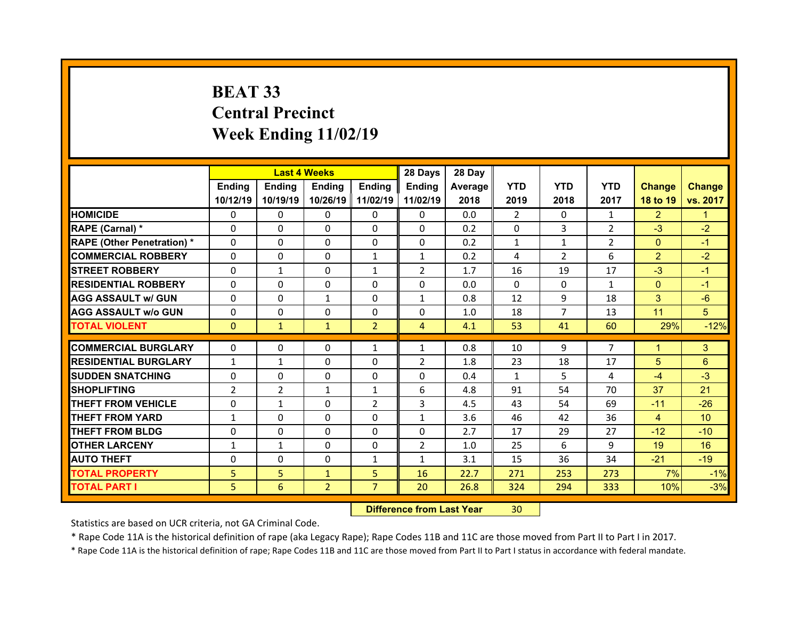# **BEAT 33 Central Precinct Week Ending 11/02/19**

|                                   |                | <b>Last 4 Weeks</b> |                |                | 28 Days        | 28 Day  |                |                |                |                |                 |
|-----------------------------------|----------------|---------------------|----------------|----------------|----------------|---------|----------------|----------------|----------------|----------------|-----------------|
|                                   | Ending         | <b>Endina</b>       | <b>Ending</b>  | <b>Endina</b>  | <b>Ending</b>  | Average | <b>YTD</b>     | <b>YTD</b>     | <b>YTD</b>     | <b>Change</b>  | <b>Change</b>   |
|                                   | 10/12/19       | 10/19/19            | 10/26/19       | 11/02/19       | 11/02/19       | 2018    | 2019           | 2018           | 2017           | 18 to 19       | vs. 2017        |
| <b>HOMICIDE</b>                   | $\Omega$       | 0                   | 0              | $\mathbf{0}$   | 0              | 0.0     | $\overline{2}$ | $\Omega$       | $\mathbf{1}$   | $\overline{2}$ | 1.              |
| RAPE (Carnal) *                   | 0              | 0                   | $\mathbf{0}$   | $\mathbf{0}$   | 0              | 0.2     | 0              | 3              | $\overline{2}$ | $-3$           | $-2$            |
| <b>RAPE (Other Penetration) *</b> | 0              | 0                   | $\Omega$       | $\Omega$       | 0              | 0.2     | $\mathbf{1}$   | $\mathbf{1}$   | $\overline{2}$ | $\mathbf{0}$   | $-1$            |
| <b>COMMERCIAL ROBBERY</b>         | $\Omega$       | 0                   | $\mathbf{0}$   | $\mathbf{1}$   | $\mathbf{1}$   | 0.2     | 4              | $\overline{2}$ | 6              | $\overline{2}$ | $-2$            |
| <b>STREET ROBBERY</b>             | 0              | $\mathbf{1}$        | $\Omega$       | $\mathbf{1}$   | $\overline{2}$ | 1.7     | 16             | 19             | 17             | $-3$           | $-1$            |
| <b>RESIDENTIAL ROBBERY</b>        | $\Omega$       | $\Omega$            | $\mathbf{0}$   | $\Omega$       | $\Omega$       | 0.0     | $\Omega$       | $\Omega$       | $\mathbf{1}$   | $\overline{0}$ | $-1$            |
| <b>AGG ASSAULT w/ GUN</b>         | 0              | $\Omega$            | $\mathbf{1}$   | $\Omega$       | $\mathbf{1}$   | 0.8     | 12             | 9              | 18             | 3              | $-6$            |
| <b>AGG ASSAULT w/o GUN</b>        | $\Omega$       | 0                   | $\mathbf{0}$   | $\mathbf{0}$   | $\Omega$       | 1.0     | 18             | $\overline{7}$ | 13             | 11             | 5               |
| <b>TOTAL VIOLENT</b>              | $\mathbf{0}$   | $\mathbf{1}$        | $\mathbf{1}$   | $\overline{2}$ | $\overline{4}$ | 4.1     | 53             | 41             | 60             | 29%            | $-12%$          |
|                                   |                |                     |                |                |                |         |                |                |                |                |                 |
| <b>COMMERCIAL BURGLARY</b>        | 0              | 0                   | 0              | $\mathbf{1}$   | $\mathbf{1}$   | 0.8     | 10             | 9              | $\overline{7}$ | 1              | 3               |
| <b>RESIDENTIAL BURGLARY</b>       | $\mathbf{1}$   | $\mathbf{1}$        | 0              | $\Omega$       | $\overline{2}$ | 1.8     | 23             | 18             | 17             | 5              | 6               |
| <b>SUDDEN SNATCHING</b>           | 0              | $\Omega$            | $\Omega$       | $\Omega$       | 0              | 0.4     | $\mathbf{1}$   | 5.             | 4              | $-4$           | $-3$            |
| <b>SHOPLIFTING</b>                | $\overline{2}$ | $\overline{2}$      | $\mathbf{1}$   | 1              | 6              | 4.8     | 91             | 54             | 70             | 37             | 21              |
| <b>THEFT FROM VEHICLE</b>         | 0              | $\mathbf{1}$        | 0              | $\overline{2}$ | 3              | 4.5     | 43             | 54             | 69             | $-11$          | $-26$           |
| <b>THEFT FROM YARD</b>            | $\mathbf{1}$   | $\Omega$            | $\Omega$       | $\Omega$       | $\mathbf{1}$   | 3.6     | 46             | 42             | 36             | 4              | 10 <sup>°</sup> |
| <b>THEFT FROM BLDG</b>            | 0              | 0                   | 0              | $\Omega$       | 0              | 2.7     | 17             | 29             | 27             | $-12$          | $-10$           |
| <b>OTHER LARCENY</b>              | $\mathbf{1}$   | $\mathbf{1}$        | 0              | $\Omega$       | $\overline{2}$ | 1.0     | 25             | 6              | 9              | 19             | 16              |
| <b>AUTO THEFT</b>                 | 0              | $\Omega$            | $\Omega$       | 1              | $\mathbf{1}$   | 3.1     | 15             | 36             | 34             | $-21$          | $-19$           |
| <b>TOTAL PROPERTY</b>             | 5              | 5                   | $\mathbf{1}$   | 5              | 16             | 22.7    | 271            | 253            | 273            | 7%             | $-1%$           |
| <b>TOTAL PART I</b>               | 5              | 6                   | $\overline{2}$ | $\overline{7}$ | 20             | 26.8    | 324            | 294            | 333            | 10%            | $-3%$           |
|                                   |                |                     |                |                |                |         |                |                |                |                |                 |

 **Difference from Last Year**r 30

Statistics are based on UCR criteria, not GA Criminal Code.

\* Rape Code 11A is the historical definition of rape (aka Legacy Rape); Rape Codes 11B and 11C are those moved from Part II to Part I in 2017.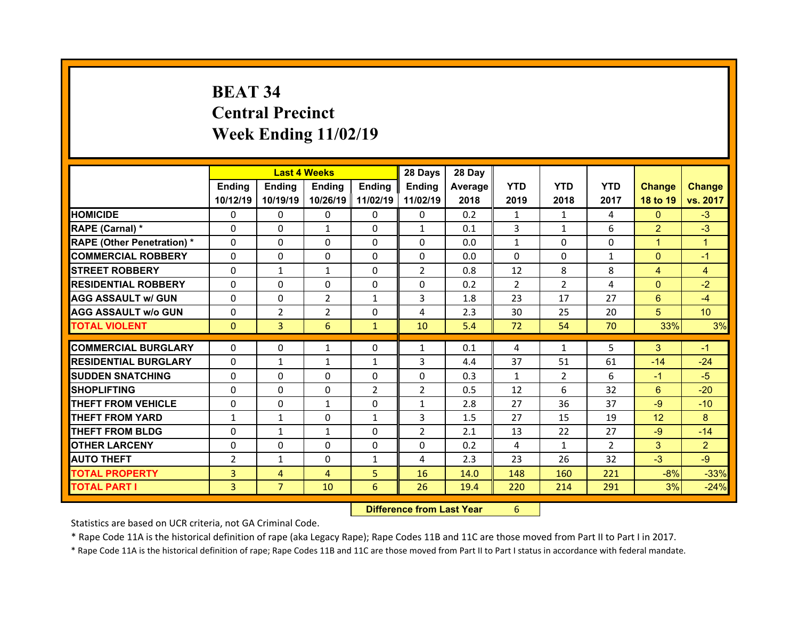# **BEAT 34 Central Precinct Week Ending 11/02/19**

|                                   |                | <b>Last 4 Weeks</b> |                |              | 28 Days        | 28 Day  |              |                |                |                 |                 |
|-----------------------------------|----------------|---------------------|----------------|--------------|----------------|---------|--------------|----------------|----------------|-----------------|-----------------|
|                                   | Ending         | <b>Ending</b>       | Ending         | Ending       | Ending         | Average | <b>YTD</b>   | <b>YTD</b>     | <b>YTD</b>     | <b>Change</b>   | <b>Change</b>   |
|                                   | 10/12/19       | 10/19/19            | 10/26/19       | 11/02/19     | 11/02/19       | 2018    | 2019         | 2018           | 2017           | 18 to 19        | vs. 2017        |
| <b>HOMICIDE</b>                   | $\Omega$       | 0                   | 0              | $\Omega$     | 0              | 0.2     | $\mathbf{1}$ | $\mathbf{1}$   | 4              | $\Omega$        | $-3$            |
| RAPE (Carnal) *                   | $\mathbf{0}$   | 0                   | $\mathbf{1}$   | $\mathbf{0}$ | $\mathbf{1}$   | 0.1     | 3            | $\mathbf{1}$   | 6              | $\overline{2}$  | $-3$            |
| <b>RAPE (Other Penetration) *</b> | $\Omega$       | $\Omega$            | $\mathbf{0}$   | $\Omega$     | $\Omega$       | 0.0     | $\mathbf{1}$ | $\Omega$       | $\Omega$       | $\mathbf{1}$    | $\overline{1}$  |
| <b>COMMERCIAL ROBBERY</b>         | $\Omega$       | $\Omega$            | $\mathbf{0}$   | $\Omega$     | $\Omega$       | 0.0     | $\Omega$     | $\Omega$       | $\mathbf{1}$   | $\overline{0}$  | $-1$            |
| <b>STREET ROBBERY</b>             | $\Omega$       | $\mathbf{1}$        | $\mathbf{1}$   | $\Omega$     | $\overline{2}$ | 0.8     | 12           | 8              | 8              | $\overline{4}$  | $\overline{4}$  |
| <b>RESIDENTIAL ROBBERY</b>        | $\Omega$       | 0                   | 0              | $\Omega$     | $\Omega$       | 0.2     | 2            | $\overline{2}$ | 4              | $\overline{0}$  | $-2$            |
| <b>AGG ASSAULT w/ GUN</b>         | $\Omega$       | 0                   | $\overline{2}$ | $\mathbf{1}$ | 3              | 1.8     | 23           | 17             | 27             | $6^{\circ}$     | $-4$            |
| <b>AGG ASSAULT w/o GUN</b>        | 0              | $\overline{2}$      | $\overline{2}$ | $\Omega$     | 4              | 2.3     | 30           | 25             | 20             | 5               | 10 <sup>°</sup> |
| <b>TOTAL VIOLENT</b>              | $\mathbf{0}$   | 3                   | 6              | $\mathbf{1}$ | 10             | 5.4     | 72           | 54             | 70             | 33%             | 3%              |
|                                   |                |                     |                |              |                |         |              |                |                |                 |                 |
| <b>COMMERCIAL BURGLARY</b>        | 0              | 0                   | 1              | $\mathbf{0}$ | $\mathbf{1}$   | 0.1     | 4            | 1              | 5              | 3               | $-1$            |
| <b>RESIDENTIAL BURGLARY</b>       | 0              | $\mathbf{1}$        | $\mathbf{1}$   | 1            | 3              | 4.4     | 37           | 51             | 61             | $-14$           | $-24$           |
| <b>SUDDEN SNATCHING</b>           | $\Omega$       | $\Omega$            | $\Omega$       | $\Omega$     | $\Omega$       | 0.3     | $\mathbf{1}$ | $\overline{2}$ | 6              | $-1$            | $-5$            |
| <b>SHOPLIFTING</b>                | 0              | $\Omega$            | $\Omega$       | 2            | $\overline{2}$ | 0.5     | 12           | 6              | 32             | 6               | $-20$           |
| <b>THEFT FROM VEHICLE</b>         | 0              | $\Omega$            | $\mathbf{1}$   | $\Omega$     | $\mathbf{1}$   | 2.8     | 27           | 36             | 37             | $-9$            | $-10$           |
| <b>THEFT FROM YARD</b>            | $\mathbf{1}$   | $\mathbf{1}$        | 0              | 1            | 3              | 1.5     | 27           | 15             | 19             | 12 <sup>2</sup> | 8               |
|                                   |                |                     |                |              |                |         |              |                |                |                 |                 |
| <b>THEFT FROM BLDG</b>            | $\Omega$       | $\mathbf{1}$        | $\mathbf{1}$   | $\Omega$     | $\overline{2}$ | 2.1     | 13           | 22             | 27             | $-9$            | $-14$           |
| <b>OTHER LARCENY</b>              | $\mathbf{0}$   | $\Omega$            | $\Omega$       | $\Omega$     | $\Omega$       | 0.2     | 4            | $\mathbf{1}$   | $\overline{2}$ | 3               | $\overline{2}$  |
| <b>AUTO THEFT</b>                 | $\overline{2}$ | $\mathbf{1}$        | $\mathbf{0}$   | $\mathbf{1}$ | 4              | 2.3     | 23           | 26             | 32             | $-3$            | $-9$            |
| <b>TOTAL PROPERTY</b>             | 3              | $\overline{4}$      | $\overline{4}$ | 5            | 16             | 14.0    | 148          | 160            | 221            | $-8%$           | $-33%$          |

 **Difference from Last Year**r 6

Statistics are based on UCR criteria, not GA Criminal Code.

\* Rape Code 11A is the historical definition of rape (aka Legacy Rape); Rape Codes 11B and 11C are those moved from Part II to Part I in 2017.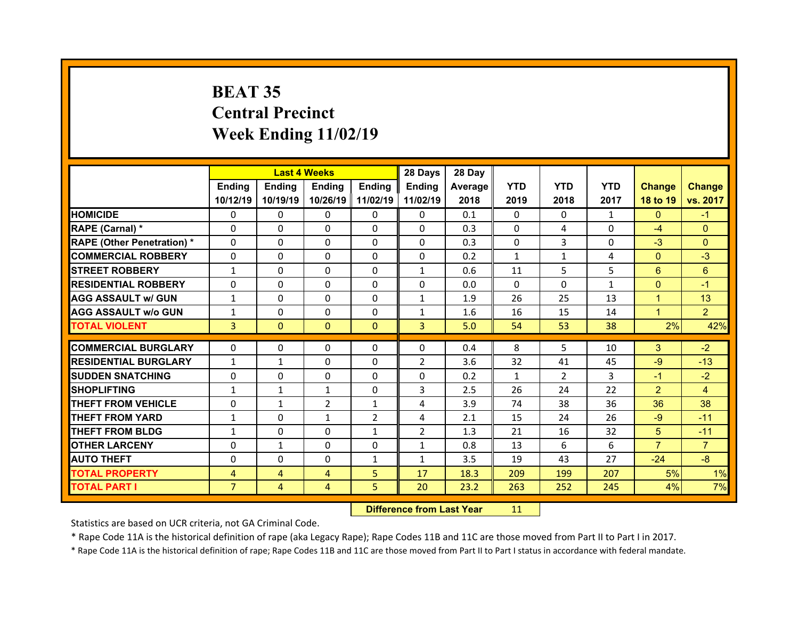# **BEAT 35 Central Precinct Week Ending 11/02/19**

|                                   |                | <b>Last 4 Weeks</b> |              |                | 28 Days        | 28 Day  |              |                |              |                |                |
|-----------------------------------|----------------|---------------------|--------------|----------------|----------------|---------|--------------|----------------|--------------|----------------|----------------|
|                                   | Ending         | <b>Ending</b>       | Ending       | Ending         | Ending         | Average | <b>YTD</b>   | <b>YTD</b>     | <b>YTD</b>   | <b>Change</b>  | <b>Change</b>  |
|                                   | 10/12/19       | 10/19/19            | 10/26/19     | 11/02/19       | 11/02/19       | 2018    | 2019         | 2018           | 2017         | 18 to 19       | vs. 2017       |
| <b>HOMICIDE</b>                   | $\Omega$       | 0                   | $\Omega$     | $\Omega$       | $\Omega$       | 0.1     | $\Omega$     | $\Omega$       | $\mathbf{1}$ | $\Omega$       | $-1$           |
| RAPE (Carnal) *                   | $\Omega$       | $\Omega$            | $\Omega$     | $\Omega$       | $\Omega$       | 0.3     | $\Omega$     | 4              | $\Omega$     | $-4$           | $\mathbf{0}$   |
| <b>RAPE (Other Penetration) *</b> | $\Omega$       | $\Omega$            | $\mathbf{0}$ | $\Omega$       | $\Omega$       | 0.3     | $\Omega$     | 3              | $\Omega$     | $-3$           | $\Omega$       |
| <b>COMMERCIAL ROBBERY</b>         | $\Omega$       | $\Omega$            | $\mathbf{0}$ | $\Omega$       | $\Omega$       | 0.2     | $\mathbf{1}$ | $\mathbf{1}$   | 4            | $\mathbf{0}$   | $-3$           |
| <b>STREET ROBBERY</b>             | $\mathbf{1}$   | $\Omega$            | $\Omega$     | $\Omega$       | $\mathbf{1}$   | 0.6     | 11           | 5.             | 5            | 6              | 6              |
| <b>RESIDENTIAL ROBBERY</b>        | $\Omega$       | $\Omega$            | $\mathbf{0}$ | $\Omega$       | $\Omega$       | 0.0     | $\Omega$     | $\Omega$       | $\mathbf{1}$ | $\mathbf{0}$   | $-1$           |
| <b>AGG ASSAULT w/ GUN</b>         | $\mathbf{1}$   | 0                   | $\Omega$     | $\Omega$       | $\mathbf{1}$   | 1.9     | 26           | 25             | 13           | $\mathbf{1}$   | 13             |
| <b>AGG ASSAULT w/o GUN</b>        | $\mathbf{1}$   | $\Omega$            | $\mathbf{0}$ | $\Omega$       | $\mathbf{1}$   | 1.6     | 16           | 15             | 14           | $\mathbf{1}$   | $\overline{2}$ |
| <b>TOTAL VIOLENT</b>              | 3              | $\mathbf{0}$        | $\mathbf{0}$ | $\Omega$       | $\overline{3}$ | 5.0     | 54           | 53             | 38           | 2%             | 42%            |
|                                   |                |                     |              |                |                |         |              | 5.             |              |                |                |
| <b>COMMERCIAL BURGLARY</b>        | 0              | 0                   | 0            | 0              | 0              | 0.4     | 8            |                | 10           | 3              | $-2$           |
| <b>RESIDENTIAL BURGLARY</b>       | $\mathbf{1}$   | $\mathbf{1}$        | $\Omega$     | $\Omega$       | $\overline{2}$ | 3.6     | 32           | 41             | 45           | $-9$           | $-13$          |
| <b>SUDDEN SNATCHING</b>           | 0              | 0                   | $\mathbf{0}$ | $\Omega$       | 0              | 0.2     | $\mathbf{1}$ | $\overline{2}$ | 3            | $-1$           | $-2$           |
| <b>SHOPLIFTING</b>                | $\mathbf{1}$   | $\mathbf{1}$        | $\mathbf{1}$ | $\Omega$       | 3              | 2.5     | 26           | 24             | 22           | $\overline{2}$ | $\overline{4}$ |
| <b>THEFT FROM VEHICLE</b>         | 0              | $\mathbf{1}$        | 2            | $\mathbf{1}$   | 4              | 3.9     | 74           | 38             | 36           | 36             | 38             |
| <b>THEFT FROM YARD</b>            | $\mathbf{1}$   | 0                   | $\mathbf{1}$ | $\overline{2}$ | 4              | 2.1     | 15           | 24             | 26           | $-9$           | $-11$          |
| <b>THEFT FROM BLDG</b>            | $\mathbf{1}$   | 0                   | $\mathbf{0}$ | 1              | $\overline{2}$ | 1.3     | 21           | 16             | 32           | 5              | $-11$          |
| <b>OTHER LARCENY</b>              | $\Omega$       | $\mathbf{1}$        | $\Omega$     | $\Omega$       | $\mathbf{1}$   | 0.8     | 13           | 6              | 6            | $\overline{7}$ | $\overline{7}$ |
| <b>AUTO THEFT</b>                 | $\mathbf{0}$   | 0                   | $\mathbf{0}$ | $\mathbf{1}$   | $\mathbf{1}$   | 3.5     | 19           | 43             | 27           | $-24$          | $-8$           |
| <b>TOTAL PROPERTY</b>             | 4              | $\overline{4}$      | 4            | 5              | 17             | 18.3    | 209          | 199            | 207          | 5%             | 1%             |
|                                   |                |                     |              |                |                |         |              |                |              |                |                |
| <b>TOTAL PART I</b>               | 7 <sup>1</sup> | $\overline{4}$      | 4            | 5              | 20             | 23.2    | 263          | 252            | 245          | 4%             | 7%             |

 **Difference from Last Year**r 11

Statistics are based on UCR criteria, not GA Criminal Code.

\* Rape Code 11A is the historical definition of rape (aka Legacy Rape); Rape Codes 11B and 11C are those moved from Part II to Part I in 2017.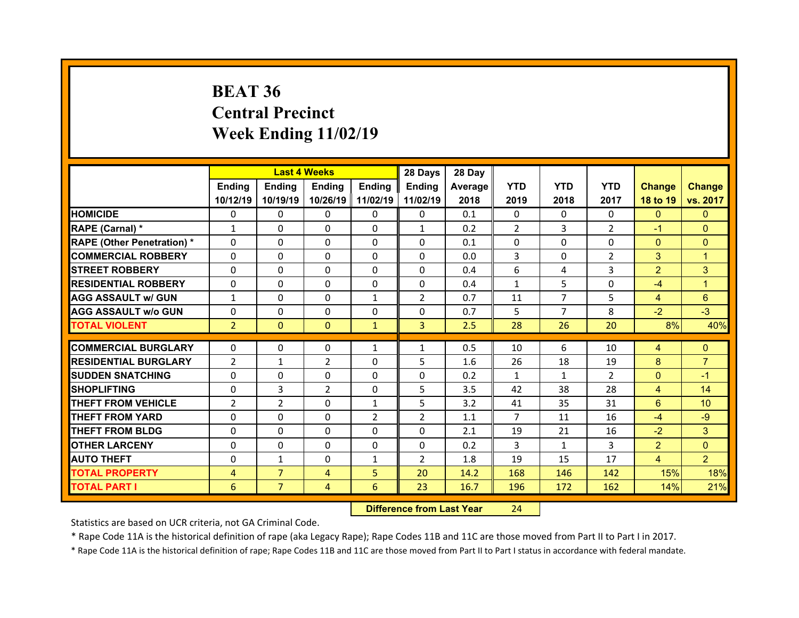# **BEAT 36 Central Precinct Week Ending 11/02/19**

|                                   |                | <b>Last 4 Weeks</b> |              |                | 28 Days        | 28 Day  |                |                |                |                |                 |
|-----------------------------------|----------------|---------------------|--------------|----------------|----------------|---------|----------------|----------------|----------------|----------------|-----------------|
|                                   | Ending         | <b>Ending</b>       | Ending       | Ending         | Ending         | Average | <b>YTD</b>     | <b>YTD</b>     | <b>YTD</b>     | <b>Change</b>  | <b>Change</b>   |
|                                   | 10/12/19       | 10/19/19            | 10/26/19     | 11/02/19       | 11/02/19       | 2018    | 2019           | 2018           | 2017           | 18 to 19       | vs. 2017        |
| <b>HOMICIDE</b>                   | $\Omega$       | 0                   | $\Omega$     | $\Omega$       | $\Omega$       | 0.1     | $\Omega$       | $\Omega$       | $\Omega$       | $\Omega$       | $\Omega$        |
| RAPE (Carnal) *                   | $\mathbf{1}$   | $\Omega$            | $\Omega$     | $\Omega$       | $\mathbf{1}$   | 0.2     | 2              | 3              | $\overline{2}$ | $-1$           | $\Omega$        |
| <b>RAPE (Other Penetration) *</b> | $\Omega$       | $\Omega$            | $\mathbf{0}$ | $\Omega$       | $\Omega$       | 0.1     | $\Omega$       | $\Omega$       | $\Omega$       | $\overline{0}$ | $\Omega$        |
| <b>COMMERCIAL ROBBERY</b>         | $\Omega$       | $\Omega$            | $\mathbf{0}$ | $\Omega$       | $\Omega$       | 0.0     | 3              | $\Omega$       | $\overline{2}$ | 3              | $\mathbf{1}$    |
| <b>STREET ROBBERY</b>             | $\Omega$       | $\Omega$            | $\Omega$     | $\Omega$       | 0              | 0.4     | 6              | 4              | 3              | $\overline{2}$ | 3               |
| <b>RESIDENTIAL ROBBERY</b>        | $\Omega$       | $\Omega$            | $\mathbf{0}$ | $\Omega$       | $\Omega$       | 0.4     | $\mathbf{1}$   | 5              | $\Omega$       | $-4$           | 1               |
| <b>AGG ASSAULT w/ GUN</b>         | $\mathbf{1}$   | 0                   | $\Omega$     | $\mathbf{1}$   | $\overline{2}$ | 0.7     | 11             | $\overline{7}$ | 5              | $\overline{4}$ | $6^{\circ}$     |
| <b>AGG ASSAULT w/o GUN</b>        | $\Omega$       | $\Omega$            | $\mathbf{0}$ | $\Omega$       | $\Omega$       | 0.7     | 5              | $\overline{7}$ | 8              | $-2$           | $-3$            |
| <b>TOTAL VIOLENT</b>              | $\overline{2}$ | $\mathbf{0}$        | $\mathbf{0}$ | $\mathbf{1}$   | $\overline{3}$ | 2.5     | 28             | 26             | 20             | 8%             | 40%             |
|                                   |                |                     |              |                |                |         |                | 6              |                |                |                 |
| <b>COMMERCIAL BURGLARY</b>        | 0              | 0                   | 0            | 1              | $\mathbf{1}$   | 0.5     | 10             |                | 10             | 4              | $\mathbf{0}$    |
| <b>RESIDENTIAL BURGLARY</b>       | $\overline{2}$ | $\mathbf{1}$        | 2            | $\Omega$       | 5              | 1.6     | 26             | 18             | 19             | 8              | $\overline{7}$  |
| <b>SUDDEN SNATCHING</b>           | 0              | 0                   | 0            | $\Omega$       | 0              | 0.2     | $\mathbf{1}$   | $\mathbf{1}$   | $\overline{2}$ | $\mathbf{0}$   | $-1$            |
| <b>SHOPLIFTING</b>                | 0              | 3                   | 2            | $\Omega$       | 5              | 3.5     | 42             | 38             | 28             | $\overline{4}$ | 14              |
| <b>THEFT FROM VEHICLE</b>         | $\overline{2}$ | 2                   | $\mathbf{0}$ | 1              | 5              | 3.2     | 41             | 35             | 31             | 6              | 10 <sup>°</sup> |
| <b>THEFT FROM YARD</b>            |                |                     |              |                |                |         | $\overline{7}$ | 11             | 16             | $-4$           | $-9$            |
|                                   | 0              | 0                   | $\Omega$     | $\overline{2}$ | $\overline{2}$ | 1.1     |                |                |                |                |                 |
| <b>THEFT FROM BLDG</b>            | $\Omega$       | 0                   | $\mathbf{0}$ | $\Omega$       | 0              | 2.1     | 19             | 21             | 16             | $-2$           | 3               |
| <b>OTHER LARCENY</b>              | 0              | 0                   | $\Omega$     | $\Omega$       | 0              | 0.2     | 3              | $\mathbf{1}$   | 3              | $\overline{2}$ | $\Omega$        |
| <b>AUTO THEFT</b>                 | 0              | $\mathbf{1}$        | $\mathbf{0}$ | $\mathbf{1}$   | $\overline{2}$ | 1.8     | 19             | 15             | 17             | $\overline{4}$ | $\overline{2}$  |
| <b>TOTAL PROPERTY</b>             | 4              | $\overline{7}$      | 4            | 5              | 20             | 14.2    | 168            | 146            | 142            | 15%            | 18%             |
| <b>TOTAL PART I</b>               | 6              | $\overline{7}$      | 4            | 6              | 23             | 16.7    | 196            | 172            | 162            | 14%            | 21%             |

 **Difference from Last Year**r 24

Statistics are based on UCR criteria, not GA Criminal Code.

\* Rape Code 11A is the historical definition of rape (aka Legacy Rape); Rape Codes 11B and 11C are those moved from Part II to Part I in 2017.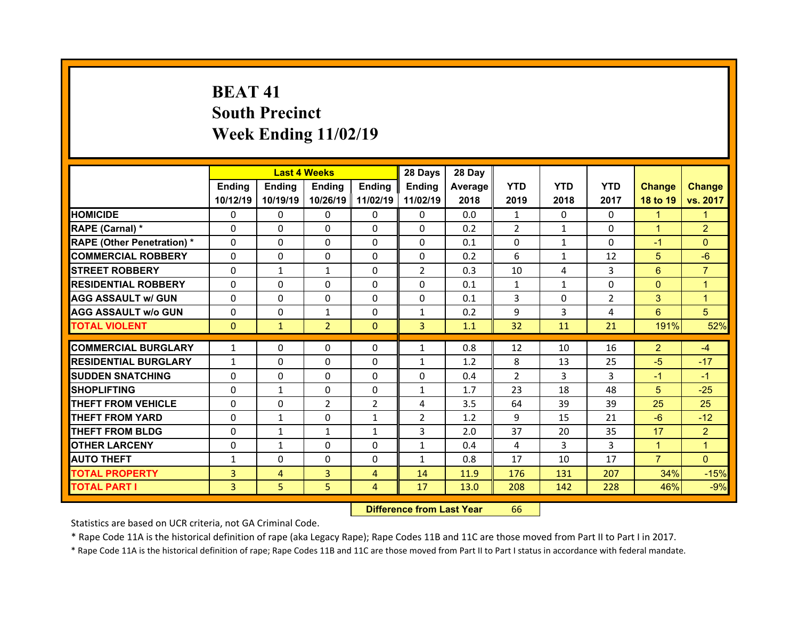# **BEAT 41South Precinct Week Ending 11/02/19**

|                                   |                | <b>Last 4 Weeks</b> |                |                | 28 Days        | 28 Day  |                |              |                |                |                |
|-----------------------------------|----------------|---------------------|----------------|----------------|----------------|---------|----------------|--------------|----------------|----------------|----------------|
|                                   | Ending         | <b>Ending</b>       | <b>Ending</b>  | Ending         | Ending         | Average | <b>YTD</b>     | <b>YTD</b>   | <b>YTD</b>     | <b>Change</b>  | <b>Change</b>  |
|                                   | 10/12/19       | 10/19/19            | 10/26/19       | 11/02/19       | 11/02/19       | 2018    | 2019           | 2018         | 2017           | 18 to 19       | vs. 2017       |
| <b>HOMICIDE</b>                   | $\Omega$       | $\Omega$            | 0              | $\Omega$       | 0              | 0.0     | $\mathbf{1}$   | $\Omega$     | $\Omega$       | $\mathbf{1}$   | 1              |
| RAPE (Carnal) *                   | $\Omega$       | 0                   | $\mathbf{0}$   | $\mathbf{0}$   | $\Omega$       | 0.2     | $\overline{2}$ | $\mathbf{1}$ | $\Omega$       | $\mathbf{1}$   | $\overline{2}$ |
| <b>RAPE (Other Penetration) *</b> | $\Omega$       | 0                   | $\Omega$       | $\Omega$       | 0              | 0.1     | $\Omega$       | $\mathbf{1}$ | $\Omega$       | $-1$           | $\Omega$       |
| <b>COMMERCIAL ROBBERY</b>         | $\Omega$       | $\Omega$            | $\mathbf{0}$   | $\Omega$       | $\Omega$       | 0.2     | 6              | $\mathbf{1}$ | 12             | 5              | $-6$           |
| <b>STREET ROBBERY</b>             | $\Omega$       | $\mathbf{1}$        | $\mathbf{1}$   | $\Omega$       | $\overline{2}$ | 0.3     | 10             | 4            | 3              | 6              | $\overline{7}$ |
| <b>RESIDENTIAL ROBBERY</b>        | $\Omega$       | $\Omega$            | $\mathbf{0}$   | $\Omega$       | $\Omega$       | 0.1     | $\mathbf{1}$   | $\mathbf{1}$ | $\Omega$       | $\overline{0}$ | 1              |
| <b>AGG ASSAULT w/ GUN</b>         | $\Omega$       | $\Omega$            | $\Omega$       | $\Omega$       | $\Omega$       | 0.1     | 3              | $\Omega$     | $\overline{2}$ | 3              | $\mathbf{1}$   |
| <b>AGG ASSAULT w/o GUN</b>        | $\Omega$       | $\Omega$            | $\mathbf{1}$   | $\Omega$       | $\mathbf{1}$   | 0.2     | 9              | 3            | 4              | 6              | 5              |
| <b>TOTAL VIOLENT</b>              | $\Omega$       | $\mathbf{1}$        | $\overline{2}$ | $\mathbf{0}$   | $\overline{3}$ | 1.1     | 32             | 11           | 21             | 191%           | 52%            |
|                                   |                |                     |                |                |                |         |                |              |                |                |                |
| <b>COMMERCIAL BURGLARY</b>        | $\mathbf{1}$   | 0                   | 0              | $\mathbf{0}$   | $\mathbf{1}$   | 0.8     | 12             | 10           | 16             | $\overline{2}$ | $-4$           |
| <b>RESIDENTIAL BURGLARY</b>       | $\mathbf{1}$   | 0                   | $\Omega$       | $\Omega$       | $\mathbf{1}$   | 1.2     | 8              | 13           | 25             | $-5$           | $-17$          |
| <b>SUDDEN SNATCHING</b>           | $\mathbf{0}$   | 0                   | $\Omega$       | $\Omega$       | 0              | 0.4     | 2              | 3            | 3              | $-1$           | $-1$           |
| <b>SHOPLIFTING</b>                | 0              | $\mathbf{1}$        | $\Omega$       | $\Omega$       | $\mathbf{1}$   | 1.7     | 23             | 18           | 48             | 5              | $-25$          |
| <b>THEFT FROM VEHICLE</b>         | $\mathbf{0}$   | 0                   | 2              | $\overline{2}$ | 4              | 3.5     | 64             | 39           | 39             | 25             | 25             |
| <b>THEFT FROM YARD</b>            | $\Omega$       | $\mathbf{1}$        | $\Omega$       | $\mathbf{1}$   | $\overline{2}$ | 1.2     | 9              | 15           | 21             | $-6$           | $-12$          |
| <b>THEFT FROM BLDG</b>            | $\mathbf{0}$   | $\mathbf{1}$        | $\mathbf{1}$   | $\mathbf{1}$   | 3              | 2.0     | 37             | 20           | 35             | 17             | $\overline{2}$ |
| <b>OTHER LARCENY</b>              | $\Omega$       | $\mathbf{1}$        | $\Omega$       | $\Omega$       | $\mathbf{1}$   | 0.4     | 4              | 3            | 3              | $\mathbf{1}$   | $\overline{1}$ |
| <b>AUTO THEFT</b>                 | $\mathbf{1}$   | 0                   | 0              | $\Omega$       | $\mathbf{1}$   | 0.8     | 17             | 10           | 17             | $\overline{7}$ | $\Omega$       |
| <b>TOTAL PROPERTY</b>             | $\overline{3}$ | $\overline{4}$      | 3              | $\overline{4}$ | 14             | 11.9    | 176            | 131          | 207            | 34%            | $-15%$         |
| <b>TOTAL PART I</b>               | 3              | 5 <sup>1</sup>      | 5              | $\overline{4}$ | 17             | 13.0    | 208            | 142          | 228            | 46%            | $-9%$          |

 **Difference from Last Year**r 66

Statistics are based on UCR criteria, not GA Criminal Code.

\* Rape Code 11A is the historical definition of rape (aka Legacy Rape); Rape Codes 11B and 11C are those moved from Part II to Part I in 2017.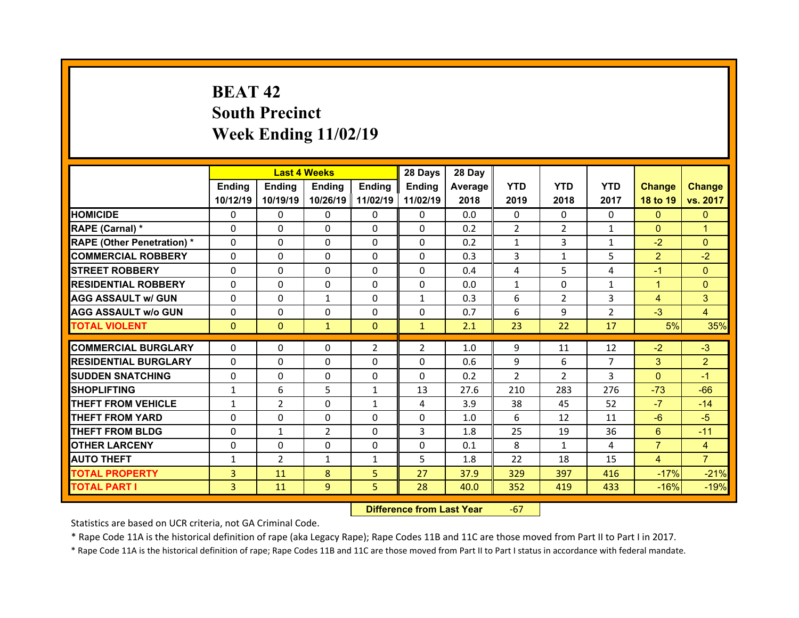# **BEAT 42South Precinct Week Ending 11/02/19**

|                                   |              | <b>Last 4 Weeks</b> |              |                | 28 Days        | 28 Day  |                |                |                |                |                |
|-----------------------------------|--------------|---------------------|--------------|----------------|----------------|---------|----------------|----------------|----------------|----------------|----------------|
|                                   | Ending       | <b>Ending</b>       | Ending       | Ending         | Ending         | Average | <b>YTD</b>     | <b>YTD</b>     | <b>YTD</b>     | <b>Change</b>  | <b>Change</b>  |
|                                   | 10/12/19     | 10/19/19            | 10/26/19     | 11/02/19       | 11/02/19       | 2018    | 2019           | 2018           | 2017           | 18 to 19       | vs. 2017       |
| <b>HOMICIDE</b>                   | $\Omega$     | $\Omega$            | $\Omega$     | $\Omega$       | $\Omega$       | 0.0     | $\Omega$       | $\Omega$       | $\Omega$       | $\Omega$       | $\mathbf{0}$   |
| RAPE (Carnal) *                   | $\Omega$     | $\Omega$            | $\Omega$     | $\Omega$       | $\Omega$       | 0.2     | $\overline{2}$ | $\overline{2}$ | $\mathbf{1}$   | $\mathbf{0}$   | 1              |
| <b>RAPE (Other Penetration) *</b> | $\Omega$     | $\Omega$            | $\mathbf{0}$ | $\Omega$       | $\Omega$       | 0.2     | $\mathbf{1}$   | 3              | $\mathbf{1}$   | $-2$           | $\Omega$       |
| <b>COMMERCIAL ROBBERY</b>         | $\Omega$     | $\Omega$            | $\mathbf{0}$ | $\Omega$       | $\Omega$       | 0.3     | 3              | $\mathbf{1}$   | 5              | $\overline{2}$ | $-2$           |
| <b>STREET ROBBERY</b>             | $\Omega$     | $\Omega$            | $\Omega$     | $\Omega$       | $\Omega$       | 0.4     | 4              | 5              | 4              | $-1$           | $\Omega$       |
| <b>RESIDENTIAL ROBBERY</b>        | $\Omega$     | $\Omega$            | $\mathbf{0}$ | $\Omega$       | $\Omega$       | 0.0     | $\mathbf{1}$   | $\Omega$       | $\mathbf{1}$   | $\mathbf{1}$   | $\Omega$       |
| <b>AGG ASSAULT w/ GUN</b>         | $\Omega$     | 0                   | $\mathbf{1}$ | $\Omega$       | $\mathbf{1}$   | 0.3     | 6              | $\overline{2}$ | 3              | $\overline{4}$ | 3              |
| <b>AGG ASSAULT w/o GUN</b>        | $\Omega$     | $\Omega$            | $\mathbf{0}$ | $\Omega$       | $\Omega$       | 0.7     | 6              | 9              | $\overline{2}$ | $-3$           | $\overline{4}$ |
| <b>TOTAL VIOLENT</b>              | $\mathbf{0}$ | $\mathbf{0}$        | $\mathbf{1}$ | $\Omega$       | $\mathbf{1}$   | 2.1     | 23             | 22             | 17             | 5%             | 35%            |
|                                   |              |                     |              |                |                |         |                |                |                |                |                |
|                                   |              |                     |              |                |                |         |                |                |                |                |                |
| <b>COMMERCIAL BURGLARY</b>        | 0            | 0                   | 0            | $\overline{2}$ | $\overline{2}$ | 1.0     | 9              | 11             | 12             | $-2$           | $-3$           |
| <b>RESIDENTIAL BURGLARY</b>       | 0            | $\Omega$            | $\Omega$     | $\Omega$       | 0              | 0.6     | 9              | 6              | $\overline{7}$ | 3              | $\overline{2}$ |
| <b>SUDDEN SNATCHING</b>           | 0            | 0                   | $\mathbf{0}$ | $\mathbf{0}$   | 0              | 0.2     | 2              | $\overline{2}$ | 3              | $\Omega$       | $-1$           |
| <b>SHOPLIFTING</b>                | $\mathbf{1}$ | 6                   | 5            | $\mathbf{1}$   | 13             | 27.6    | 210            | 283            | 276            | $-73$          | $-66$          |
| <b>THEFT FROM VEHICLE</b>         | $\mathbf{1}$ | $\overline{2}$      | $\mathbf{0}$ | 1              | 4              | 3.9     | 38             | 45             | 52             | $-7$           | $-14$          |
| <b>THEFT FROM YARD</b>            | 0            | 0                   | $\Omega$     | $\Omega$       | $\Omega$       | 1.0     | 6              | 12             | 11             | $-6$           | $-5$           |
| <b>THEFT FROM BLDG</b>            | $\Omega$     | $\mathbf{1}$        | 2            | $\mathbf{0}$   | 3              | 1.8     | 25             | 19             | 36             | 6              | $-11$          |
| <b>OTHER LARCENY</b>              | $\Omega$     | 0                   | $\mathbf{0}$ | $\Omega$       | $\Omega$       | 0.1     | 8              | $\mathbf{1}$   | 4              | $\overline{7}$ | $\overline{4}$ |
| <b>AUTO THEFT</b>                 | $\mathbf{1}$ | 2                   | $\mathbf{1}$ | $\mathbf{1}$   | 5              | 1.8     | 22             | 18             | 15             | $\overline{4}$ | $\overline{7}$ |
| <b>TOTAL PROPERTY</b>             | 3            | 11                  | 8            | 5              | 27             | 37.9    | 329            | 397            | 416            | $-17%$         | $-21%$         |
| <b>TOTAL PART I</b>               | 3            | 11                  | 9            | 5              | 28             | 40.0    | 352            | 419            | 433            | $-16%$         | $-19%$         |

 **Difference from Last Year**‐67

Statistics are based on UCR criteria, not GA Criminal Code.

\* Rape Code 11A is the historical definition of rape (aka Legacy Rape); Rape Codes 11B and 11C are those moved from Part II to Part I in 2017.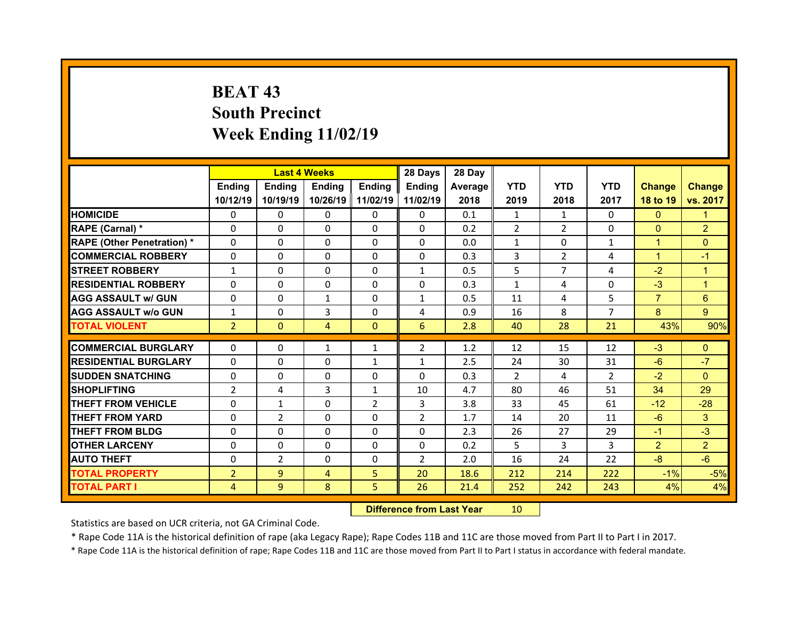# **BEAT 43 South Precinct Week Ending 11/02/19**

|                                   |                | <b>Last 4 Weeks</b> |              |                | 28 Days        | 28 Day  |                |                |                |                |                |
|-----------------------------------|----------------|---------------------|--------------|----------------|----------------|---------|----------------|----------------|----------------|----------------|----------------|
|                                   | Ending         | <b>Ending</b>       | Ending       | Ending         | <b>Ending</b>  | Average | <b>YTD</b>     | <b>YTD</b>     | <b>YTD</b>     | <b>Change</b>  | <b>Change</b>  |
|                                   | 10/12/19       | 10/19/19            | 10/26/19     | 11/02/19       | 11/02/19       | 2018    | 2019           | 2018           | 2017           | 18 to 19       | vs. 2017       |
| <b>HOMICIDE</b>                   | $\Omega$       | 0                   | 0            | $\Omega$       | $\Omega$       | 0.1     | $\mathbf{1}$   | $\mathbf{1}$   | $\Omega$       | $\Omega$       | 1              |
| RAPE (Carnal) *                   | $\mathbf{0}$   | 0                   | $\mathbf{0}$ | $\mathbf{0}$   | $\Omega$       | 0.2     | $\overline{2}$ | $\overline{2}$ | $\Omega$       | $\mathbf{0}$   | $\overline{2}$ |
| <b>RAPE (Other Penetration) *</b> | $\Omega$       | $\Omega$            | $\Omega$     | $\Omega$       | $\Omega$       | 0.0     | $\mathbf{1}$   | $\Omega$       | $\mathbf{1}$   | $\mathbf{1}$   | $\Omega$       |
| <b>COMMERCIAL ROBBERY</b>         | 0              | $\Omega$            | $\mathbf{0}$ | $\Omega$       | $\Omega$       | 0.3     | 3              | $\overline{2}$ | 4              | $\mathbf{1}$   | $-1$           |
| <b>STREET ROBBERY</b>             | $\mathbf{1}$   | 0                   | $\Omega$     | $\Omega$       | $\mathbf{1}$   | 0.5     | 5              | $\overline{7}$ | 4              | $-2$           | $\mathbf{1}$   |
| <b>RESIDENTIAL ROBBERY</b>        | $\Omega$       | 0                   | 0            | $\Omega$       | $\Omega$       | 0.3     | $\mathbf{1}$   | 4              | $\Omega$       | $-3$           | $\mathbf{1}$   |
| <b>AGG ASSAULT w/ GUN</b>         | $\Omega$       | $\Omega$            | $\mathbf{1}$ | $\Omega$       | $\mathbf{1}$   | 0.5     | 11             | 4              | 5              | $\overline{7}$ | 6              |
| <b>AGG ASSAULT w/o GUN</b>        | $\mathbf{1}$   | 0                   | 3            | $\Omega$       | 4              | 0.9     | 16             | 8              | $\overline{7}$ | 8              | 9              |
| <b>TOTAL VIOLENT</b>              | $\overline{2}$ | $\mathbf{0}$        | 4            | $\Omega$       | 6              | 2.8     | 40             | 28             | 21             | 43%            | 90%            |
| <b>COMMERCIAL BURGLARY</b>        | 0              | 0                   |              | $\mathbf{1}$   | $\overline{2}$ | 1.2     | 12             | 15             | 12             | $-3$           | $\mathbf{0}$   |
|                                   |                |                     | 1            |                |                |         |                |                |                |                | $-7$           |
| <b>RESIDENTIAL BURGLARY</b>       | 0              | 0                   | 0            | $\mathbf{1}$   | $\mathbf{1}$   | 2.5     | 24             | 30             | 31             | $-6$           |                |
|                                   |                |                     |              |                |                |         |                |                |                |                |                |
| <b>SUDDEN SNATCHING</b>           | $\mathbf{0}$   | $\Omega$            | $\mathbf{0}$ | $\Omega$       | $\Omega$       | 0.3     | $\mathcal{P}$  | 4              | $\overline{2}$ | $-2$           | $\Omega$       |
| <b>SHOPLIFTING</b>                | $\overline{2}$ | 4                   | 3            | 1              | 10             | 4.7     | 80             | 46             | 51             | 34             | 29             |
| <b>THEFT FROM VEHICLE</b>         | 0              | $\mathbf{1}$        | $\Omega$     | $\overline{2}$ | 3              | 3.8     | 33             | 45             | 61             | $-12$          | $-28$          |
| <b>THEFT FROM YARD</b>            | $\Omega$       | $\overline{2}$      | $\Omega$     | $\Omega$       | $\overline{2}$ | 1.7     | 14             | 20             | 11             | $-6$           | 3              |
| <b>THEFT FROM BLDG</b>            | $\Omega$       | $\Omega$            | $\mathbf{0}$ | $\Omega$       | $\Omega$       | 2.3     | 26             | 27             | 29             | $-1$           | $-3$           |
| <b>OTHER LARCENY</b>              | $\mathbf{0}$   | $\Omega$            | $\Omega$     | $\Omega$       | $\Omega$       | 0.2     | 5              | 3              | 3              | $\overline{2}$ | $\overline{2}$ |
| <b>AUTO THEFT</b>                 | $\mathbf{0}$   | $\overline{2}$      | $\mathbf{0}$ | $\mathbf{0}$   | $\overline{2}$ | 2.0     | 16             | 24             | 22             | $-8$           | $-6$           |
| <b>TOTAL PROPERTY</b>             | $\overline{2}$ | 9                   | 4            | 5              | 20             | 18.6    | 212            | 214            | 222            | $-1%$          | $-5%$          |
| <b>TOTAL PART I</b>               | 4              | 9                   | 8            | 5              | 26             | 21.4    | 252            | 242            | 243            | 4%             | 4%             |

 **Difference from Last Year**r 10

Statistics are based on UCR criteria, not GA Criminal Code.

\* Rape Code 11A is the historical definition of rape (aka Legacy Rape); Rape Codes 11B and 11C are those moved from Part II to Part I in 2017.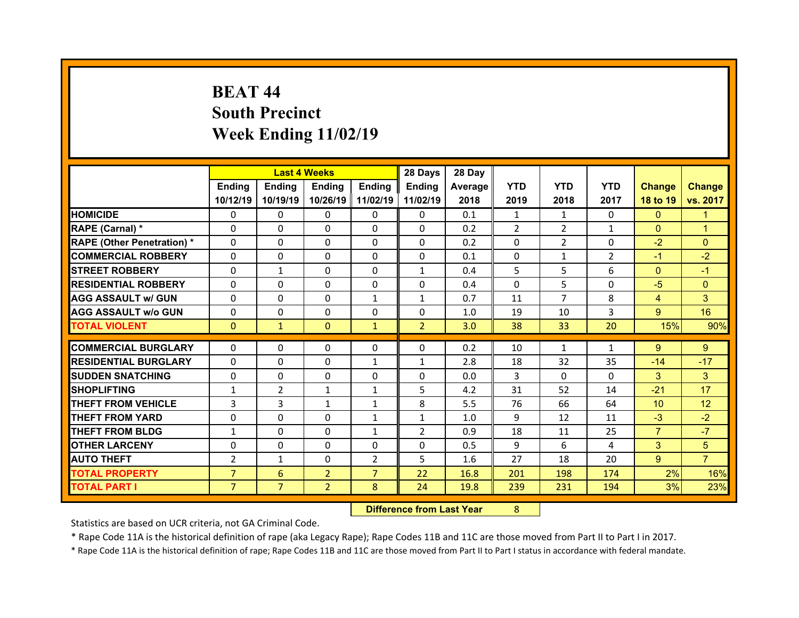# **BEAT 44South Precinct Week Ending 11/02/19**

|                                  |                |                | <b>Last 4 Weeks</b> |                | 28 Days        | 28 Day  |            |                |                |                 |                |
|----------------------------------|----------------|----------------|---------------------|----------------|----------------|---------|------------|----------------|----------------|-----------------|----------------|
|                                  | Ending         | Ending         | <b>Ending</b>       | <b>Ending</b>  | Ending         | Average | <b>YTD</b> | <b>YTD</b>     | <b>YTD</b>     | <b>Change</b>   | <b>Change</b>  |
|                                  | 10/12/19       | 10/19/19       | 10/26/19            | 11/02/19       | 11/02/19       | 2018    | 2019       | 2018           | 2017           | 18 to 19        | vs. 2017       |
| <b>HOMICIDE</b>                  | $\Omega$       | 0              | $\Omega$            | $\Omega$       | 0              | 0.1     | 1          | 1              | $\Omega$       | $\mathbf{0}$    | 1              |
| RAPE (Carnal) *                  | 0              | $\Omega$       | $\mathbf{0}$        | $\Omega$       | 0              | 0.2     | 2          | $\overline{2}$ | $\mathbf{1}$   | $\mathbf{0}$    | 1              |
| <b>RAPE (Other Penetration)*</b> | 0              | $\Omega$       | $\Omega$            | $\Omega$       | 0              | 0.2     | $\Omega$   | $\overline{2}$ | $\Omega$       | $-2$            | $\Omega$       |
| <b>COMMERCIAL ROBBERY</b>        | $\Omega$       | 0              | $\Omega$            | $\Omega$       | 0              | 0.1     | $\Omega$   | $\mathbf{1}$   | $\overline{2}$ | $-1$            | $-2$           |
| <b>STREET ROBBERY</b>            | $\Omega$       | $\mathbf{1}$   | $\mathbf{0}$        | $\Omega$       | $\mathbf{1}$   | 0.4     | 5          | 5              | 6              | $\overline{0}$  | $-1$           |
| <b>RESIDENTIAL ROBBERY</b>       | $\Omega$       | $\Omega$       | $\Omega$            | $\Omega$       | $\Omega$       | 0.4     | $\Omega$   | 5.             | $\Omega$       | $-5$            | $\Omega$       |
| <b>AGG ASSAULT w/ GUN</b>        | $\Omega$       | 0              | $\Omega$            | $\mathbf{1}$   | $\mathbf{1}$   | 0.7     | 11         | $\overline{7}$ | 8              | $\overline{4}$  | 3              |
| <b>AGG ASSAULT w/o GUN</b>       | $\Omega$       | $\Omega$       | $\mathbf{0}$        | $\Omega$       | $\Omega$       | 1.0     | 19         | 10             | 3              | 9 <sup>°</sup>  | 16             |
| <b>TOTAL VIOLENT</b>             | $\mathbf{0}$   | $\mathbf{1}$   | $\mathbf{0}$        | $\mathbf{1}$   | $\overline{2}$ | 3.0     | 38         | 33             | 20             | 15%             | 90%            |
|                                  |                |                |                     |                |                |         |            |                |                |                 |                |
| <b>COMMERCIAL BURGLARY</b>       | 0              | 0              | 0                   | 0              | 0              | 0.2     | 10         | $\mathbf{1}$   | $\mathbf{1}$   | 9               | 9              |
| <b>RESIDENTIAL BURGLARY</b>      | $\Omega$       | 0              | 0                   | 1              | $\mathbf{1}$   | 2.8     | 18         | 32             | 35             | $-14$           | $-17$          |
| <b>SUDDEN SNATCHING</b>          | 0              | $\Omega$       | $\mathbf{0}$        | $\Omega$       | 0              | 0.0     | 3          | $\Omega$       | $\Omega$       | 3               | 3              |
| <b>SHOPLIFTING</b>               | $\mathbf{1}$   | $\overline{2}$ | $\mathbf{1}$        | 1              | 5              | 4.2     | 31         | 52             | 14             | $-21$           | 17             |
| <b>THEFT FROM VEHICLE</b>        | 3              | 3              | $\mathbf{1}$        | $\mathbf{1}$   | 8              | 5.5     | 76         | 66             | 64             | 10 <sup>°</sup> | 12             |
|                                  |                |                |                     |                |                |         |            |                |                |                 |                |
| <b>THEFT FROM YARD</b>           | 0              | $\Omega$       | 0                   | 1              | $\mathbf{1}$   | 1.0     | 9          | 12             | 11             | $-3$            | $-2$           |
| <b>THEFT FROM BLDG</b>           | $\mathbf{1}$   | 0              | $\mathbf{0}$        | $\mathbf{1}$   | $\overline{2}$ | 0.9     | 18         | 11             | 25             | $\overline{7}$  | $-7$           |
| <b>OTHER LARCENY</b>             | $\Omega$       | 0              | $\Omega$            | $\Omega$       | 0              | 0.5     | 9          | 6              | 4              | 3               | 5              |
| <b>AUTO THEFT</b>                | $\overline{2}$ | $\mathbf{1}$   | $\mathbf{0}$        | $\overline{2}$ | 5              | 1.6     | 27         | 18             | 20             | $9^{\circ}$     | $\overline{7}$ |
| <b>TOTAL PROPERTY</b>            | $\overline{7}$ | 6              | $\overline{2}$      | $\overline{7}$ | 22             | 16.8    | 201        | 198            | 174            | 2%              | 16%            |
| <b>TOTAL PART I</b>              | $\overline{7}$ | $\overline{7}$ | $\overline{2}$      | 8              | 24             | 19.8    | 239        | 231            | 194            | 3%              | 23%            |

 **Difference from Last Year**r 8

Statistics are based on UCR criteria, not GA Criminal Code.

\* Rape Code 11A is the historical definition of rape (aka Legacy Rape); Rape Codes 11B and 11C are those moved from Part II to Part I in 2017.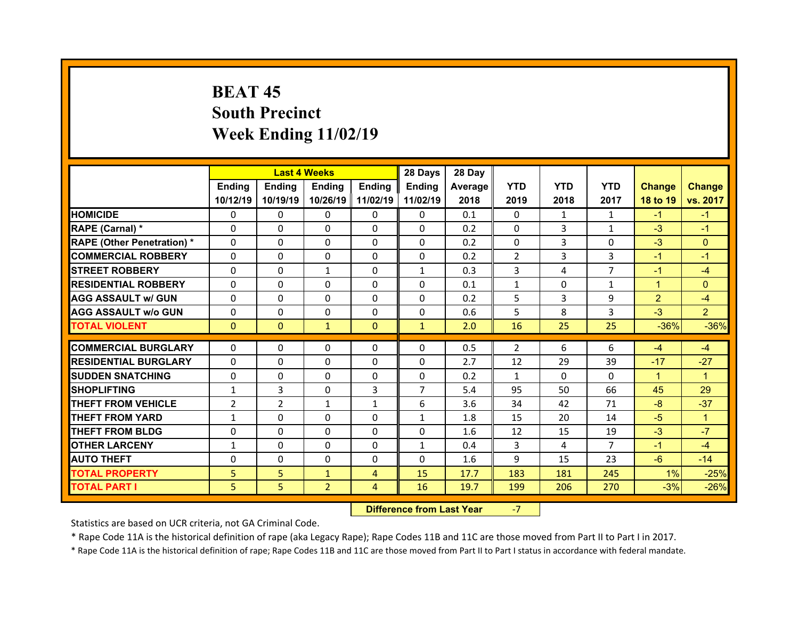# **BEAT 45South Precinct Week Ending 11/02/19**

|                                  |                | <b>Last 4 Weeks</b> |                |                | 28 Days        | 28 Day     |              |            |                |                |                |
|----------------------------------|----------------|---------------------|----------------|----------------|----------------|------------|--------------|------------|----------------|----------------|----------------|
|                                  | Ending         | <b>Ending</b>       | <b>Ending</b>  | Ending         | <b>Ending</b>  | Average II | <b>YTD</b>   | <b>YTD</b> | <b>YTD</b>     | <b>Change</b>  | <b>Change</b>  |
|                                  | 10/12/19       | 10/19/19            | 10/26/19       | 11/02/19       | 11/02/19       | 2018       | 2019         | 2018       | 2017           | 18 to 19       | vs. 2017       |
| <b>HOMICIDE</b>                  | $\Omega$       | 0                   | 0              | $\mathbf{0}$   | 0              | 0.1        | $\Omega$     | 1          | $\mathbf{1}$   | $-1$           | $-1$           |
| RAPE (Carnal) *                  | $\Omega$       | $\Omega$            | $\Omega$       | $\Omega$       | 0              | 0.2        | $\Omega$     | 3          | $\mathbf{1}$   | $-3$           | $-1$           |
| <b>RAPE (Other Penetration)*</b> | $\Omega$       | $\Omega$            | $\Omega$       | $\Omega$       | $\Omega$       | 0.2        | $\Omega$     | 3          | $\Omega$       | $-3$           | $\Omega$       |
| <b>COMMERCIAL ROBBERY</b>        | $\Omega$       | $\Omega$            | $\mathbf{0}$   | $\Omega$       | $\Omega$       | 0.2        | 2            | 3          | 3              | $-1$           | $-1$           |
| <b>STREET ROBBERY</b>            | $\Omega$       | $\Omega$            | $\mathbf{1}$   | $\Omega$       | $\mathbf{1}$   | 0.3        | 3            | 4          | $\overline{7}$ | $-1$           | $-4$           |
| <b>RESIDENTIAL ROBBERY</b>       | $\Omega$       | $\Omega$            | $\Omega$       | $\Omega$       | $\Omega$       | 0.1        | $\mathbf{1}$ | $\Omega$   | $\mathbf{1}$   | $\mathbf{1}$   | $\Omega$       |
| <b>AGG ASSAULT w/ GUN</b>        | $\Omega$       | $\Omega$            | $\mathbf{0}$   | $\Omega$       | $\Omega$       | 0.2        | 5            | 3          | 9              | $\overline{2}$ | $-4$           |
| <b>AGG ASSAULT w/o GUN</b>       | $\Omega$       | 0                   | 0              | $\Omega$       | 0              | 0.6        | 5            | 8          | 3              | $-3$           | $\overline{2}$ |
| <b>TOTAL VIOLENT</b>             | $\mathbf{0}$   | $\overline{0}$      | $\mathbf{1}$   | $\mathbf{0}$   | $\mathbf{1}$   | 2.0        | 16           | 25         | 25             | $-36%$         | $-36%$         |
| <b>COMMERCIAL BURGLARY</b>       | $\mathbf{0}$   | 0                   | 0              | $\mathbf{0}$   | 0              | 0.5        | 2            | 6          | 6              | $-4$           | $-4$           |
| <b>RESIDENTIAL BURGLARY</b>      | $\Omega$       | $\Omega$            | $\Omega$       | $\Omega$       | $\Omega$       | 2.7        | 12           | 29         | 39             | $-17$          | $-27$          |
| <b>SUDDEN SNATCHING</b>          | $\Omega$       | $\Omega$            | $\Omega$       | $\Omega$       | $\Omega$       | 0.2        | $\mathbf{1}$ | $\Omega$   | $\Omega$       | $\mathbf{1}$   | $\overline{1}$ |
| <b>SHOPLIFTING</b>               | $\mathbf{1}$   | 3                   | $\Omega$       | 3              | $\overline{7}$ | 5.4        | 95           | 50         | 66             | 45             | 29             |
| <b>THEFT FROM VEHICLE</b>        | $\overline{2}$ | $\overline{2}$      | $\mathbf{1}$   | $\mathbf{1}$   | 6              | 3.6        | 34           | 42         | 71             | $-8$           | $-37$          |
| <b>THEFT FROM YARD</b>           | $\mathbf{1}$   | $\Omega$            | $\Omega$       | $\Omega$       | $\mathbf{1}$   | 1.8        | 15           | 20         | 14             | $-5$           | $\mathbf{1}$   |
| <b>THEFT FROM BLDG</b>           | 0              | $\Omega$            | $\Omega$       | $\Omega$       | $\Omega$       | 1.6        | 12           | 15         | 19             | $-3$           | $-7$           |
| <b>OTHER LARCENY</b>             | $\mathbf{1}$   | 0                   | $\mathbf{0}$   | $\Omega$       | $\mathbf{1}$   | 0.4        | 3            | 4          | $\overline{7}$ | $-1$           | $-4$           |
| <b>AUTO THEFT</b>                | $\Omega$       | $\Omega$            | $\Omega$       | $\Omega$       | 0              | 1.6        | 9            | 15         | 23             | $-6$           | $-14$          |
| <b>TOTAL PROPERTY</b>            | 5              | 5                   | $\mathbf{1}$   | $\overline{4}$ | 15             | 17.7       | 183          | 181        | 245            | 1%             | $-25%$         |
| <b>TOTAL PART I</b>              | 5              | 5                   | $\overline{2}$ | 4              | 16             | 19.7       | 199          | 206        | 270            | $-3%$          | $-26%$         |

 **Difference from Last Year**‐7

Statistics are based on UCR criteria, not GA Criminal Code.

\* Rape Code 11A is the historical definition of rape (aka Legacy Rape); Rape Codes 11B and 11C are those moved from Part II to Part I in 2017.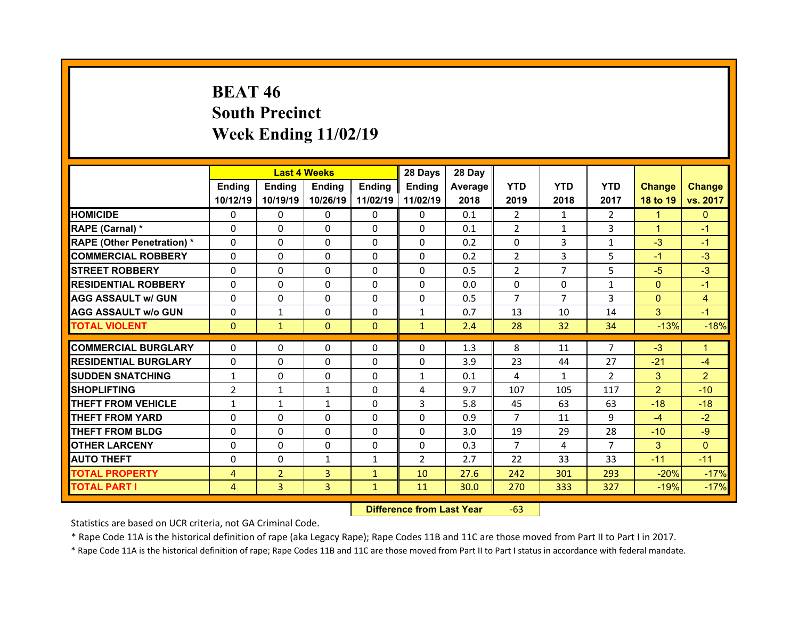# **BEAT 46 South Precinct Week Ending 11/02/19**

|                                  |                | <b>Last 4 Weeks</b> |              |              | 28 Days        | 28 Day  |                |                |                |                |                |
|----------------------------------|----------------|---------------------|--------------|--------------|----------------|---------|----------------|----------------|----------------|----------------|----------------|
|                                  | Ending         | <b>Ending</b>       | Ending       | Ending       | Ending         | Average | <b>YTD</b>     | <b>YTD</b>     | <b>YTD</b>     | <b>Change</b>  | <b>Change</b>  |
|                                  | 10/12/19       | 10/19/19            | 10/26/19     | 11/02/19     | 11/02/19       | 2018    | 2019           | 2018           | 2017           | 18 to 19       | vs. 2017       |
| <b>HOMICIDE</b>                  | $\Omega$       | 0                   | $\Omega$     | $\Omega$     | $\Omega$       | 0.1     | 2              | $\mathbf{1}$   | $\mathcal{P}$  | $\mathbf{1}$   | $\Omega$       |
| RAPE (Carnal) *                  | $\Omega$       | $\Omega$            | $\Omega$     | $\Omega$     | $\Omega$       | 0.1     | $\overline{2}$ | $\mathbf{1}$   | 3              | $\mathbf{1}$   | $-1$           |
| <b>RAPE (Other Penetration)*</b> | $\Omega$       | $\Omega$            | $\mathbf{0}$ | $\Omega$     | $\Omega$       | 0.2     | $\Omega$       | 3              | $\mathbf{1}$   | $-3$           | $-1$           |
| <b>COMMERCIAL ROBBERY</b>        | $\Omega$       | $\Omega$            | $\mathbf{0}$ | $\Omega$     | $\Omega$       | 0.2     | $\overline{2}$ | 3              | 5              | $-1$           | $-3$           |
| <b>STREET ROBBERY</b>            | $\Omega$       | $\Omega$            | $\Omega$     | $\Omega$     | $\Omega$       | 0.5     | 2              | $\overline{7}$ | 5              | $-5$           | $-3$           |
| <b>RESIDENTIAL ROBBERY</b>       | $\Omega$       | $\Omega$            | $\mathbf{0}$ | $\Omega$     | $\Omega$       | 0.0     | $\Omega$       | $\Omega$       | $\mathbf{1}$   | $\overline{0}$ | $-1$           |
| <b>AGG ASSAULT w/ GUN</b>        | $\Omega$       | 0                   | $\Omega$     | $\Omega$     | $\Omega$       | 0.5     | $\overline{7}$ | $\overline{7}$ | 3              | $\overline{0}$ | $\overline{4}$ |
| <b>AGG ASSAULT w/o GUN</b>       | $\Omega$       | $\mathbf{1}$        | $\mathbf{0}$ | $\Omega$     | $\mathbf{1}$   | 0.7     | 13             | 10             | 14             | 3              | $-1$           |
| <b>TOTAL VIOLENT</b>             | $\mathbf{0}$   | $\mathbf{1}$        | $\mathbf{0}$ | $\Omega$     | $\mathbf{1}$   | 2.4     | 28             | 32             | 34             | $-13%$         | $-18%$         |
|                                  |                |                     |              |              |                |         |                |                | $\overline{7}$ |                |                |
| <b>COMMERCIAL BURGLARY</b>       | 0              | 0                   | 0            | 0            | 0              | 1.3     | 8              | 11             |                | $-3$           | 1.             |
| <b>RESIDENTIAL BURGLARY</b>      | 0              | $\Omega$            | $\Omega$     | $\Omega$     | 0              | 3.9     | 23             | 44             | 27             | $-21$          | $-4$           |
| <b>SUDDEN SNATCHING</b>          | $\mathbf{1}$   | 0                   | $\mathbf{0}$ | $\Omega$     | $\mathbf{1}$   | 0.1     | 4              | $\mathbf{1}$   | $\overline{2}$ | 3              | $\overline{2}$ |
| <b>SHOPLIFTING</b>               | $\overline{2}$ | $\mathbf{1}$        | $\mathbf{1}$ | $\Omega$     | 4              | 9.7     | 107            | 105            | 117            | $\overline{2}$ | $-10$          |
| <b>THEFT FROM VEHICLE</b>        | $\mathbf{1}$   | $\mathbf{1}$        | $\mathbf{1}$ | $\mathbf{0}$ | 3              | 5.8     | 45             | 63             | 63             | $-18$          | $-18$          |
| <b>THEFT FROM YARD</b>           | 0              | 0                   | $\Omega$     | $\Omega$     | 0              | 0.9     | $\overline{7}$ | 11             | 9              | $-4$           | $-2$           |
| <b>THEFT FROM BLDG</b>           | $\Omega$       | 0                   | $\mathbf{0}$ | $\mathbf{0}$ | 0              | 3.0     | 19             | 29             | 28             | $-10$          | $-9$           |
| <b>OTHER LARCENY</b>             | 0              | 0                   | $\Omega$     | $\Omega$     | 0              | 0.3     | $\overline{7}$ | 4              | $\overline{7}$ | 3              | $\Omega$       |
|                                  |                |                     |              |              |                |         |                |                |                |                |                |
| <b>AUTO THEFT</b>                | 0              | 0                   | $\mathbf{1}$ | $\mathbf{1}$ | $\overline{2}$ | 2.7     | 22             | 33             | 33             | $-11$          | $-11$          |
| <b>TOTAL PROPERTY</b>            | 4              | $\overline{2}$      | 3            | $\mathbf{1}$ | 10             | 27.6    | 242            | 301            | 293            | $-20%$         | $-17%$         |
| <b>TOTAL PART I</b>              | 4              | 3                   | 3            | $\mathbf{1}$ | 11             | 30.0    | 270            | 333            | 327            | $-19%$         | $-17%$         |

 **Difference from Last Year**r -63

Statistics are based on UCR criteria, not GA Criminal Code.

\* Rape Code 11A is the historical definition of rape (aka Legacy Rape); Rape Codes 11B and 11C are those moved from Part II to Part I in 2017.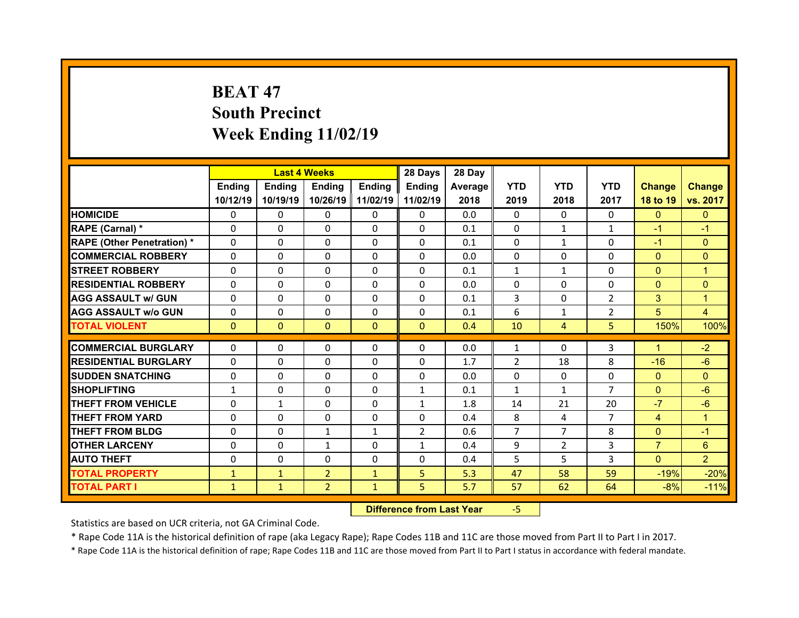# **BEAT 47South Precinct Week Ending 11/02/19**

|                                   |              | <b>Last 4 Weeks</b> |                |               | 28 Days        | 28 Day  |                |                |                |                |                |
|-----------------------------------|--------------|---------------------|----------------|---------------|----------------|---------|----------------|----------------|----------------|----------------|----------------|
|                                   | Ending       | <b>Ending</b>       | Ending         | <b>Ending</b> | <b>Ending</b>  | Average | <b>YTD</b>     | <b>YTD</b>     | <b>YTD</b>     | <b>Change</b>  | <b>Change</b>  |
|                                   | 10/12/19     | 10/19/19            | 10/26/19       | 11/02/19      | 11/02/19       | 2018    | 2019           | 2018           | 2017           | 18 to 19       | vs. 2017       |
| <b>HOMICIDE</b>                   | $\Omega$     | 0                   | 0              | $\Omega$      | $\Omega$       | 0.0     | $\Omega$       | $\Omega$       | $\Omega$       | $\Omega$       | $\mathbf{0}$   |
| RAPE (Carnal) *                   | $\mathbf{0}$ | 0                   | $\mathbf{0}$   | $\mathbf{0}$  | $\Omega$       | 0.1     | 0              | $\mathbf{1}$   | $\mathbf{1}$   | $-1$           | $-1$           |
| <b>RAPE (Other Penetration) *</b> | $\Omega$     | $\Omega$            | $\Omega$       | $\Omega$      | $\Omega$       | 0.1     | $\Omega$       | $\mathbf{1}$   | $\Omega$       | $-1$           | $\Omega$       |
| <b>COMMERCIAL ROBBERY</b>         | $\Omega$     | $\Omega$            | $\mathbf{0}$   | $\Omega$      | $\Omega$       | 0.0     | $\Omega$       | $\Omega$       | $\Omega$       | $\overline{0}$ | $\Omega$       |
| <b>STREET ROBBERY</b>             | $\Omega$     | 0                   | $\Omega$       | $\Omega$      | $\Omega$       | 0.1     | $\mathbf{1}$   | $\mathbf{1}$   | $\Omega$       | $\mathbf{0}$   | $\overline{1}$ |
| <b>RESIDENTIAL ROBBERY</b>        | $\Omega$     | 0                   | $\mathbf{0}$   | $\Omega$      | $\Omega$       | 0.0     | $\Omega$       | $\Omega$       | $\Omega$       | $\overline{0}$ | $\mathbf{0}$   |
| <b>AGG ASSAULT w/ GUN</b>         | $\Omega$     | $\Omega$            | $\Omega$       | $\Omega$      | $\Omega$       | 0.1     | $\overline{3}$ | $\Omega$       | $\overline{2}$ | 3              | $\mathbf{1}$   |
| <b>AGG ASSAULT w/o GUN</b>        | 0            | 0                   | $\mathbf{0}$   | $\Omega$      | $\Omega$       | 0.1     | 6              | $\mathbf{1}$   | $\overline{2}$ | 5              | $\overline{4}$ |
| <b>TOTAL VIOLENT</b>              | $\mathbf{0}$ | $\mathbf{0}$        | $\mathbf{0}$   | $\Omega$      | $\Omega$       | 0.4     | 10             | 4              | 5              | 150%           | 100%           |
| <b>COMMERCIAL BURGLARY</b>        | 0            |                     |                |               |                | 0.0     |                | $\Omega$       | 3              | $\mathbf{1}$   | $-2$           |
|                                   |              | 0                   | 0              | $\mathbf{0}$  | 0              |         | 1              |                |                |                |                |
| <b>RESIDENTIAL BURGLARY</b>       | 0            | 0                   | 0              | $\Omega$      | 0              | 1.7     | $\overline{2}$ | 18             | 8              | $-16$          | $-6$           |
| <b>SUDDEN SNATCHING</b>           | $\mathbf{0}$ | $\Omega$            | $\Omega$       | $\Omega$      | $\Omega$       | 0.0     | $\Omega$       | $\Omega$       | $\Omega$       | $\mathbf{0}$   | $\Omega$       |
| <b>SHOPLIFTING</b>                | $\mathbf{1}$ | $\Omega$            | $\Omega$       | $\Omega$      | $\mathbf{1}$   | 0.1     | $\mathbf{1}$   | $\mathbf{1}$   | $\overline{7}$ | $\overline{0}$ | $-6$           |
| <b>THEFT FROM VEHICLE</b>         | 0            | $\mathbf{1}$        | $\mathbf{0}$   | $\Omega$      | $\mathbf{1}$   | 1.8     | 14             | 21             | 20             | $-7$           | $-6$           |
| <b>THEFT FROM YARD</b>            | $\Omega$     | $\Omega$            | $\mathbf{0}$   | $\Omega$      | $\Omega$       | 0.4     | 8              | 4              | $\overline{7}$ | $\overline{4}$ | $\mathbf{1}$   |
| <b>THEFT FROM BLDG</b>            | $\Omega$     | $\Omega$            | $\mathbf{1}$   | $\mathbf{1}$  | $\overline{2}$ | 0.6     | $\overline{7}$ | $\overline{7}$ | 8              | $\overline{0}$ | $-1$           |
| <b>OTHER LARCENY</b>              | $\Omega$     | $\Omega$            | $\mathbf{1}$   | $\Omega$      | $\mathbf{1}$   | 0.4     | 9              | $\overline{2}$ | 3              | $\overline{7}$ | 6              |
|                                   |              |                     |                | $\mathbf{0}$  | $\Omega$       | 0.4     | 5              | 5.             | 3              | $\Omega$       | $\overline{2}$ |
| <b>AUTO THEFT</b>                 | $\mathbf{0}$ | 0                   | $\mathbf{0}$   |               |                |         |                |                |                |                |                |
| <b>TOTAL PROPERTY</b>             | $\mathbf{1}$ | $\mathbf{1}$        | $\overline{2}$ | $\mathbf{1}$  | 5              | 5.3     | 47             | 58             | 59             | $-19%$         | $-20%$         |

 **Difference from Last Year**‐5

Statistics are based on UCR criteria, not GA Criminal Code.

\* Rape Code 11A is the historical definition of rape (aka Legacy Rape); Rape Codes 11B and 11C are those moved from Part II to Part I in 2017.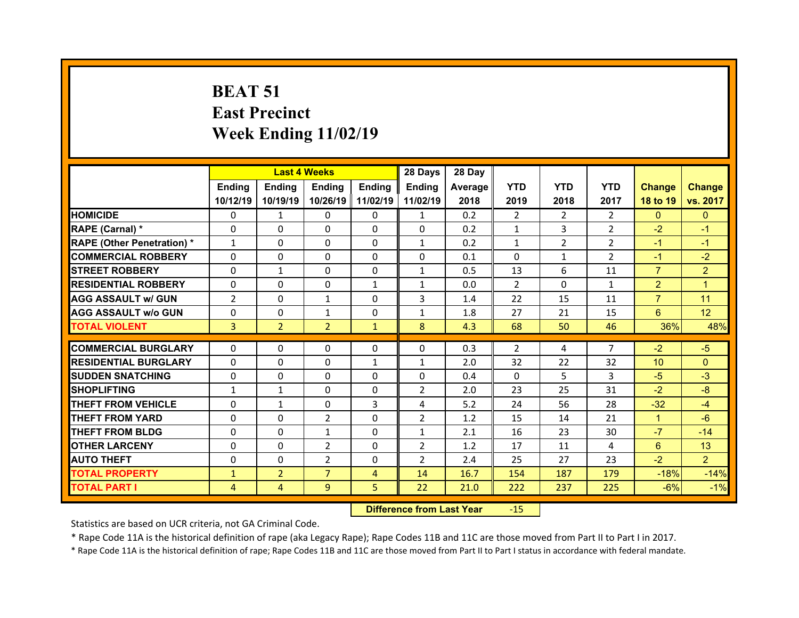# **BEAT 51 East Precinct Week Ending 11/02/19**

| <b>Ending</b><br><b>Ending</b><br><b>Ending</b><br><b>Ending</b><br><b>YTD</b><br><b>YTD</b><br><b>YTD</b><br><b>Endina</b><br><b>Change</b><br>Average   <br>10/26/19 11/02/19<br>11/02/19<br>2018<br>10/12/19<br>10/19/19<br>2019<br>2018<br>2017<br>18 to 19<br><b>HOMICIDE</b><br>0.2<br>$\Omega$<br>$\Omega$<br>$\overline{2}$<br>2<br>$\overline{2}$<br>$\overline{0}$<br>$\mathbf{1}$<br>0<br>$\mathbf{1}$<br>3<br>$\overline{2}$<br>$-2$<br>RAPE (Carnal) *<br>$\Omega$<br>$\Omega$<br>$\Omega$<br>$\Omega$<br>$\Omega$<br>0.2<br>$\mathbf{1}$<br><b>RAPE (Other Penetration) *</b><br>$\overline{2}$<br>$\overline{2}$<br>$\Omega$<br>$\Omega$<br>$\Omega$<br>0.2<br>$\mathbf{1}$<br>$\mathbf{1}$<br>$\mathbf{1}$<br>$-1$<br><b>COMMERCIAL ROBBERY</b><br>$\overline{2}$<br>$\Omega$<br>$\Omega$<br>$\Omega$<br>$\Omega$<br>$\Omega$<br>0.1<br>$\Omega$<br>$\mathbf{1}$<br>$-1$<br>6<br>$\overline{7}$<br><b>STREET ROBBERY</b><br>$\Omega$<br>$\Omega$<br>$\Omega$<br>$\mathbf{1}$<br>0.5<br>13<br>11<br>$\mathbf{1}$<br>$\overline{2}$<br><b>RESIDENTIAL ROBBERY</b><br>2<br>$\Omega$<br>$\Omega$<br>$\Omega$<br>$\Omega$<br>$\mathbf{1}$<br>$\mathbf{1}$<br>0.0<br>$\mathbf{1}$<br>$\overline{7}$<br>$\overline{2}$<br>3<br>15<br><b>AGG ASSAULT W/ GUN</b><br>$\Omega$<br>$\mathbf{1}$<br>$\Omega$<br>22<br>11<br>1.4<br><b>AGG ASSAULT W/o GUN</b><br>1.8<br>6<br>0<br>0<br>$\mathbf{1}$<br>0<br>$\mathbf{1}$<br>27<br>21<br>15<br>$\overline{2}$<br>8<br>36%<br><b>TOTAL VIOLENT</b><br>3<br>$\overline{2}$<br>4.3<br>68<br>50<br>46<br>$\mathbf{1}$<br>$\overline{7}$<br><b>COMMERCIAL BURGLARY</b><br>$\Omega$<br>$\Omega$<br>$\Omega$<br>$\Omega$<br>$\Omega$<br>0.3<br>2<br>$-2$<br>$-5$<br>4<br><b>RESIDENTIAL BURGLARY</b><br>$\Omega$<br>$\Omega$<br>$\Omega$<br>$\mathbf{1}$<br>2.0<br>32<br>22<br>32<br>10 <sup>1</sup><br>$\Omega$<br>$\mathbf{1}$<br>5.<br>3<br><b>ISUDDEN SNATCHING</b><br>$\Omega$<br>$\Omega$<br>$\Omega$<br>$\Omega$<br>$\Omega$<br>$-5$<br>0.4<br>$\Omega$<br>$\Omega$<br>$\Omega$<br>$\overline{2}$<br>25<br>31<br>$-2$<br><b>SHOPLIFTING</b><br>$\mathbf{1}$<br>$\mathbf{1}$<br>2.0<br>23<br><b>THEFT FROM VEHICLE</b><br>$\Omega$<br>$\Omega$<br>3<br>5.2<br>56<br>28<br>$-32$<br>$\mathbf{1}$<br>4<br>24<br>$\overline{2}$<br>$\overline{2}$<br><b>THEFT FROM YARD</b><br>$\Omega$<br>$\Omega$<br>$\Omega$<br>1.2<br>15<br>14<br>21<br>$\mathbf{1}$<br><b>THEFT FROM BLDG</b><br>$\Omega$<br>$\mathbf{1}$<br>$\mathbf{1}$<br>23<br>$-7$<br>0<br>$\Omega$<br>2.1<br>16<br>30<br>$\overline{2}$<br><b>OTHER LARCENY</b><br>$\Omega$<br>$\overline{2}$<br>1.2<br>6<br>$\Omega$<br>$\Omega$<br>17<br>11<br>4 |  | <b>Last 4 Weeks</b> |  | 28 Days | 28 Day |  |  |                 |
|-------------------------------------------------------------------------------------------------------------------------------------------------------------------------------------------------------------------------------------------------------------------------------------------------------------------------------------------------------------------------------------------------------------------------------------------------------------------------------------------------------------------------------------------------------------------------------------------------------------------------------------------------------------------------------------------------------------------------------------------------------------------------------------------------------------------------------------------------------------------------------------------------------------------------------------------------------------------------------------------------------------------------------------------------------------------------------------------------------------------------------------------------------------------------------------------------------------------------------------------------------------------------------------------------------------------------------------------------------------------------------------------------------------------------------------------------------------------------------------------------------------------------------------------------------------------------------------------------------------------------------------------------------------------------------------------------------------------------------------------------------------------------------------------------------------------------------------------------------------------------------------------------------------------------------------------------------------------------------------------------------------------------------------------------------------------------------------------------------------------------------------------------------------------------------------------------------------------------------------------------------------------------------------------------------------------------------------------------------------------------------------------------------------------------------------------------------------------------------------------------------------------------------------------------------------------------------------------------------------------------------------------------------------|--|---------------------|--|---------|--------|--|--|-----------------|
|                                                                                                                                                                                                                                                                                                                                                                                                                                                                                                                                                                                                                                                                                                                                                                                                                                                                                                                                                                                                                                                                                                                                                                                                                                                                                                                                                                                                                                                                                                                                                                                                                                                                                                                                                                                                                                                                                                                                                                                                                                                                                                                                                                                                                                                                                                                                                                                                                                                                                                                                                                                                                                                             |  |                     |  |         |        |  |  | <b>Change</b>   |
|                                                                                                                                                                                                                                                                                                                                                                                                                                                                                                                                                                                                                                                                                                                                                                                                                                                                                                                                                                                                                                                                                                                                                                                                                                                                                                                                                                                                                                                                                                                                                                                                                                                                                                                                                                                                                                                                                                                                                                                                                                                                                                                                                                                                                                                                                                                                                                                                                                                                                                                                                                                                                                                             |  |                     |  |         |        |  |  | vs. 2017        |
|                                                                                                                                                                                                                                                                                                                                                                                                                                                                                                                                                                                                                                                                                                                                                                                                                                                                                                                                                                                                                                                                                                                                                                                                                                                                                                                                                                                                                                                                                                                                                                                                                                                                                                                                                                                                                                                                                                                                                                                                                                                                                                                                                                                                                                                                                                                                                                                                                                                                                                                                                                                                                                                             |  |                     |  |         |        |  |  | $\overline{0}$  |
|                                                                                                                                                                                                                                                                                                                                                                                                                                                                                                                                                                                                                                                                                                                                                                                                                                                                                                                                                                                                                                                                                                                                                                                                                                                                                                                                                                                                                                                                                                                                                                                                                                                                                                                                                                                                                                                                                                                                                                                                                                                                                                                                                                                                                                                                                                                                                                                                                                                                                                                                                                                                                                                             |  |                     |  |         |        |  |  | $-1$            |
|                                                                                                                                                                                                                                                                                                                                                                                                                                                                                                                                                                                                                                                                                                                                                                                                                                                                                                                                                                                                                                                                                                                                                                                                                                                                                                                                                                                                                                                                                                                                                                                                                                                                                                                                                                                                                                                                                                                                                                                                                                                                                                                                                                                                                                                                                                                                                                                                                                                                                                                                                                                                                                                             |  |                     |  |         |        |  |  | $-1$            |
|                                                                                                                                                                                                                                                                                                                                                                                                                                                                                                                                                                                                                                                                                                                                                                                                                                                                                                                                                                                                                                                                                                                                                                                                                                                                                                                                                                                                                                                                                                                                                                                                                                                                                                                                                                                                                                                                                                                                                                                                                                                                                                                                                                                                                                                                                                                                                                                                                                                                                                                                                                                                                                                             |  |                     |  |         |        |  |  | $-2$            |
|                                                                                                                                                                                                                                                                                                                                                                                                                                                                                                                                                                                                                                                                                                                                                                                                                                                                                                                                                                                                                                                                                                                                                                                                                                                                                                                                                                                                                                                                                                                                                                                                                                                                                                                                                                                                                                                                                                                                                                                                                                                                                                                                                                                                                                                                                                                                                                                                                                                                                                                                                                                                                                                             |  |                     |  |         |        |  |  | $\overline{2}$  |
|                                                                                                                                                                                                                                                                                                                                                                                                                                                                                                                                                                                                                                                                                                                                                                                                                                                                                                                                                                                                                                                                                                                                                                                                                                                                                                                                                                                                                                                                                                                                                                                                                                                                                                                                                                                                                                                                                                                                                                                                                                                                                                                                                                                                                                                                                                                                                                                                                                                                                                                                                                                                                                                             |  |                     |  |         |        |  |  | $\overline{1}$  |
|                                                                                                                                                                                                                                                                                                                                                                                                                                                                                                                                                                                                                                                                                                                                                                                                                                                                                                                                                                                                                                                                                                                                                                                                                                                                                                                                                                                                                                                                                                                                                                                                                                                                                                                                                                                                                                                                                                                                                                                                                                                                                                                                                                                                                                                                                                                                                                                                                                                                                                                                                                                                                                                             |  |                     |  |         |        |  |  | 11              |
|                                                                                                                                                                                                                                                                                                                                                                                                                                                                                                                                                                                                                                                                                                                                                                                                                                                                                                                                                                                                                                                                                                                                                                                                                                                                                                                                                                                                                                                                                                                                                                                                                                                                                                                                                                                                                                                                                                                                                                                                                                                                                                                                                                                                                                                                                                                                                                                                                                                                                                                                                                                                                                                             |  |                     |  |         |        |  |  | 12 <sup>°</sup> |
|                                                                                                                                                                                                                                                                                                                                                                                                                                                                                                                                                                                                                                                                                                                                                                                                                                                                                                                                                                                                                                                                                                                                                                                                                                                                                                                                                                                                                                                                                                                                                                                                                                                                                                                                                                                                                                                                                                                                                                                                                                                                                                                                                                                                                                                                                                                                                                                                                                                                                                                                                                                                                                                             |  |                     |  |         |        |  |  | 48%             |
|                                                                                                                                                                                                                                                                                                                                                                                                                                                                                                                                                                                                                                                                                                                                                                                                                                                                                                                                                                                                                                                                                                                                                                                                                                                                                                                                                                                                                                                                                                                                                                                                                                                                                                                                                                                                                                                                                                                                                                                                                                                                                                                                                                                                                                                                                                                                                                                                                                                                                                                                                                                                                                                             |  |                     |  |         |        |  |  |                 |
|                                                                                                                                                                                                                                                                                                                                                                                                                                                                                                                                                                                                                                                                                                                                                                                                                                                                                                                                                                                                                                                                                                                                                                                                                                                                                                                                                                                                                                                                                                                                                                                                                                                                                                                                                                                                                                                                                                                                                                                                                                                                                                                                                                                                                                                                                                                                                                                                                                                                                                                                                                                                                                                             |  |                     |  |         |        |  |  |                 |
|                                                                                                                                                                                                                                                                                                                                                                                                                                                                                                                                                                                                                                                                                                                                                                                                                                                                                                                                                                                                                                                                                                                                                                                                                                                                                                                                                                                                                                                                                                                                                                                                                                                                                                                                                                                                                                                                                                                                                                                                                                                                                                                                                                                                                                                                                                                                                                                                                                                                                                                                                                                                                                                             |  |                     |  |         |        |  |  |                 |
|                                                                                                                                                                                                                                                                                                                                                                                                                                                                                                                                                                                                                                                                                                                                                                                                                                                                                                                                                                                                                                                                                                                                                                                                                                                                                                                                                                                                                                                                                                                                                                                                                                                                                                                                                                                                                                                                                                                                                                                                                                                                                                                                                                                                                                                                                                                                                                                                                                                                                                                                                                                                                                                             |  |                     |  |         |        |  |  |                 |
|                                                                                                                                                                                                                                                                                                                                                                                                                                                                                                                                                                                                                                                                                                                                                                                                                                                                                                                                                                                                                                                                                                                                                                                                                                                                                                                                                                                                                                                                                                                                                                                                                                                                                                                                                                                                                                                                                                                                                                                                                                                                                                                                                                                                                                                                                                                                                                                                                                                                                                                                                                                                                                                             |  |                     |  |         |        |  |  | $-3$            |
|                                                                                                                                                                                                                                                                                                                                                                                                                                                                                                                                                                                                                                                                                                                                                                                                                                                                                                                                                                                                                                                                                                                                                                                                                                                                                                                                                                                                                                                                                                                                                                                                                                                                                                                                                                                                                                                                                                                                                                                                                                                                                                                                                                                                                                                                                                                                                                                                                                                                                                                                                                                                                                                             |  |                     |  |         |        |  |  | $-8$            |
|                                                                                                                                                                                                                                                                                                                                                                                                                                                                                                                                                                                                                                                                                                                                                                                                                                                                                                                                                                                                                                                                                                                                                                                                                                                                                                                                                                                                                                                                                                                                                                                                                                                                                                                                                                                                                                                                                                                                                                                                                                                                                                                                                                                                                                                                                                                                                                                                                                                                                                                                                                                                                                                             |  |                     |  |         |        |  |  | $-4$            |
|                                                                                                                                                                                                                                                                                                                                                                                                                                                                                                                                                                                                                                                                                                                                                                                                                                                                                                                                                                                                                                                                                                                                                                                                                                                                                                                                                                                                                                                                                                                                                                                                                                                                                                                                                                                                                                                                                                                                                                                                                                                                                                                                                                                                                                                                                                                                                                                                                                                                                                                                                                                                                                                             |  |                     |  |         |        |  |  | $-6$            |
|                                                                                                                                                                                                                                                                                                                                                                                                                                                                                                                                                                                                                                                                                                                                                                                                                                                                                                                                                                                                                                                                                                                                                                                                                                                                                                                                                                                                                                                                                                                                                                                                                                                                                                                                                                                                                                                                                                                                                                                                                                                                                                                                                                                                                                                                                                                                                                                                                                                                                                                                                                                                                                                             |  |                     |  |         |        |  |  | $-14$           |
| $\overline{2}$<br>$\overline{2}$<br>$-2$<br><b>AUTO THEFT</b><br>$\Omega$<br>$\Omega$<br>$\Omega$<br>2.4<br>25<br>27<br>23                                                                                                                                                                                                                                                                                                                                                                                                                                                                                                                                                                                                                                                                                                                                                                                                                                                                                                                                                                                                                                                                                                                                                                                                                                                                                                                                                                                                                                                                                                                                                                                                                                                                                                                                                                                                                                                                                                                                                                                                                                                                                                                                                                                                                                                                                                                                                                                                                                                                                                                                  |  |                     |  |         |        |  |  | 13              |
| $\overline{7}$<br>$\overline{2}$<br>16.7<br>$-18%$<br><b>TOTAL PROPERTY</b><br>154<br>187<br>179<br>$\mathbf{1}$<br>$\overline{4}$<br>14                                                                                                                                                                                                                                                                                                                                                                                                                                                                                                                                                                                                                                                                                                                                                                                                                                                                                                                                                                                                                                                                                                                                                                                                                                                                                                                                                                                                                                                                                                                                                                                                                                                                                                                                                                                                                                                                                                                                                                                                                                                                                                                                                                                                                                                                                                                                                                                                                                                                                                                    |  |                     |  |         |        |  |  | $\overline{2}$  |
| $\overline{9}$<br>5<br>$-1%$<br>22<br>$-6%$<br><b>TOTAL PART I</b><br>21.0<br>222<br>237<br>225<br>$\overline{4}$<br>$\overline{4}$                                                                                                                                                                                                                                                                                                                                                                                                                                                                                                                                                                                                                                                                                                                                                                                                                                                                                                                                                                                                                                                                                                                                                                                                                                                                                                                                                                                                                                                                                                                                                                                                                                                                                                                                                                                                                                                                                                                                                                                                                                                                                                                                                                                                                                                                                                                                                                                                                                                                                                                         |  |                     |  |         |        |  |  | $-14%$          |

 **Difference from Last Year**r - 15

Statistics are based on UCR criteria, not GA Criminal Code.

\* Rape Code 11A is the historical definition of rape (aka Legacy Rape); Rape Codes 11B and 11C are those moved from Part II to Part I in 2017.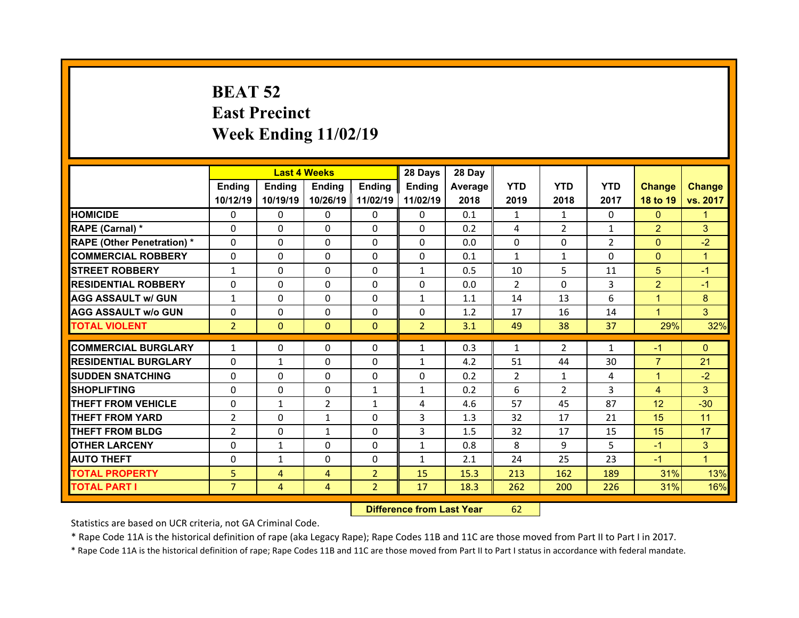# **BEAT 52 East Precinct Week Ending 11/02/19**

|                                  |                | <b>Last 4 Weeks</b> |                |                | 28 Days        | 28 Day  |                |                |                |                 |               |
|----------------------------------|----------------|---------------------|----------------|----------------|----------------|---------|----------------|----------------|----------------|-----------------|---------------|
|                                  | Ending         | Ending              | <b>Ending</b>  | Ending         | <b>Ending</b>  | Average | <b>YTD</b>     | <b>YTD</b>     | <b>YTD</b>     | <b>Change</b>   | <b>Change</b> |
|                                  | 10/12/19       | 10/19/19            | 10/26/19       | 11/02/19       | 11/02/19       | 2018    | 2019           | 2018           | 2017           | 18 to 19        | vs. 2017      |
| <b>HOMICIDE</b>                  | $\mathbf{0}$   | $\Omega$            | 0              | $\mathbf{0}$   | 0              | 0.1     | 1              | 1              | $\Omega$       | $\mathbf{0}$    | 1             |
| RAPE (Carnal) *                  | $\Omega$       | $\Omega$            | $\mathbf{0}$   | $\Omega$       | $\Omega$       | 0.2     | 4              | $\overline{2}$ | $\mathbf{1}$   | $\overline{2}$  | 3             |
| <b>RAPE (Other Penetration)*</b> | $\Omega$       | $\Omega$            | $\Omega$       | $\Omega$       | $\Omega$       | 0.0     | $\Omega$       | $\Omega$       | $\overline{2}$ | $\overline{0}$  | $-2$          |
| <b>COMMERCIAL ROBBERY</b>        | 0              | 0                   | $\mathbf{0}$   | $\mathbf{0}$   | 0              | 0.1     | $\mathbf{1}$   | $\mathbf{1}$   | $\Omega$       | $\mathbf{0}$    | $\mathbf{1}$  |
| <b>STREET ROBBERY</b>            | $\mathbf{1}$   | $\Omega$            | $\mathbf{0}$   | $\Omega$       | $\mathbf{1}$   | 0.5     | 10             | 5              | 11             | 5               | $-1$          |
| <b>RESIDENTIAL ROBBERY</b>       | $\Omega$       | $\Omega$            | $\mathbf{0}$   | $\Omega$       | $\Omega$       | 0.0     | $\mathcal{P}$  | $\Omega$       | 3              | $\overline{2}$  | $-1$          |
| <b>AGG ASSAULT w/ GUN</b>        | $\mathbf{1}$   | $\Omega$            | $\Omega$       | $\Omega$       | $\mathbf{1}$   | 1.1     | 14             | 13             | 6              | $\mathbf{1}$    | 8             |
| <b>AGG ASSAULT w/o GUN</b>       | 0              | 0                   | $\mathbf{0}$   | $\Omega$       | $\Omega$       | 1.2     | 17             | 16             | 14             | $\mathbf{1}$    | 3             |
| <b>TOTAL VIOLENT</b>             | $\overline{2}$ | $\mathbf{0}$        | $\mathbf{0}$   | $\mathbf{0}$   | $\overline{2}$ | 3.1     | 49             | 38             | 37             | 29%             | 32%           |
|                                  |                |                     |                |                |                |         |                |                |                |                 |               |
| <b>COMMERCIAL BURGLARY</b>       | $\mathbf{1}$   | 0                   | 0              | 0              | $\mathbf{1}$   | 0.3     | $\mathbf{1}$   | $\overline{2}$ | $\mathbf{1}$   | $-1$            | $\Omega$      |
| <b>RESIDENTIAL BURGLARY</b>      | 0              | $\mathbf{1}$        | 0              | 0              | $\mathbf{1}$   | 4.2     | 51             | 44             | 30             | $\overline{7}$  | 21            |
| <b>SUDDEN SNATCHING</b>          | 0              | 0                   | 0              | 0              | 0              | 0.2     | $\overline{2}$ | $\mathbf{1}$   | 4              | $\mathbf{1}$    | $-2$          |
| <b>SHOPLIFTING</b>               | 0              | 0                   | 0              | $\mathbf{1}$   | $\mathbf{1}$   | 0.2     | 6              | $\overline{2}$ | 3              | $\overline{4}$  | 3             |
| <b>THEFT FROM VEHICLE</b>        | 0              | $\mathbf{1}$        | $\overline{2}$ | 1              | 4              | 4.6     | 57             | 45             | 87             | 12 <sup>2</sup> | $-30$         |
|                                  |                |                     |                |                |                |         |                |                |                |                 |               |
| <b>THEFT FROM YARD</b>           | $\overline{2}$ | 0                   | $\mathbf{1}$   | 0              | 3              | 1.3     | 32             | 17             | 21             | 15              | 11            |
| <b>THEFT FROM BLDG</b>           | $\overline{2}$ | $\Omega$            | $\mathbf{1}$   | $\Omega$       | 3              | 1.5     | 32             | 17             | 15             | 15              | 17            |
| <b>OTHER LARCENY</b>             | 0              | $\mathbf{1}$        | $\Omega$       | $\Omega$       | $\mathbf{1}$   | 0.8     | 8              | 9              | 5              | $-1$            | 3             |
| <b>AUTO THEFT</b>                | 0              | $\mathbf{1}$        | $\Omega$       | $\Omega$       | $\mathbf{1}$   | 2.1     | 24             | 25             | 23             | $-1$            | $\mathbf{1}$  |
| <b>TOTAL PROPERTY</b>            | 5              | $\overline{4}$      | 4              | $\overline{2}$ | 15             | 15.3    | 213            | 162            | 189            | 31%             | 13%           |
| <b>TOTAL PART I</b>              | $\overline{7}$ | 4                   | 4              | $\overline{2}$ | 17             | 18.3    | 262            | 200            | 226            | 31%             | 16%           |

 **Difference from Last Year**r 62

Statistics are based on UCR criteria, not GA Criminal Code.

\* Rape Code 11A is the historical definition of rape (aka Legacy Rape); Rape Codes 11B and 11C are those moved from Part II to Part I in 2017.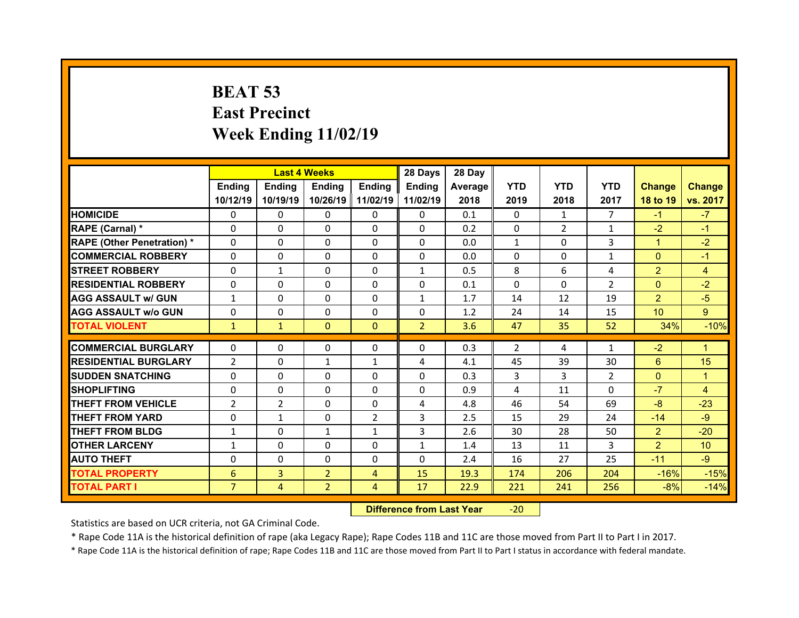# **BEAT 53 East Precinct Week Ending 11/02/19**

|                                  |                | <b>Last 4 Weeks</b> |                |                | 28 Days        | 28 Day  |                |                |                |                 |                 |
|----------------------------------|----------------|---------------------|----------------|----------------|----------------|---------|----------------|----------------|----------------|-----------------|-----------------|
|                                  | Ending         | Ending              | <b>Ending</b>  | <b>Ending</b>  | Ending         | Average | <b>YTD</b>     | <b>YTD</b>     | <b>YTD</b>     | <b>Change</b>   | <b>Change</b>   |
|                                  | 10/12/19       | 10/19/19            | 10/26/19       | 11/02/19       | 11/02/19       | 2018    | 2019           | 2018           | 2017           | 18 to 19        | vs. 2017        |
| <b>HOMICIDE</b>                  | $\Omega$       | 0                   | $\Omega$       | $\Omega$       | 0              | 0.1     | $\Omega$       | 1              | $\overline{7}$ | $-1$            | $-7$            |
| RAPE (Carnal) *                  | 0              | $\Omega$            | $\mathbf{0}$   | $\Omega$       | 0              | 0.2     | 0              | $\overline{2}$ | $\mathbf{1}$   | $-2$            | $-1$            |
| <b>RAPE (Other Penetration)*</b> | 0              | $\Omega$            | $\Omega$       | $\Omega$       | $\Omega$       | 0.0     | $\mathbf{1}$   | $\Omega$       | 3              | $\mathbf{1}$    | $-2$            |
| <b>COMMERCIAL ROBBERY</b>        | $\Omega$       | 0                   | $\Omega$       | $\Omega$       | 0              | 0.0     | $\Omega$       | $\Omega$       | $\mathbf{1}$   | $\mathbf{0}$    | $-1$            |
| <b>STREET ROBBERY</b>            | $\Omega$       | $\mathbf{1}$        | $\mathbf{0}$   | $\Omega$       | $\mathbf{1}$   | 0.5     | 8              | 6              | 4              | $\overline{2}$  | $\overline{4}$  |
| <b>RESIDENTIAL ROBBERY</b>       | $\Omega$       | $\Omega$            | $\Omega$       | $\Omega$       | $\Omega$       | 0.1     | $\Omega$       | $\Omega$       | $\overline{2}$ | $\overline{0}$  | $-2$            |
| <b>AGG ASSAULT w/ GUN</b>        | $\mathbf{1}$   | 0                   | $\Omega$       | $\Omega$       | $\mathbf{1}$   | 1.7     | 14             | 12             | 19             | $\overline{2}$  | $-5$            |
| <b>AGG ASSAULT w/o GUN</b>       | $\Omega$       | $\Omega$            | $\mathbf{0}$   | $\Omega$       | $\Omega$       | 1.2     | 24             | 14             | 15             | 10 <sup>°</sup> | 9 <sup>°</sup>  |
| <b>TOTAL VIOLENT</b>             | $\mathbf{1}$   | $\mathbf{1}$        | $\mathbf{0}$   | $\mathbf{0}$   | $\overline{2}$ | 3.6     | 47             | 35             | 52             | 34%             | $-10%$          |
| <b>COMMERCIAL BURGLARY</b>       | 0              | 0                   | 0              | 0              | 0              | 0.3     | $\overline{2}$ | 4              | 1              | $-2$            | 1               |
|                                  |                |                     |                |                |                |         |                |                |                |                 |                 |
|                                  |                |                     |                |                |                |         |                |                |                |                 |                 |
| <b>RESIDENTIAL BURGLARY</b>      | $\overline{2}$ | 0                   | $\mathbf{1}$   | 1              | 4              | 4.1     | 45             | 39             | 30             | 6               | 15              |
| <b>SUDDEN SNATCHING</b>          | 0              | $\Omega$            | $\mathbf{0}$   | $\Omega$       | 0              | 0.3     | 3              | 3              | $\overline{2}$ | $\overline{0}$  | 1               |
| <b>SHOPLIFTING</b>               | 0              | $\Omega$            | 0              | $\Omega$       | 0              | 0.9     | 4              | 11             | $\Omega$       | $-7$            | 4               |
| <b>THEFT FROM VEHICLE</b>        | $\overline{2}$ | $\overline{2}$      | 0              | $\Omega$       | 4              | 4.8     | 46             | 54             | 69             | $-8$            | $-23$           |
| <b>THEFT FROM YARD</b>           | 0              | $\mathbf{1}$        | 0              | $\overline{2}$ | 3              | 2.5     | 15             | 29             | 24             | $-14$           | $-9$            |
| <b>THEFT FROM BLDG</b>           | $\mathbf{1}$   | 0                   | $\mathbf{1}$   | $\mathbf{1}$   | 3              | 2.6     | 30             | 28             | 50             | $\overline{2}$  | $-20$           |
| <b>OTHER LARCENY</b>             | $\mathbf{1}$   | 0                   | $\Omega$       | $\Omega$       | $\mathbf{1}$   | 1.4     | 13             | 11             | 3              | $\overline{2}$  | 10 <sup>°</sup> |
| <b>AUTO THEFT</b>                | 0              | 0                   | $\mathbf{0}$   | $\Omega$       | 0              | 2.4     | 16             | 27             | 25             | $-11$           | $-9$            |
| <b>TOTAL PROPERTY</b>            | 6              | $\overline{3}$      | $\overline{2}$ | $\overline{4}$ | 15             | 19.3    | 174            | 206            | 204            | $-16%$          | $-15%$          |
| <b>TOTAL PART I</b>              | $\overline{7}$ | $\overline{4}$      | $\overline{2}$ | 4              | 17             | 22.9    | 221            | 241            | 256            | $-8%$           | $-14%$          |

 **Difference from Last Year**‐20

Statistics are based on UCR criteria, not GA Criminal Code.

\* Rape Code 11A is the historical definition of rape (aka Legacy Rape); Rape Codes 11B and 11C are those moved from Part II to Part I in 2017.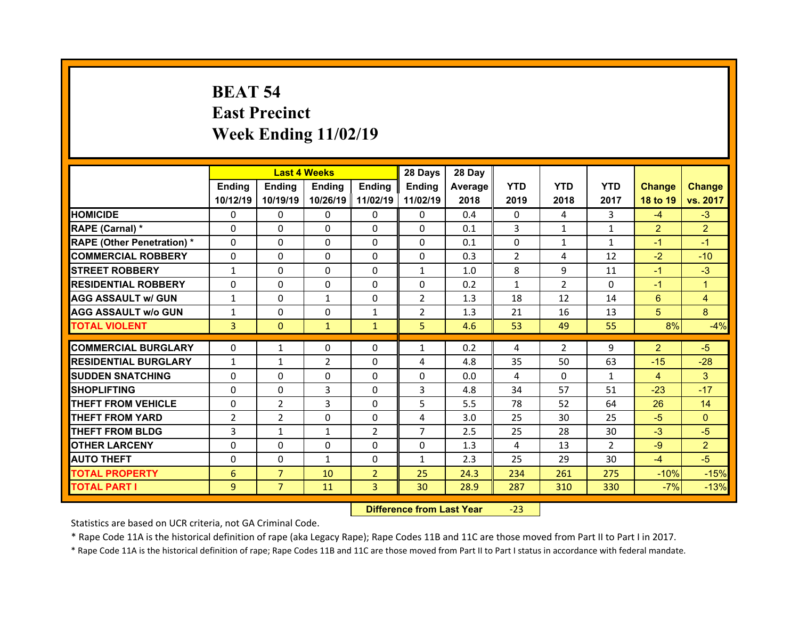# **BEAT 54 East Precinct Week Ending 11/02/19**

|                                   |                |                | <b>Last 4 Weeks</b> |                | 28 Days        | 28 Day  |              |                |                |                |                |
|-----------------------------------|----------------|----------------|---------------------|----------------|----------------|---------|--------------|----------------|----------------|----------------|----------------|
|                                   | <b>Ending</b>  | <b>Endina</b>  | <b>Ending</b>       | <b>Ending</b>  | <b>Endina</b>  | Average | <b>YTD</b>   | <b>YTD</b>     | <b>YTD</b>     | <b>Change</b>  | <b>Change</b>  |
|                                   | 10/12/19       | 10/19/19       | 10/26/19            | 11/02/19       | 11/02/19       | 2018    | 2019         | 2018           | 2017           | 18 to 19       | vs. 2017       |
| <b>HOMICIDE</b>                   | 0              | 0              | 0                   | 0              | 0              | 0.4     | 0            | 4              | 3              | $-4$           | $-3$           |
| RAPE (Carnal) *                   | 0              | 0              | 0                   | $\Omega$       | $\Omega$       | 0.1     | 3            | $\mathbf{1}$   | $\mathbf{1}$   | $\overline{2}$ | $\overline{2}$ |
| <b>RAPE (Other Penetration) *</b> | 0              | $\Omega$       | $\Omega$            | $\Omega$       | 0              | 0.1     | $\Omega$     | $\mathbf{1}$   | $\mathbf{1}$   | $-1$           | $-1$           |
| <b>COMMERCIAL ROBBERY</b>         | 0              | 0              | $\mathbf{0}$        | $\mathbf{0}$   | 0              | 0.3     | 2            | 4              | 12             | $-2$           | $-10$          |
| <b>STREET ROBBERY</b>             | $\mathbf{1}$   | $\Omega$       | $\Omega$            | $\Omega$       | $\mathbf{1}$   | 1.0     | 8            | 9              | 11             | $-1$           | $-3$           |
| <b>RESIDENTIAL ROBBERY</b>        | $\mathbf{0}$   | 0              | $\mathbf{0}$        | $\Omega$       | 0              | 0.2     | $\mathbf{1}$ | $\mathcal{P}$  | $\Omega$       | $-1$           | $\mathbf{1}$   |
| <b>AGG ASSAULT w/ GUN</b>         | $\mathbf{1}$   | $\Omega$       | $\mathbf{1}$        | $\Omega$       | $\overline{2}$ | 1.3     | 18           | 12             | 14             | 6              | 4              |
| <b>AGG ASSAULT w/o GUN</b>        | $\mathbf{1}$   | 0              | $\mathbf{0}$        | $\mathbf{1}$   | $\overline{2}$ | 1.3     | 21           | 16             | 13             | 5              | 8              |
| <b>TOTAL VIOLENT</b>              | 3              | $\mathbf{0}$   | $\mathbf{1}$        | $\mathbf{1}$   | 5              | 4.6     | 53           | 49             | 55             | 8%             | $-4%$          |
|                                   |                |                |                     |                |                |         |              |                |                |                |                |
| <b>COMMERCIAL BURGLARY</b>        | 0              | $\mathbf{1}$   | 0                   | 0              | $\mathbf{1}$   | 0.2     | 4            | $\overline{2}$ | 9              | $\overline{2}$ | $-5$           |
| <b>RESIDENTIAL BURGLARY</b>       | $\mathbf{1}$   | $\mathbf{1}$   | $\overline{2}$      | 0              | 4              | 4.8     | 35           | 50             | 63             | $-15$          | $-28$          |
| <b>SUDDEN SNATCHING</b>           | 0              | $\Omega$       | $\Omega$            | $\Omega$       | 0              | 0.0     | 4            | $\Omega$       | $\mathbf{1}$   | 4              | 3              |
| <b>SHOPLIFTING</b>                | 0              | 0              | 3                   | $\Omega$       | 3              | 4.8     | 34           | 57             | 51             | $-23$          | $-17$          |
| <b>THEFT FROM VEHICLE</b>         | 0              | $\overline{2}$ | 3                   | $\Omega$       | 5              | 5.5     | 78           | 52             | 64             | 26             | 14             |
| <b>THEFT FROM YARD</b>            | $\overline{2}$ | $\overline{2}$ | $\Omega$            | $\Omega$       | 4              | 3.0     | 25           | 30             | 25             | $-5$           | $\Omega$       |
| <b>THEFT FROM BLDG</b>            | 3              | $\mathbf{1}$   | $\mathbf{1}$        | $\overline{2}$ | $\overline{7}$ | 2.5     | 25           | 28             | 30             | $-3$           | $-5$           |
| <b>OTHER LARCENY</b>              | 0              | $\Omega$       | $\Omega$            | $\Omega$       | $\Omega$       | 1.3     | 4            | 13             | $\overline{2}$ | $-9$           | $\overline{2}$ |
| <b>AUTO THEFT</b>                 | 0              | 0              | $\mathbf{1}$        | $\mathbf{0}$   | $\mathbf{1}$   | 2.3     | 25           | 29             | 30             | $-4$           | $-5$           |
| <b>TOTAL PROPERTY</b>             | 6              | $\overline{7}$ | 10                  | $\overline{2}$ | 25             | 24.3    | 234          | 261            | 275            | $-10%$         | $-15%$         |
|                                   |                |                |                     |                |                |         |              |                |                |                |                |
| <b>TOTAL PART I</b>               | 9              | $\overline{7}$ | 11                  | 3              | 30             | 28.9    | 287          | 310            | 330            | $-7%$          | $-13%$         |

 **Difference from Last Year**‐23

Statistics are based on UCR criteria, not GA Criminal Code.

\* Rape Code 11A is the historical definition of rape (aka Legacy Rape); Rape Codes 11B and 11C are those moved from Part II to Part I in 2017.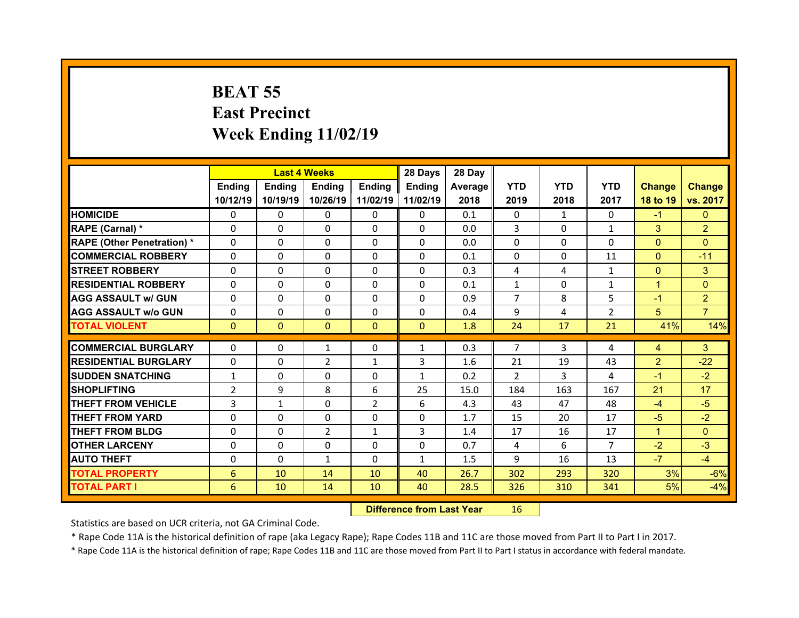# **BEAT 55 East Precinct Week Ending 11/02/19**

|                                  |                                | <b>Last 4 Weeks</b> |                            |                | 28 Days           | 28 Day     |                |              |                |                |                |
|----------------------------------|--------------------------------|---------------------|----------------------------|----------------|-------------------|------------|----------------|--------------|----------------|----------------|----------------|
|                                  | Ending                         | <b>Ending</b>       | <b>Ending</b>              | Ending         | <b>Ending</b>     | Average II | <b>YTD</b>     | <b>YTD</b>   | <b>YTD</b>     | <b>Change</b>  | <b>Change</b>  |
|                                  | 10/12/19                       | 10/19/19            | 10/26/19                   | 11/02/19       | 11/02/19          | 2018       | 2019           | 2018         | 2017           | 18 to 19       | vs. 2017       |
| <b>HOMICIDE</b>                  | $\Omega$                       | 0                   | 0                          | $\mathbf{0}$   | 0                 | 0.1        | $\Omega$       | $\mathbf{1}$ | $\Omega$       | $-1$           | $\mathbf{0}$   |
| RAPE (Carnal) *                  | $\Omega$                       | $\Omega$            | $\Omega$                   | $\Omega$       | 0                 | 0.0        | 3              | $\Omega$     | $\mathbf{1}$   | 3              | $\overline{2}$ |
| <b>RAPE (Other Penetration)*</b> | $\Omega$                       | $\Omega$            | $\Omega$                   | $\Omega$       | $\Omega$          | 0.0        | $\Omega$       | $\Omega$     | $\Omega$       | $\Omega$       | $\Omega$       |
| <b>COMMERCIAL ROBBERY</b>        | $\Omega$                       | $\Omega$            | $\mathbf{0}$               | $\Omega$       | $\Omega$          | 0.1        | $\Omega$       | $\Omega$     | 11             | $\overline{0}$ | $-11$          |
| <b>STREET ROBBERY</b>            | $\Omega$                       | $\Omega$            | $\mathbf{0}$               | $\Omega$       | $\Omega$          | 0.3        | 4              | 4            | $\mathbf{1}$   | $\overline{0}$ | 3              |
| <b>RESIDENTIAL ROBBERY</b>       | $\Omega$                       | $\Omega$            | $\Omega$                   | $\Omega$       | $\Omega$          | 0.1        | $\mathbf{1}$   | $\Omega$     | $\mathbf{1}$   | $\overline{1}$ | $\Omega$       |
| <b>AGG ASSAULT w/ GUN</b>        | $\Omega$                       | $\Omega$            | $\mathbf{0}$               | $\Omega$       | $\Omega$          | 0.9        | $\overline{7}$ | 8            | 5              | $-1$           | $\overline{2}$ |
| <b>AGG ASSAULT w/o GUN</b>       | $\Omega$                       | 0                   | 0                          | $\Omega$       | $\Omega$          | 0.4        | 9              | 4            | $\overline{2}$ | 5              | $\overline{7}$ |
| <b>TOTAL VIOLENT</b>             | $\mathbf{0}$                   | $\overline{0}$      | $\mathbf{0}$               | $\mathbf{0}$   | $\mathbf{0}$      | 1.8        | 24             | 17           | 21             | 41%            | 14%            |
| <b>COMMERCIAL BURGLARY</b>       | $\mathbf{0}$                   | 0                   | $\mathbf{1}$               | $\mathbf{0}$   | $\mathbf{1}$      | 0.3        | $\overline{7}$ | 3            | 4              | $\overline{4}$ | 3              |
| <b>RESIDENTIAL BURGLARY</b>      | $\Omega$                       | $\Omega$            |                            |                |                   | 1.6        | 21             | 19           | 43             | $\overline{2}$ | $-22$          |
| <b>SUDDEN SNATCHING</b>          |                                | $\Omega$            | $\overline{2}$<br>$\Omega$ | 1<br>$\Omega$  | 3<br>$\mathbf{1}$ | 0.2        | $\mathfrak{D}$ | 3            | 4              | $-1$           | $-2$           |
| <b>SHOPLIFTING</b>               | $\mathbf{1}$<br>$\overline{2}$ | 9                   | 8                          | 6              | 25                | 15.0       | 184            | 163          | 167            | 21             | 17             |
| <b>THEFT FROM VEHICLE</b>        | 3                              | $\mathbf{1}$        | 0                          | $\overline{2}$ | 6                 | 4.3        | 43             | 47           | 48             | $-4$           | $-5$           |
| <b>THEFT FROM YARD</b>           | $\Omega$                       | $\Omega$            | $\Omega$                   | $\Omega$       | $\Omega$          | 1.7        | 15             | 20           | 17             | $-5$           | $-2$           |
| <b>THEFT FROM BLDG</b>           | $\Omega$                       |                     | $\overline{2}$             |                | 3                 |            | 17             | 16           | 17             | $\mathbf{1}$   | $\Omega$       |
|                                  |                                | 0                   |                            | $\mathbf{1}$   |                   | 1.4        |                |              | $\overline{7}$ |                |                |
| <b>OTHER LARCENY</b>             | 0                              | 0                   | 0                          | $\Omega$       | 0                 | 0.7        | 4              | 6            |                | $-2$           | $-3$           |
| <b>AUTO THEFT</b>                | 0                              | $\Omega$            | $\mathbf{1}$               | $\Omega$       | $\mathbf{1}$      | 1.5        | 9              | 16           | 13             | $-7$           | $-4$           |
| <b>TOTAL PROPERTY</b>            | 6                              | 10                  | 14                         | 10             | 40                | 26.7       | 302            | 293          | 320            | 3%             | $-6%$          |
| <b>TOTAL PART I</b>              | 6                              | 10                  | 14                         | 10             | 40                | 28.5       | 326            | 310          | 341            | 5%             | $-4%$          |

 **Difference from Last Year**r 16

Statistics are based on UCR criteria, not GA Criminal Code.

\* Rape Code 11A is the historical definition of rape (aka Legacy Rape); Rape Codes 11B and 11C are those moved from Part II to Part I in 2017.